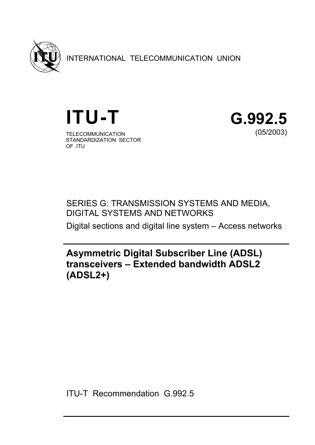

INTERNATIONAL TELECOMMUNICATION UNION



OF ITU



SERIES G: TRANSMISSION SYSTEMS AND MEDIA, DIGITAL SYSTEMS AND NETWORKS

Digital sections and digital line system – Access networks

**Asymmetric Digital Subscriber Line (ADSL) transceivers – Extended bandwidth ADSL2 (ADSL2+)** 

ITU-T Recommendation G.992.5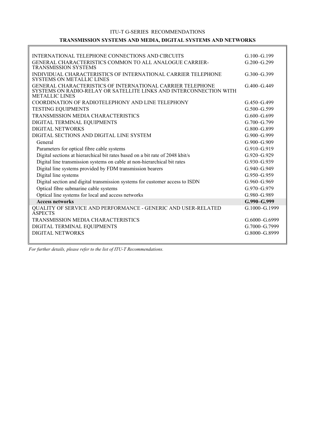#### ITU-T G-SERIES RECOMMENDATIONS

#### **TRANSMISSION SYSTEMS AND MEDIA, DIGITAL SYSTEMS AND NETWORKS**

| INTERNATIONAL TELEPHONE CONNECTIONS AND CIRCUITS                                                                                                          | $G.100 - G.199$   |
|-----------------------------------------------------------------------------------------------------------------------------------------------------------|-------------------|
| GENERAL CHARACTERISTICS COMMON TO ALL ANALOGUE CARRIER-<br><b>TRANSMISSION SYSTEMS</b>                                                                    | $G.200 - G.299$   |
| INDIVIDUAL CHARACTERISTICS OF INTERNATIONAL CARRIER TELEPHONE<br><b>SYSTEMS ON METALLIC LINES</b>                                                         | $G.300 - G.399$   |
| GENERAL CHARACTERISTICS OF INTERNATIONAL CARRIER TELEPHONE<br>SYSTEMS ON RADIO-RELAY OR SATELLITE LINKS AND INTERCONNECTION WITH<br><b>METALLIC LINES</b> | $G.400 - G.449$   |
| COORDINATION OF RADIOTELEPHONY AND LINE TELEPHONY                                                                                                         | G.450-G.499       |
| <b>TESTING EQUIPMENTS</b>                                                                                                                                 | $G.500-G.599$     |
| TRANSMISSION MEDIA CHARACTERISTICS                                                                                                                        | $G.600 - G.699$   |
| DIGITAL TERMINAL EQUIPMENTS                                                                                                                               | $G.700 - G.799$   |
| DIGITAL NETWORKS                                                                                                                                          | $G.800 - G.899$   |
| DIGITAL SECTIONS AND DIGITAL LINE SYSTEM                                                                                                                  | $G.900-G.999$     |
| General                                                                                                                                                   | $G.900-G.909$     |
| Parameters for optical fibre cable systems                                                                                                                | $G.910 - G.919$   |
| Digital sections at hierarchical bit rates based on a bit rate of 2048 kbit/s                                                                             | $G.920 - G.929$   |
| Digital line transmission systems on cable at non-hierarchical bit rates                                                                                  | $G.930 - G.939$   |
| Digital line systems provided by FDM transmission bearers                                                                                                 | $G.940-G.949$     |
| Digital line systems                                                                                                                                      | $G.950 - G.959$   |
| Digital section and digital transmission systems for customer access to ISDN                                                                              | $G.960 - G.969$   |
| Optical fibre submarine cable systems                                                                                                                     | $G.970 - G.979$   |
| Optical line systems for local and access networks                                                                                                        | $G.980 - G.989$   |
| <b>Access networks</b>                                                                                                                                    | $G.990-G.999$     |
| QUALITY OF SERVICE AND PERFORMANCE - GENERIC AND USER-RELATED<br><b>ASPECTS</b>                                                                           | $G.1000 - G.1999$ |
| TRANSMISSION MEDIA CHARACTERISTICS                                                                                                                        | $G.6000 - G.6999$ |
| DIGITAL TERMINAL EQUIPMENTS                                                                                                                               | G.7000-G.7999     |
| <b>DIGITAL NETWORKS</b>                                                                                                                                   | G.8000-G.8999     |
|                                                                                                                                                           |                   |

*For further details, please refer to the list of ITU-T Recommendations.*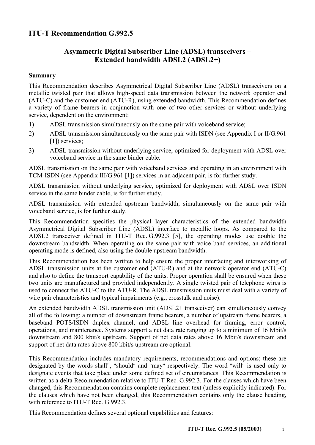# **ITU-T Recommendation G.992.5**

# **Asymmetric Digital Subscriber Line (ADSL) transceivers – Extended bandwidth ADSL2 (ADSL2+)**

#### **Summary**

This Recommendation describes Asymmetrical Digital Subscriber Line (ADSL) transceivers on a metallic twisted pair that allows high-speed data transmission between the network operator end (ATU-C) and the customer end (ATU-R), using extended bandwidth. This Recommendation defines a variety of frame bearers in conjunction with one of two other services or without underlying service, dependent on the environment:

- 1) ADSL transmission simultaneously on the same pair with voiceband service;
- 2) ADSL transmission simultaneously on the same pair with ISDN (see Appendix I or II/G.961) [1]) services;
- 3) ADSL transmission without underlying service, optimized for deployment with ADSL over voiceband service in the same binder cable.

ADSL transmission on the same pair with voiceband services and operating in an environment with TCM-ISDN (see Appendix III/G.961 [1]) services in an adjacent pair, is for further study.

ADSL transmission without underlying service, optimized for deployment with ADSL over ISDN service in the same binder cable, is for further study.

ADSL transmission with extended upstream bandwidth, simultaneously on the same pair with voiceband service, is for further study.

This Recommendation specifies the physical layer characteristics of the extended bandwidth Asymmetrical Digital Subscriber Line (ADSL) interface to metallic loops. As compared to the ADSL2 transceiver defined in ITU-T Rec. G.992.3 [5], the operating modes use double the downstream bandwidth. When operating on the same pair with voice band services, an additional operating mode is defined, also using the double upstream bandwidth.

This Recommendation has been written to help ensure the proper interfacing and interworking of ADSL transmission units at the customer end (ATU-R) and at the network operator end (ATU-C) and also to define the transport capability of the units. Proper operation shall be ensured when these two units are manufactured and provided independently. A single twisted pair of telephone wires is used to connect the ATU-C to the ATU-R. The ADSL transmission units must deal with a variety of wire pair characteristics and typical impairments (e.g., crosstalk and noise).

An extended bandwidth ADSL transmission unit (ADSL2+ transceiver) can simultaneously convey all of the following: a number of downstream frame bearers, a number of upstream frame bearers, a baseband POTS/ISDN duplex channel, and ADSL line overhead for framing, error control, operations, and maintenance. Systems support a net data rate ranging up to a minimum of 16 Mbit/s downstream and 800 kbit/s upstream. Support of net data rates above 16 Mbit/s downstream and support of net data rates above 800 kbit/s upstream are optional.

This Recommendation includes mandatory requirements, recommendations and options; these are designated by the words shall", "should" and "may" respectively. The word "will" is used only to designate events that take place under some defined set of circumstances. This Recommendation is written as a delta Recommendation relative to ITU-T Rec. G.992.3. For the clauses which have been changed, this Recommendation contains complete replacement text (unless explicitly indicated). For the clauses which have not been changed, this Recommendation contains only the clause heading, with reference to ITU-T Rec. G. 992.3.

This Recommendation defines several optional capabilities and features: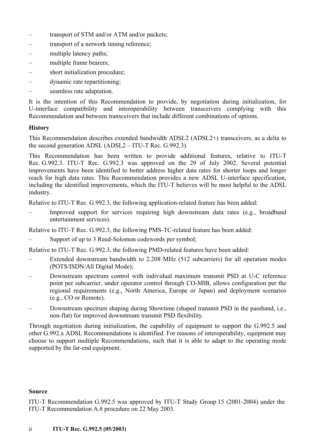- transport of STM and/or ATM and/or packets;
- transport of a network timing reference;
- multiple latency paths;
- multiple frame bearers;
- short initialization procedure;
- dynamic rate repartitioning;
- seamless rate adaptation.

It is the intention of this Recommendation to provide, by negotiation during initialization, for U-interface compatibility and interoperability between transceivers complying with this Recommendation and between transceivers that include different combinations of options.

#### **History**

This Recommendation describes extended bandwidth ADSL2 (ADSL2+) transceivers, as a delta to the second generation ADSL (ADSL2 – ITU-T Rec. G.992.3).

This Recommendation has been written to provide additional features, relative to ITU-T Rec. G.992.3. ITU-T Rec. G.992.3 was approved on the 29 of July 2002. Several potential improvements have been identified to better address higher data rates for shorter loops and longer reach for high data rates. This Recommendation provides a new ADSL U-interface specification, including the identified improvements, which the ITU-T believes will be most helpful to the ADSL industry.

Relative to ITU-T Rec. G.992.3, the following application-related feature has been added:

Improved support for services requiring high downstream data rates (e.g., broadband entertainment services).

Relative to ITU-T Rec. G.992.3, the following PMS-TC-related feature has been added:

Support of up to 3 Reed-Solomon codewords per symbol;

Relative to ITU-T Rec. G.992.3, the following PMD-related features have been added:

- Extended downstream bandwidth to 2.208 MHz (512 subcarriers) for all operation modes (POTS/ISDN/All Digital Mode);
- Downstream spectrum control with individual maximum transmit PSD at U-C reference point per subcarrier, under operator control through CO-MIB, allows configuration per the regional requirements (e.g., North America, Europe or Japan) and deployment scenarios (e.g., CO or Remote).
- Downstream spectrum shaping during Showtime (shaped transmit PSD in the passband, i.e., non-flat) for improved downstream transmit PSD flexibility.

Through negotiation during initialization, the capability of equipment to support the G.992.5 and other G.992.x ADSL Recommendations is identified. For reasons of interoperability, equipment may choose to support multiple Recommendations, such that it is able to adapt to the operating mode supported by the far-end equipment.

#### **Source**

ITU-T Recommendation G.992.5 was approved by ITU-T Study Group 15 (2001-2004) under the ITU-T Recommendation A.8 procedure on 22 May 2003.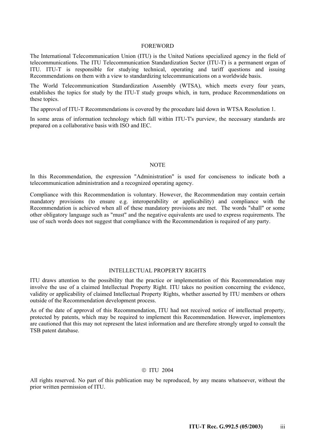#### FOREWORD

The International Telecommunication Union (ITU) is the United Nations specialized agency in the field of telecommunications. The ITU Telecommunication Standardization Sector (ITU-T) is a permanent organ of ITU. ITU-T is responsible for studying technical, operating and tariff questions and issuing Recommendations on them with a view to standardizing telecommunications on a worldwide basis.

The World Telecommunication Standardization Assembly (WTSA), which meets every four years, establishes the topics for study by the ITU-T study groups which, in turn, produce Recommendations on these topics.

The approval of ITU-T Recommendations is covered by the procedure laid down in WTSA Resolution 1.

In some areas of information technology which fall within ITU-T's purview, the necessary standards are prepared on a collaborative basis with ISO and IEC.

#### NOTE

In this Recommendation, the expression "Administration" is used for conciseness to indicate both a telecommunication administration and a recognized operating agency.

Compliance with this Recommendation is voluntary. However, the Recommendation may contain certain mandatory provisions (to ensure e.g. interoperability or applicability) and compliance with the Recommendation is achieved when all of these mandatory provisions are met. The words "shall" or some other obligatory language such as "must" and the negative equivalents are used to express requirements. The use of such words does not suggest that compliance with the Recommendation is required of any party.

#### INTELLECTUAL PROPERTY RIGHTS

ITU draws attention to the possibility that the practice or implementation of this Recommendation may involve the use of a claimed Intellectual Property Right. ITU takes no position concerning the evidence, validity or applicability of claimed Intellectual Property Rights, whether asserted by ITU members or others outside of the Recommendation development process.

As of the date of approval of this Recommendation, ITU had not received notice of intellectual property, protected by patents, which may be required to implement this Recommendation. However, implementors are cautioned that this may not represent the latest information and are therefore strongly urged to consult the TSB patent database.

#### ITU 2004

All rights reserved. No part of this publication may be reproduced, by any means whatsoever, without the prior written permission of ITU.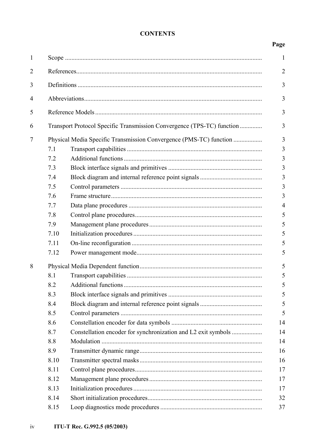# **CONTENTS**

# Page

| $\mathbf{1}$   |      |                                                                        |  |  |  |
|----------------|------|------------------------------------------------------------------------|--|--|--|
| $\overline{2}$ |      |                                                                        |  |  |  |
| 3              |      |                                                                        |  |  |  |
| 4              |      |                                                                        |  |  |  |
| 5              |      |                                                                        |  |  |  |
| 6              |      | Transport Protocol Specific Transmission Convergence (TPS-TC) function |  |  |  |
| 7              |      | Physical Media Specific Transmission Convergence (PMS-TC) function     |  |  |  |
|                | 7.1  |                                                                        |  |  |  |
|                | 7.2  |                                                                        |  |  |  |
|                | 7.3  |                                                                        |  |  |  |
|                | 7.4  |                                                                        |  |  |  |
|                | 7.5  |                                                                        |  |  |  |
|                | 7.6  |                                                                        |  |  |  |
|                | 7.7  |                                                                        |  |  |  |
|                | 7.8  |                                                                        |  |  |  |
|                | 7.9  |                                                                        |  |  |  |
|                | 7.10 |                                                                        |  |  |  |
|                | 7.11 |                                                                        |  |  |  |
|                | 7.12 |                                                                        |  |  |  |
| 8              |      |                                                                        |  |  |  |
|                | 8.1  |                                                                        |  |  |  |
|                | 8.2  |                                                                        |  |  |  |
|                | 8.3  |                                                                        |  |  |  |
|                | 8.4  |                                                                        |  |  |  |
|                | 8.5  |                                                                        |  |  |  |
|                | 8.6  |                                                                        |  |  |  |
|                | 8.7  | Constellation encoder for synchronization and L2 exit symbols          |  |  |  |
|                | 8.8  |                                                                        |  |  |  |
|                | 8.9  |                                                                        |  |  |  |
|                | 8.10 |                                                                        |  |  |  |
|                | 8.11 |                                                                        |  |  |  |
|                | 8.12 |                                                                        |  |  |  |
|                | 8.13 |                                                                        |  |  |  |
|                | 8.14 |                                                                        |  |  |  |
|                | 8.15 |                                                                        |  |  |  |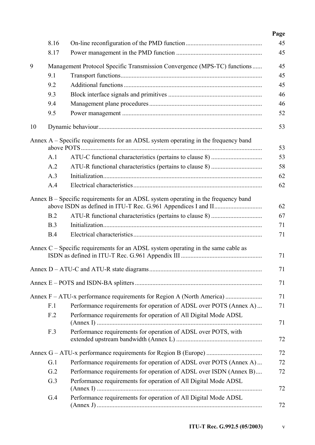|    | 8.16 |                                                                                     |
|----|------|-------------------------------------------------------------------------------------|
|    | 8.17 |                                                                                     |
| 9  |      | Management Protocol Specific Transmission Convergence (MPS-TC) functions            |
|    | 9.1  |                                                                                     |
|    | 9.2  |                                                                                     |
|    | 9.3  |                                                                                     |
|    | 9.4  |                                                                                     |
|    | 9.5  |                                                                                     |
| 10 |      |                                                                                     |
|    |      | Annex A – Specific requirements for an ADSL system operating in the frequency band  |
|    | A.1  |                                                                                     |
|    | A.2  |                                                                                     |
|    | A.3  |                                                                                     |
|    | A.4  |                                                                                     |
|    |      | Annex B – Specific requirements for an ADSL system operating in the frequency band  |
|    | B.2  |                                                                                     |
|    | B.3  |                                                                                     |
|    | B.4  |                                                                                     |
|    |      | Annex $C$ – Specific requirements for an ADSL system operating in the same cable as |
|    |      |                                                                                     |
|    |      |                                                                                     |
|    |      | Annex F – ATU-x performance requirements for Region A (North America)               |
|    | F.1  | Performance requirements for operation of ADSL over POTS (Annex A)                  |
|    | F.2  | Performance requirements for operation of All Digital Mode ADSL                     |
|    | F.3  | Performance requirements for operation of ADSL over POTS, with                      |
|    |      |                                                                                     |
|    | G.1  | Performance requirements for operation of ADSL over POTS (Annex A)                  |
|    | G.2  | Performance requirements for operation of ADSL over ISDN (Annex B)                  |
|    | G.3  | Performance requirements for operation of All Digital Mode ADSL                     |
|    | G.4  | Performance requirements for operation of All Digital Mode ADSL                     |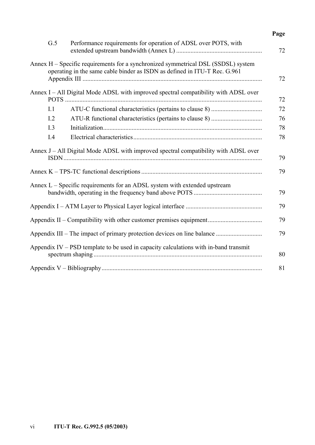| G.5 | Performance requirements for operation of ADSL over POTS, with                                                                                                 |
|-----|----------------------------------------------------------------------------------------------------------------------------------------------------------------|
|     | Annex H - Specific requirements for a synchronized symmetrical DSL (SSDSL) system<br>operating in the same cable binder as ISDN as defined in ITU-T Rec. G.961 |
|     | Annex I – All Digital Mode ADSL with improved spectral compatibility with ADSL over                                                                            |
| I.1 |                                                                                                                                                                |
| I.2 |                                                                                                                                                                |
| I.3 |                                                                                                                                                                |
| I.4 |                                                                                                                                                                |
|     | Annex J – All Digital Mode ADSL with improved spectral compatibility with ADSL over                                                                            |
|     |                                                                                                                                                                |
|     | Annex L – Specific requirements for an ADSL system with extended upstream                                                                                      |
|     |                                                                                                                                                                |
|     | Appendix II – Compatibility with other customer premises equipment                                                                                             |
|     | Appendix III – The impact of primary protection devices on line balance                                                                                        |
|     | Appendix IV $-$ PSD template to be used in capacity calculations with in-band transmit                                                                         |
|     |                                                                                                                                                                |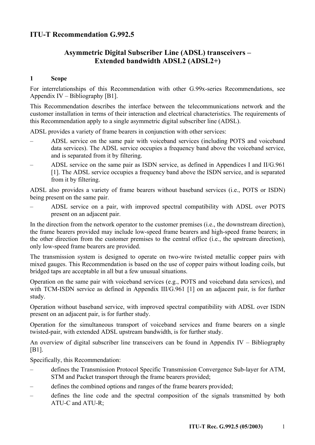# **ITU-T Recommendation G.992.5**

# **Asymmetric Digital Subscriber Line (ADSL) transceivers – Extended bandwidth ADSL2 (ADSL2+)**

### **1 Scope**

For interrelationships of this Recommendation with other G.99x-series Recommendations, see Appendix IV – Bibliography [B1].

This Recommendation describes the interface between the telecommunications network and the customer installation in terms of their interaction and electrical characteristics. The requirements of this Recommendation apply to a single asymmetric digital subscriber line (ADSL).

ADSL provides a variety of frame bearers in conjunction with other services:

- ADSL service on the same pair with voiceband services (including POTS and voiceband data services). The ADSL service occupies a frequency band above the voiceband service, and is separated from it by filtering.
- ADSL service on the same pair as ISDN service, as defined in Appendices I and II/G.961 [1]. The ADSL service occupies a frequency band above the ISDN service, and is separated from it by filtering.

ADSL also provides a variety of frame bearers without baseband services (i.e., POTS or ISDN) being present on the same pair.

– ADSL service on a pair, with improved spectral compatibility with ADSL over POTS present on an adjacent pair.

In the direction from the network operator to the customer premises (i.e., the downstream direction), the frame bearers provided may include low-speed frame bearers and high-speed frame bearers; in the other direction from the customer premises to the central office (i.e., the upstream direction), only low-speed frame bearers are provided.

The transmission system is designed to operate on two-wire twisted metallic copper pairs with mixed gauges. This Recommendation is based on the use of copper pairs without loading coils, but bridged taps are acceptable in all but a few unusual situations.

Operation on the same pair with voiceband services (e.g., POTS and voiceband data services), and with TCM-ISDN service as defined in Appendix III/G.961 [1] on an adjacent pair, is for further study.

Operation without baseband service, with improved spectral compatibility with ADSL over ISDN present on an adjacent pair, is for further study.

Operation for the simultaneous transport of voiceband services and frame bearers on a single twisted-pair, with extended ADSL upstream bandwidth, is for further study.

An overview of digital subscriber line transceivers can be found in Appendix IV – Bibliography [B1].

Specifically, this Recommendation:

- defines the Transmission Protocol Specific Transmission Convergence Sub-layer for ATM, STM and Packet transport through the frame bearers provided;
- defines the combined options and ranges of the frame bearers provided;
- defines the line code and the spectral composition of the signals transmitted by both ATU-C and ATU-R;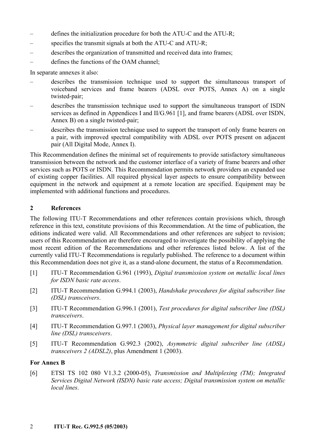- defines the initialization procedure for both the ATU-C and the ATU-R;
- specifies the transmit signals at both the ATU-C and ATU-R;
- describes the organization of transmitted and received data into frames;
- defines the functions of the OAM channel;

In separate annexes it also:

- describes the transmission technique used to support the simultaneous transport of voiceband services and frame bearers (ADSL over POTS, Annex A) on a single twisted-pair;
- describes the transmission technique used to support the simultaneous transport of ISDN services as defined in Appendices I and II/G.961 [1], and frame bearers (ADSL over ISDN, Annex B) on a single twisted-pair;
- describes the transmission technique used to support the transport of only frame bearers on a pair, with improved spectral compatibility with ADSL over POTS present on adjacent pair (All Digital Mode, Annex I).

This Recommendation defines the minimal set of requirements to provide satisfactory simultaneous transmission between the network and the customer interface of a variety of frame bearers and other services such as POTS or ISDN. This Recommendation permits network providers an expanded use of existing copper facilities. All required physical layer aspects to ensure compatibility between equipment in the network and equipment at a remote location are specified. Equipment may be implemented with additional functions and procedures.

### **2 References**

The following ITU-T Recommendations and other references contain provisions which, through reference in this text, constitute provisions of this Recommendation. At the time of publication, the editions indicated were valid. All Recommendations and other references are subject to revision; users of this Recommendation are therefore encouraged to investigate the possibility of applying the most recent edition of the Recommendations and other references listed below. A list of the currently valid ITU-T Recommendations is regularly published. The reference to a document within this Recommendation does not give it, as a stand-alone document, the status of a Recommendation.

- [1] ITU-T Recommendation G.961 (1993), *Digital transmission system on metallic local lines for ISDN basic rate access*.
- [2] ITU-T Recommendation G.994.1 (2003), *Handshake procedures for digital subscriber line (DSL) transceivers*.
- [3] ITU-T Recommendation G.996.1 (2001), *Test procedures for digital subscriber line (DSL) transceivers*.
- [4] ITU-T Recommendation G.997.1 (2003), *Physical layer management for digital subscriber line (DSL) transceivers*.
- [5] ITU-T Recommendation G.992.3 (2002), *Asymmetric digital subscriber line (ADSL) transceivers 2 (ADSL2)*, plus Amendment 1 (2003).

### **For Annex B**

[6] ETSI TS 102 080 V1.3.2 (2000-05), *Transmission and Multiplexing (TM); Integrated Services Digital Network (ISDN) basic rate access; Digital transmission system on metallic local lines*.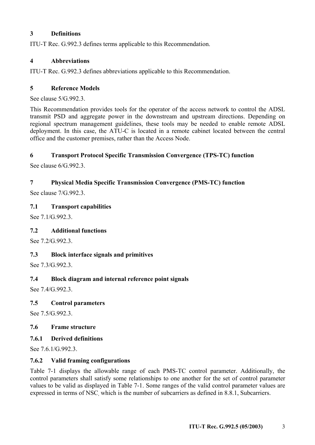### **3 Definitions**

ITU-T Rec. G.992.3 defines terms applicable to this Recommendation.

### **4 Abbreviations**

ITU-T Rec. G.992.3 defines abbreviations applicable to this Recommendation.

### **5 Reference Models**

See clause 5/G 992.3.

This Recommendation provides tools for the operator of the access network to control the ADSL transmit PSD and aggregate power in the downstream and upstream directions. Depending on regional spectrum management guidelines, these tools may be needed to enable remote ADSL deployment. In this case, the ATU-C is located in a remote cabinet located between the central office and the customer premises, rather than the Access Node.

### **6 Transport Protocol Specific Transmission Convergence (TPS-TC) function**

See clause 6/G 992.3.

## **7 Physical Media Specific Transmission Convergence (PMS-TC) function**

See clause 7/G.992.3.

### **7.1 Transport capabilities**

See 7.1/G.992.3.

### **7.2 Additional functions**

See 7.2/G.992.3.

## **7.3 Block interface signals and primitives**

See 7.3/G.992.3.

## **7.4 Block diagram and internal reference point signals**

See 7.4/G.992.3.

### **7.5 Control parameters**

See 7.5/G.992.3.

### **7.6 Frame structure**

### **7.6.1 Derived definitions**

See 7.6.1/G.992.3.

### **7.6.2 Valid framing configurations**

Table 7-1 displays the allowable range of each PMS-TC control parameter. Additionally, the control parameters shall satisfy some relationships to one another for the set of control parameter values to be valid as displayed in Table 7-1. Some ranges of the valid control parameter values are expressed in terms of NSC, which is the number of subcarriers as defined in 8.8.1, Subcarriers.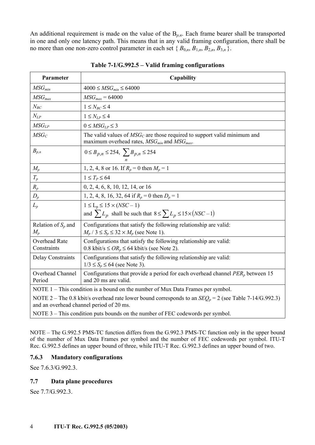An additional requirement is made on the value of the B*p,n*. Each frame bearer shall be transported in one and only one latency path. This means that in any valid framing configuration, there shall be no more than one non-zero control parameter in each set  $\{B_{0,n}, B_{1,n}, B_{2,n}, B_{3,n}\}.$ 

| Parameter                                                                                                                                            | Capability                                                                                                                            |  |
|------------------------------------------------------------------------------------------------------------------------------------------------------|---------------------------------------------------------------------------------------------------------------------------------------|--|
| $MSG_{min}$                                                                                                                                          | $4000 \leq MSG_{min} \leq 64000$                                                                                                      |  |
| $MSG_{max}$                                                                                                                                          | $MSG_{max} = 64000$                                                                                                                   |  |
| $N_{BC}$                                                                                                                                             | $1 \leq N_{BC} \leq 4$                                                                                                                |  |
| $N_{LP}$                                                                                                                                             | $1 \leq N_{LP} \leq 4$                                                                                                                |  |
| $MSG_{LP}$                                                                                                                                           | $0 \leq MSG_{LP} \leq 3$                                                                                                              |  |
| $MSG_C$                                                                                                                                              | The valid values of $MSG_C$ are those required to support valid minimum and<br>maximum overhead rates, $MSG_{min}$ and $MSG_{max}$ .  |  |
| $B_{p,n}$                                                                                                                                            | $0 \le B_{p,n} \le 254$ , $\sum B_{p,n} \le 254$                                                                                      |  |
| $M_p$                                                                                                                                                | 1, 2, 4, 8 or 16. If $R_p = 0$ then $M_p = 1$                                                                                         |  |
| $T_p$                                                                                                                                                | $1 \le T_P \le 64$                                                                                                                    |  |
| $R_p$                                                                                                                                                | 0, 2, 4, 6, 8, 10, 12, 14, or 16                                                                                                      |  |
| $D_p$                                                                                                                                                | 1, 2, 4, 8, 16, 32, 64 if $R_p = 0$ then $D_p = 1$                                                                                    |  |
| $L_p$                                                                                                                                                | $1 \le L_p \le 15 \times (NSC - 1)$                                                                                                   |  |
|                                                                                                                                                      | and $\sum L_p$ shall be such that $8 \le \sum L_p \le 15 \times (NSC - 1)$                                                            |  |
| Relation of $S_p$ and                                                                                                                                | Configurations that satisfy the following relationship are valid:                                                                     |  |
| $M_p$                                                                                                                                                | $M_p$ / 3 $\leq S_p \leq 32 \times M_p$ (see Note 1).                                                                                 |  |
| Overhead Rate<br>Constraints                                                                                                                         | Configurations that satisfy the following relationship are valid:<br>0.8 kbit/s $\leq$ OR <sub>p</sub> $\leq$ 64 kbit/s (see Note 2). |  |
| <b>Delay Constraints</b>                                                                                                                             | Configurations that satisfy the following relationship are valid:<br>$1/3 \le S_p \le 64$ (see Note 3).                               |  |
| Overhead Channel<br>Period                                                                                                                           | Configurations that provide a period for each overhead channel $PER_p$ between 15<br>and 20 ms are valid.                             |  |
| NOTE 1 - This condition is a bound on the number of Mux Data Frames per symbol.                                                                      |                                                                                                                                       |  |
| NOTE 2 – The 0.8 kbit/s overhead rate lower bound corresponds to an $SEQ_p = 2$ (see Table 7-14/G.992.3)<br>and an overhead channel period of 20 ms. |                                                                                                                                       |  |
|                                                                                                                                                      | NOTE 3 – This condition puts bounds on the number of FEC codewords per symbol.                                                        |  |

**Table 7-1/G.992.5 – Valid framing configurations** 

NOTE – The G.992.5 PMS-TC function differs from the G.992.3 PMS-TC function only in the upper bound of the number of Mux Data Frames per symbol and the number of FEC codewords per symbol. ITU-T Rec. G.992.5 defines an upper bound of three, while ITU-T Rec. G.992.3 defines an upper bound of two.

### **7.6.3 Mandatory configurations**

See 7.6.3/G.992.3.

#### **7.7 Data plane procedures**

See 7.7/G.992.3.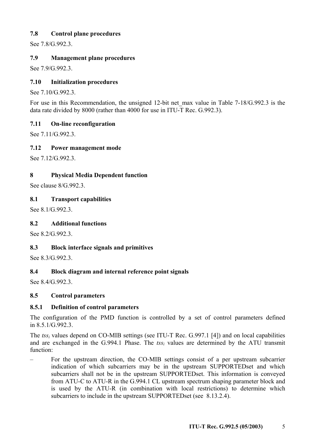### **7.8 Control plane procedures**

See 7.8/G.992.3.

### **7.9 Management plane procedures**

See 7.9/G.992.3.

### **7.10 Initialization procedures**

See 7.10/G.992.3.

For use in this Recommendation, the unsigned 12-bit net max value in Table 7-18/G.992.3 is the data rate divided by 8000 (rather than 4000 for use in ITU-T Rec. G.992.3).

### **7.11 On-line reconfiguration**

See 7.11/G.992.3.

### **7.12 Power management mode**

See 7.12/G.992.3.

### **8 Physical Media Dependent function**

See clause 8/G.992.3.

#### **8.1 Transport capabilities**

See 8.1/G.992.3.

### **8.2 Additional functions**

See 8.2/G.992.3.

### **8.3 Block interface signals and primitives**

See 8.3/G.992.3.

### **8.4 Block diagram and internal reference point signals**

See 8.4/G.992.3.

### **8.5 Control parameters**

### **8.5.1 Definition of control parameters**

The configuration of the PMD function is controlled by a set of control parameters defined in 8.5.1/G.992.3.

The *tssi* values depend on CO-MIB settings (see ITU-T Rec. G.997.1 [4]) and on local capabilities and are exchanged in the G.994.1 Phase. The *tssi* values are determined by the ATU transmit function:

– For the upstream direction, the CO-MIB settings consist of a per upstream subcarrier indication of which subcarriers may be in the upstream SUPPORTEDset and which subcarriers shall not be in the upstream SUPPORTEDset. This information is conveyed from ATU-C to ATU-R in the G.994.1 CL upstream spectrum shaping parameter block and is used by the ATU-R (in combination with local restrictions) to determine which subcarriers to include in the upstream SUPPORTEDset (see 8.13.2.4).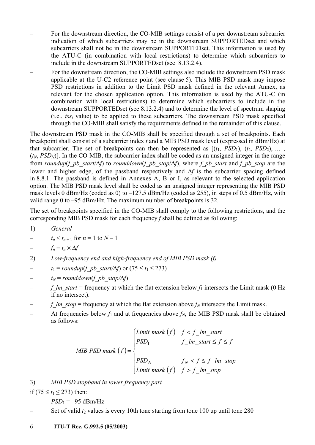- For the downstream direction, the CO-MIB settings consist of a per downstream subcarrier indication of which subcarriers may be in the downstream SUPPORTEDset and which subcarriers shall not be in the downstream SUPPORTEDset. This information is used by the ATU-C (in combination with local restrictions) to determine which subcarriers to include in the downstream SUPPORTEDset (see 8.13.2.4).
- For the downstream direction, the CO-MIB settings also include the downstream PSD mask applicable at the U-C2 reference point (see clause 5). This MIB PSD mask may impose PSD restrictions in addition to the Limit PSD mask defined in the relevant Annex, as relevant for the chosen application option. This information is used by the ATU-C (in combination with local restrictions) to determine which subcarriers to include in the downstream SUPPORTEDset (see 8.13.2.4) and to determine the level of spectrum shaping  $(i.e., ts<sub>i</sub> value)$  to be applied to these subcarriers. The downstream PSD mask specified through the CO-MIB shall satisfy the requirements defined in the remainder of this clause.

The downstream PSD mask in the CO-MIB shall be specified through a set of breakpoints. Each breakpoint shall consist of a subcarrier index *t* and a MIB PSD mask level (expressed in dBm/Hz) at that subcarrier. The set of breakpoints can then be represented as  $[(t_1, PSD_1), (t_2, PSD_2), \ldots]$  $(t_N, PSD_N)$ ]. In the CO-MIB, the subcarrier index shall be coded as an unsigned integer in the range from *roundup*(*f\_pb\_start*/∆*f*) to *rounddown*(*f*\_*pb*\_*stop*/∆*f*), where *f*\_*pb*\_*start* and *f*\_*pb*\_*stop* are the lower and higher edge, of the passband respectively and ∆*f* is the subcarrier spacing defined in 8.8.1. The passband is defined in Annexes A, B or I, as relevant to the selected application option. The MIB PSD mask level shall be coded as an unsigned integer representing the MIB PSD mask levels 0 dBm/Hz (coded as 0) to –127.5 dBm/Hz (coded as 255), in steps of 0.5 dBm/Hz, with valid range 0 to –95 dBm/Hz. The maximum number of breakpoints is 32.

The set of breakpoints specified in the CO-MIB shall comply to the following restrictions, and the corresponding MIB PSD mask for each frequency *f* shall be defined as following:

- 1) *General*
- $t_n < t_{n+1}$  for  $n = 1$  to  $N 1$

$$
- f_n = t_n \times \Delta f
$$

- 2) *Low-frequency end and high-frequency end of MIB PSD mask (f)*
- $-$  *t*<sub>1</sub> = *roundup*(*f\_pb\_start*/∆*f*) or (75 ≤ *t*<sub>1</sub> ≤ 273)
- $-t_N = rounddown(f$  *pb* stop/ $\Delta f$ )
- $f_{\perp}$ *lm\_start* = frequency at which the flat extension below  $f_1$  intersects the Limit mask (0 Hz if no intersect).
- $f/m$  *stop* = frequency at which the flat extension above  $f_N$  intersects the Limit mask.
- At frequencies below  $f_1$  and at frequencies above  $f_N$ , the MIB PSD mask shall be obtained as follows:

$$
MIB PSD mask (f) = \begin{cases} Limit mask (f) & f < f\_lm\_start \\ PSD_1 & f\_lm\_start \le f \le f_1 \\ PSD_N & f_N < f \le f\_lm\_stop \\ Limit mask (f) & f > f\_lm\_stop \end{cases}
$$

3) *MIB PSD stopband in lower frequency part*

if (75 ≤  $t_1$  ≤ 273) then:

- $PSD_1 = -95$  dBm/Hz
- Set of valid  $t_2$  values is every 10th tone starting from tone 100 up until tone 280

#### 6 **ITU-T Rec. G.992.5 (05/2003)**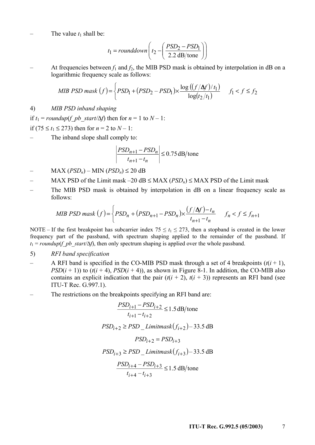The value  $t_1$  shall be:

$$
t_1 = rounddown\left(t_2 - \left(\frac{PSD_2 - PSD_1}{2.2 \text{ dB/tone}}\right)\right)
$$

At frequencies between  $f_1$  and  $f_2$ , the MIB PSD mask is obtained by interpolation in dB on a logarithmic frequency scale as follows:

$$
MIB \; PSD \; mask \; (f) = \left\{ PSD_1 + (PSD_2 - PSD_1) \times \frac{\log ((f/\Delta f)/t_1)}{\log(t_2/t_1)} \quad f_1 < f \le f_2 \right\}
$$

4) *MIB PSD inband shaping*

if  $t_1$  = *roundup*(*f\_pb\_start*/ $\Delta f$ ) then for  $n = 1$  to  $N - 1$ :

if (75 ≤  $t_1$  ≤ 273) then for  $n = 2$  to  $N - 1$ :

– The inband slope shall comply to:

$$
\left| \frac{PSD_{n+1} - PSD_n}{t_{n+1} - t_n} \right| \le 0.75 \,\text{dB/tone}
$$

- $-$  MAX  $(PSD<sub>n</sub>) MIN (PSD<sub>n</sub>) \le 20 dB$
- MAX PSD of the Limit mask –20 dB  $\leq$  MAX (*PSD<sub>n</sub>*)  $\leq$  MAX PSD of the Limit mask
- The MIB PSD mask is obtained by interpolation in dB on a linear frequency scale as follows:

$$
MIB \, PSD \, mask \, (f) = \left\{ PSD_n + (PSD_{n+1} - PSD_n) \times \frac{(f/\Delta f) - t_n}{t_{n+1} - t_n} \quad f_n < f \le f_{n+1} \right\}
$$

NOTE – If the first breakpoint has subcarrier index  $75 \le t_1 \le 273$ , then a stopband is created in the lower frequency part of the passband, with spectrum shaping applied to the remainder of the passband. If  $t_1$  = *roundup*(*f pb* start/ $\Delta f$ ), then only spectrum shaping is applied over the whole passband.

- 5) *RFI band specification*
- $-$  A RFI band is specified in the CO-MIB PSD mask through a set of 4 breakpoints  $(t(i + 1))$ , *PSD*( $i + 1$ )) to ( $t(i + 4)$ , *PSD*( $i + 4$ )), as shown in Figure 8-1. In addition, the CO-MIB also contains an explicit indication that the pair  $(t(i + 2), t(i + 3))$  represents an RFI band (see ITU-T Rec. G.997.1).
- The restrictions on the breakpoints specifying an RFI band are:

$$
\frac{PSD_{i+1} - PSD_{i+2}}{t_{i+1} - t_{i+2}} \le 1.5 \,\text{dB/tone}
$$
\n
$$
PSD_{i+2} \ge PSD \_ \text{Limitmask}(f_{i+2}) - 33.5 \,\text{dB}
$$
\n
$$
PSD_{i+2} = PSD_{i+3}
$$
\n
$$
PSD_{i+3} \ge PSD \_ \text{Limitmask}(f_{i+3}) - 33.5 \,\text{dB}
$$
\n
$$
\frac{PSD_{i+4} - PSD_{i+3}}{t_{i+4} - t_{i+3}} \le 1.5 \,\text{dB/tone}
$$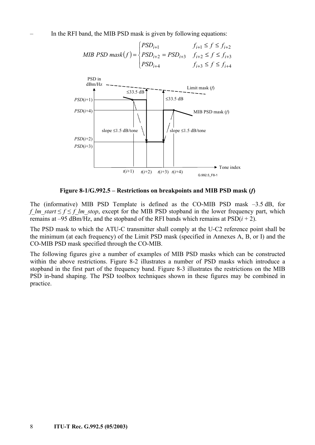– In the RFI band, the MIB PSD mask is given by following equations:



**Figure 8-1/G.992.5 – Restrictions on breakpoints and MIB PSD mask (***f***)** 

The (informative) MIB PSD Template is defined as the CO-MIB PSD mask –3.5 dB, for *f* lm start  $\leq f \leq f$  lm stop, except for the MIB PSD stopband in the lower frequency part, which remains at  $-95$  dBm/Hz, and the stopband of the RFI bands which remains at  $PSD(i + 2)$ .

The PSD mask to which the ATU-C transmitter shall comply at the U-C2 reference point shall be the minimum (at each frequency) of the Limit PSD mask (specified in Annexes A, B, or I) and the CO-MIB PSD mask specified through the CO-MIB.

The following figures give a number of examples of MIB PSD masks which can be constructed within the above restrictions. Figure 8-2 illustrates a number of PSD masks which introduce a stopband in the first part of the frequency band. Figure 8-3 illustrates the restrictions on the MIB PSD in-band shaping. The PSD toolbox techniques shown in these figures may be combined in practice.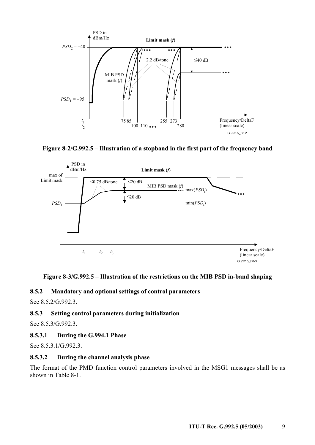





**Figure 8-3/G.992.5 – Illustration of the restrictions on the MIB PSD in-band shaping** 

### **8.5.2 Mandatory and optional settings of control parameters**

See 8.5.2/G.992.3.

## **8.5.3 Setting control parameters during initialization**

See 8.5.3/G.992.3.

## **8.5.3.1 During the G.994.1 Phase**

See 8.5.3.1/G.992.3.

### **8.5.3.2 During the channel analysis phase**

The format of the PMD function control parameters involved in the MSG1 messages shall be as shown in Table 8-1.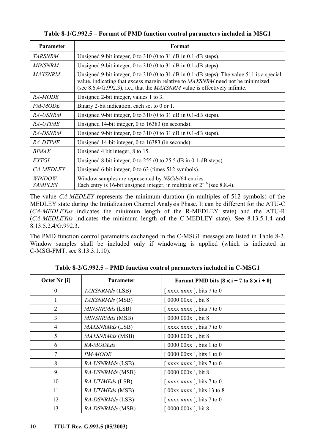| Table 8-1/G.992.5 – Format of PMD function control parameters included in MSG1 |  |  |  |  |
|--------------------------------------------------------------------------------|--|--|--|--|
|--------------------------------------------------------------------------------|--|--|--|--|

| <b>Parameter</b>                | Format                                                                                                                                                                                                                                                           |
|---------------------------------|------------------------------------------------------------------------------------------------------------------------------------------------------------------------------------------------------------------------------------------------------------------|
| <i>TARSNRM</i>                  | Unsigned 9-bit integer, 0 to 310 (0 to 31 dB in 0.1-dB steps).                                                                                                                                                                                                   |
| <i>MINSNRM</i>                  | Unsigned 9-bit integer, 0 to 310 (0 to 31 dB in $0.1$ -dB steps).                                                                                                                                                                                                |
| <i>MAXSNRM</i>                  | Unsigned 9-bit integer, 0 to 310 (0 to 31 dB in 0.1-dB steps). The value 511 is a special<br>value, indicating that excess margin relative to MAXSNRM need not be minimized<br>(see 8.6.4/G.992.3), i.e., that the <i>MAXSNRM</i> value is effectively infinite. |
| RA-MODE                         | Unsigned 2-bit integer, values 1 to 3.                                                                                                                                                                                                                           |
| <i>PM-MODE</i>                  | Binary 2-bit indication, each set to 0 or 1.                                                                                                                                                                                                                     |
| <i>RA-USNRM</i>                 | Unsigned 9-bit integer, 0 to 310 (0 to 31 dB in $0.1$ -dB steps).                                                                                                                                                                                                |
| <b>RA-UTIME</b>                 | Unsigned 14-bit integer, 0 to 16383 (in seconds).                                                                                                                                                                                                                |
| <i>RA-DSNRM</i>                 | Unsigned 9-bit integer, 0 to 310 (0 to 31 dB in $0.1$ -dB steps).                                                                                                                                                                                                |
| <b>RA-DTIME</b>                 | Unsigned 14-bit integer, 0 to 16383 (in seconds).                                                                                                                                                                                                                |
| <b>BIMAX</b>                    | Unsigned 4 bit integer, 8 to 15.                                                                                                                                                                                                                                 |
| <b>EXTGI</b>                    | Unsigned 8-bit integer, 0 to 255 (0 to 25.5 dB in $0.1$ -dB steps).                                                                                                                                                                                              |
| <b>CA-MEDLEY</b>                | Unsigned 6-bit integer, 0 to 63 (times 512 symbols).                                                                                                                                                                                                             |
| <b>WINDOW</b><br><b>SAMPLES</b> | Window samples are represented by NSCds/64 entries.<br>Each entry is 16-bit unsigned integer, in multiple of $2^{-16}$ (see 8.8.4).                                                                                                                              |

The value *CA-MEDLEY* represents the minimum duration (in multiples of 512 symbols) of the MEDLEY state during the Initialization Channel Analysis Phase. It can be different for the ATU-C (*CA-MEDLEYus* indicates the minimum length of the R-MEDLEY state) and the ATU-R (*CA-MEDLEYds* indicates the minimum length of the C-MEDLEY state). See 8.13.5.1.4 and 8.13.5.2.4/G.992.3.

The PMD function control parameters exchanged in the C-MSG1 message are listed in Table 8-2. Window samples shall be included only if windowing is applied (which is indicated in C-MSG-FMT, see 8.13.3.1.10).

| Octet Nr [i] | <b>Parameter</b>       | Format PMD bits $[8 \times i + 7$ to $8 \times i + 0]$ |
|--------------|------------------------|--------------------------------------------------------|
| $\theta$     | <i>TARSNRMds</i> (LSB) | [XXXX XXXX ], bits 7 to 0                              |
|              | TARSNRMds (MSB)        | $[0000000xx]$ , bit 8                                  |
| 2            | MINSNRMds (LSB)        | [ $xxxx$ $\,$ xx $\,$ ], bits 7 to 0                   |
| 3            | MINSNRMds (MSB)        | $[00000000x]$ , bit 8                                  |
| 4            | <b>MAXSNRMds</b> (LSB) | [XXXX XXXX ], bits 7 to 0                              |
| 5            | <b>MAXSNRMds</b> (MSB) | $[00000000x]$ , bit 8                                  |
| 6            | RA-MODEds              | $[0000000xx]$ , bits 1 to 0                            |
| 7            | <b>PM-MODE</b>         | $[0000000xx]$ , bits 1 to 0                            |
| 8            | RA-USNRMds (LSB)       | [XXXX XXXX ], bits 7 to 0                              |
| 9            | RA-USNRMds (MSB)       | $[00000000x]$ , bit 8                                  |
| 10           | RA-UTIMEds (LSB)       | [ $xxxx$ $\,$ xx $\,$ ], bits 7 to 0                   |
| 11           | RA-UTIMEds (MSB)       | $\left[00x$ x xxxx $\right]$ , bits 13 to 8            |
| 12           | RA-DSNRMds (LSB)       | [XXXX XXXX ], bits 7 to 0                              |
| 13           | RA-DSNRMds (MSB)       | $[0000000x]$ , bit 8                                   |

**Table 8-2/G.992.5 – PMD function control parameters included in C-MSG1**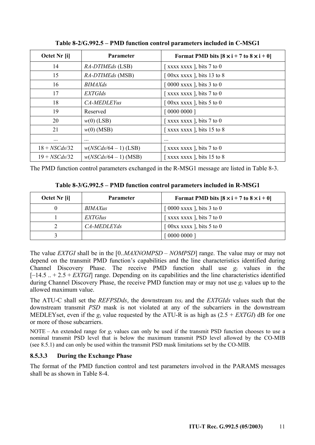| Octet Nr [i]    | Parameter               | Format PMD bits $[8 \times i + 7$ to $8 \times i + 0]$ |
|-----------------|-------------------------|--------------------------------------------------------|
| 14              | RA-DTIMEds (LSB)        | [ $\text{xxxx } \text{xxxx}$ ], bits 7 to 0            |
| 15              | RA-DTIMEds (MSB)        | $\left[00x$ x xxxx $\right]$ , bits 13 to 8            |
| 16              | <b>BIMAXds</b>          | $[0000$ xxxx ], bits 3 to 0                            |
| 17              | <i>EXTGIds</i>          | [ $\overline{xxxx}$ $\overline{xxx}$ ], bits 7 to 0    |
| 18              | CA-MEDLEYus             | $\left[00\right]$ 00xx xxxx $\left]$ , bits 5 to 0     |
| 19              | Reserved                | [0000000]                                              |
| 20              | $w(0)$ (LSB)            | [ $\overline{xxxx}$ xxxx ], bits 7 to 0                |
| 21              | $w(0)$ (MSB)            | [ $\text{XXX}$ xxxx ], bits 15 to 8                    |
| $\cdots$        | $\cdots$                | $\cdots$                                               |
| $18 + NSCds/32$ | $w(NSCds/64 - 1)$ (LSB) | [ $\text{XXX}$ xxxx ], bits 7 to 0                     |
| $19 + NSCds/32$ | $w(NSCds/64 - 1)$ (MSB) | [ $\overline{xxxx}$ $\overline{xxx}$ ], bits 15 to 8   |

**Table 8-2/G.992.5 – PMD function control parameters included in C-MSG1** 

The PMD function control parameters exchanged in the R-MSG1 message are listed in Table 8-3.

**Table 8-3/G.992.5 – PMD function control parameters included in R-MSG1** 

| Octet Nr [i] | <b>Parameter</b> | Format PMD bits $[8 \times i + 7$ to $8 \times i + 0]$ |
|--------------|------------------|--------------------------------------------------------|
|              | <i>BIMAXus</i>   | $\left[0000 \right]$ xxxx ], bits 3 to 0               |
|              | <i>EXTGIus</i>   | $\left[$ xxxx xxxx $\right]$ , bits 7 to 0             |
|              | CA-MEDLEYds      | $\left[00x \right]$ 00xx xxx , bits 5 to 0             |
|              |                  | $00000000$ ]                                           |

The value *EXTGI* shall be in the [0..*MAXNOMPSD* – *NOMPSD*] range. The value may or may not depend on the transmit PMD function's capabilities and the line characteristics identified during Channel Discovery Phase. The receive PMD function shall use  $g_i$  values in the  $[-14.5]$ . + 2.5 + *EXTGI*] range. Depending on its capabilities and the line characteristics identified during Channel Discovery Phase, the receive PMD function may or may not use *gi* values up to the allowed maximum value.

The ATU-C shall set the *REFPSDds*, the downstream *tssi* and the *EXTGIds* values such that the downstream transmit *PSD* mask is not violated at any of the subcarriers in the downstream MEDLEYset, even if the  $g_i$  value requested by the ATU-R is as high as  $(2.5 + \text{EXT}G)$  dB for one or more of those subcarriers.

NOTE – An extended range for *gi* values can only be used if the transmit PSD function chooses to use a nominal transmit PSD level that is below the maximum transmit PSD level allowed by the CO-MIB (see 8.5.1) and can only be used within the transmit PSD mask limitations set by the CO-MIB.

### **8.5.3.3 During the Exchange Phase**

The format of the PMD function control and test parameters involved in the PARAMS messages shall be as shown in Table 8-4.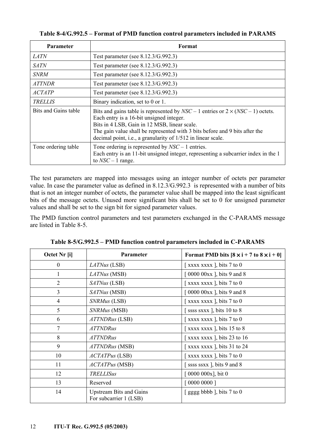#### **Table 8-4/G.992.5 – Format of PMD function control parameters included in PARAMS**

| <b>Parameter</b>     | Format                                                                                                                                                                                                                                                                                                                              |
|----------------------|-------------------------------------------------------------------------------------------------------------------------------------------------------------------------------------------------------------------------------------------------------------------------------------------------------------------------------------|
| <i>LATN</i>          | Test parameter (see 8.12.3/G.992.3)                                                                                                                                                                                                                                                                                                 |
| <i>SATN</i>          | Test parameter (see 8.12.3/G.992.3)                                                                                                                                                                                                                                                                                                 |
| <b>SNRM</b>          | Test parameter (see 8.12.3/G.992.3)                                                                                                                                                                                                                                                                                                 |
| <i>ATTNDR</i>        | Test parameter (see 8.12.3/G.992.3)                                                                                                                                                                                                                                                                                                 |
| <i>ACTATP</i>        | Test parameter (see 8.12.3/G.992.3)                                                                                                                                                                                                                                                                                                 |
| <b>TRELLIS</b>       | Binary indication, set to 0 or 1.                                                                                                                                                                                                                                                                                                   |
| Bits and Gains table | Bits and gains table is represented by $NSC - 1$ entries or $2 \times (NSC - 1)$ octets.<br>Each entry is a 16-bit unsigned integer.<br>Bits in 4 LSB, Gain in 12 MSB, linear scale.<br>The gain value shall be represented with 3 bits before and 9 bits after the<br>decimal point, i.e., a granularity of 1/512 in linear scale. |
| Tone ordering table  | Tone ordering is represented by $NSC - 1$ entries.<br>Each entry is an 11-bit unsigned integer, representing a subcarrier index in the 1<br>to $NSC - 1$ range.                                                                                                                                                                     |

The test parameters are mapped into messages using an integer number of octets per parameter value. In case the parameter value as defined in 8.12.3/G.992.3 is represented with a number of bits that is not an integer number of octets, the parameter value shall be mapped into the least significant bits of the message octets. Unused more significant bits shall be set to 0 for unsigned parameter values and shall be set to the sign bit for signed parameter values.

The PMD function control parameters and test parameters exchanged in the C-PARAMS message are listed in Table 8-5.

| Octet Nr [i]     | <b>Parameter</b>                                         | Format PMD bits $[8 \times i + 7$ to $8 \times i + 0]$                                                                                                                                                                                                                                                                                                                                                                                                                                  |
|------------------|----------------------------------------------------------|-----------------------------------------------------------------------------------------------------------------------------------------------------------------------------------------------------------------------------------------------------------------------------------------------------------------------------------------------------------------------------------------------------------------------------------------------------------------------------------------|
| $\boldsymbol{0}$ | <i>LATNus</i> (LSB)                                      | [ $\overline{xx}$ $\overline{x}$ $\overline{x}$ $\overline{x}$ $\overline{x}$ $\overline{x}$ $\overline{x}$ $\overline{x}$ $\overline{x}$ $\overline{x}$ $\overline{x}$ $\overline{x}$ $\overline{x}$ $\overline{x}$ $\overline{x}$ $\overline{x}$ $\overline{x}$ $\overline{x}$ $\overline{x}$ $\overline{x}$ $\overline{x}$ $\overline{x}$ $\overline{x}$ $\overline{x}$ $\overline{x}$ $\overline{x}$ $\overline{x}$ $\overline{x}$ $\overline{x}$ $\overline{x}$ $\overline{x}$ $\$ |
| 1                | LATNus (MSB)                                             | $[0000000xx]$ , bits 9 and 8                                                                                                                                                                                                                                                                                                                                                                                                                                                            |
| $\overline{2}$   | SATNus (LSB)                                             | $\left[$ xxxx xxxx $\right]$ , bits 7 to 0                                                                                                                                                                                                                                                                                                                                                                                                                                              |
| 3                | SATNus (MSB)                                             | $[0000000xx]$ , bits 9 and 8                                                                                                                                                                                                                                                                                                                                                                                                                                                            |
| 4                | SNRMus (LSB)                                             | $\left[$ xxxx xxxx $\right]$ , bits 7 to 0                                                                                                                                                                                                                                                                                                                                                                                                                                              |
| 5                | SNRMus (MSB)                                             | $\left[$ ssss sxxx $\right]$ , bits 10 to 8                                                                                                                                                                                                                                                                                                                                                                                                                                             |
| 6                | ATTNDRus (LSB)                                           | $\left[$ xxxx xxxx $\right]$ , bits 7 to 0                                                                                                                                                                                                                                                                                                                                                                                                                                              |
| $\tau$           | <b>ATTNDRus</b>                                          | [ $\text{xxxx }$ xxxx ], bits 15 to 8                                                                                                                                                                                                                                                                                                                                                                                                                                                   |
| 8                | <b>ATTNDRus</b>                                          | [XXXX XXXX ], bits 23 to 16                                                                                                                                                                                                                                                                                                                                                                                                                                                             |
| 9                | ATTNDRus (MSB)                                           | $\left[$ xxxx xxxx $\right]$ , bits 31 to 24                                                                                                                                                                                                                                                                                                                                                                                                                                            |
| 10               | <b>ACTATPus</b> (LSB)                                    | [XXXX XXXX ], bits 7 to 0                                                                                                                                                                                                                                                                                                                                                                                                                                                               |
| 11               | ACTATPus (MSB)                                           | [ $ssss$ ssxx], bits 9 and 8                                                                                                                                                                                                                                                                                                                                                                                                                                                            |
| 12               | <b>TRELLISus</b>                                         | $[0000000x]$ , bit 0                                                                                                                                                                                                                                                                                                                                                                                                                                                                    |
| 13               | Reserved                                                 | [0000000]                                                                                                                                                                                                                                                                                                                                                                                                                                                                               |
| 14               | <b>Upstream Bits and Gains</b><br>For subcarrier 1 (LSB) | [gggg bbbb ], bits $7$ to $0$                                                                                                                                                                                                                                                                                                                                                                                                                                                           |

**Table 8-5/G.992.5 – PMD function control parameters included in C-PARAMS**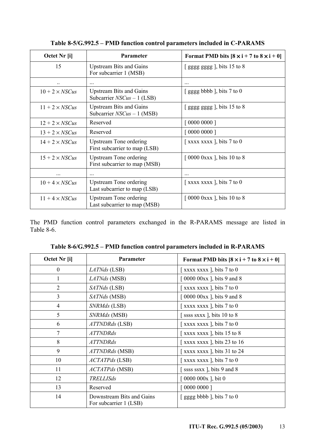| Octet Nr [i]           | <b>Parameter</b>                                               | Format PMD bits $[8 \times i + 7$ to $8 \times i + 0]$ |
|------------------------|----------------------------------------------------------------|--------------------------------------------------------|
| 15                     | <b>Upstream Bits and Gains</b><br>For subcarrier 1 (MSB)       | [gggggggggg], bits $15$ to $8$                         |
| $\ddotsc$              | $\cdots$                                                       | $\cdots$                                               |
| $10 + 2 \times NSC$ us | <b>Upstream Bits and Gains</b><br>Subcarrier $NSCus - 1$ (LSB) | [gggg bbbb ], bits 7 to 0                              |
| $11 + 2 \times NSCus$  | <b>Upstream Bits and Gains</b><br>Subcarrier $NSCus - 1$ (MSB) | [gggggggggg], bits $15$ to $8$                         |
| $12 + 2 \times NSCus$  | Reserved                                                       | [0000000]                                              |
| $13 + 2 \times NSCus$  | Reserved                                                       | [0000000]                                              |
| $14 + 2 \times NSCus$  | Upstream Tone ordering<br>First subcarrier to map (LSB)        | $\left[$ xxxx xxxx $\right]$ , bits 7 to 0             |
| $15 + 2 \times NSC$ us | <b>Upstream Tone ordering</b><br>First subcarrier to map (MSB) |                                                        |
| $\cdots$               | $\cdots$                                                       | $\cdots$                                               |
| $10 + 4 \times NSCus$  | <b>Upstream Tone ordering</b><br>Last subcarrier to map (LSB)  | [ $\text{xxxx } \text{xxxx}$ ], bits 7 to 0            |
| $11 + 4 \times NSCus$  | <b>Upstream Tone ordering</b><br>Last subcarrier to map (MSB)  |                                                        |

### **Table 8-5/G.992.5 – PMD function control parameters included in C-PARAMS**

The PMD function control parameters exchanged in the R-PARAMS message are listed in Table 8-6.

| Octet Nr [i]   | <b>Parameter</b>                                    | Format PMD bits $[8 \times i + 7$ to $8 \times i + 0]$ |
|----------------|-----------------------------------------------------|--------------------------------------------------------|
| $\theta$       | LATNds (LSB)                                        | [ $\text{XXX}$ $\text{XXX}$ ], bits 7 to 0             |
| 1              | LATNds (MSB)                                        | $[0000000xx]$ , bits 9 and 8                           |
| $\overline{2}$ | SATNds (LSB)                                        | [ $\text{xxxx } \text{xxxx}$ ], bits 7 to 0            |
| $\overline{3}$ | SATNds (MSB)                                        | $[0000000xx]$ , bits 9 and 8                           |
| $\overline{4}$ | SNRMds (LSB)                                        | [ $xxxx$ $\,$ xx $\,$ ], bits 7 to 0                   |
| 5              | SNRMds (MSB)                                        | $\left[$ ssss sxxx $\right]$ , bits 10 to 8            |
| 6              | ATTNDRds (LSB)                                      | [XXXX XXXX ], bits 7 to 0                              |
| $\overline{7}$ | <b>ATTNDRds</b>                                     | [ $xxxx$ $\,xxx$ ], bits 15 to 8                       |
| 8              | <i>ATTNDRds</i>                                     | $\left[$ xxxx xxxx $\right]$ , bits 23 to 16           |
| 9              | <i>ATTNDRds</i> (MSB)                               | $\left[$ xxxx xxxx $\right]$ , bits 31 to 24           |
| 10             | <b>ACTATPds</b> (LSB)                               | [ $\text{XXX}$ xxxx ], bits 7 to 0                     |
| 11             | ACTATPds (MSB)                                      | [SSSS SSXX ], bits 9 and 8                             |
| 12             | <b>TRELLISds</b>                                    | $[00000000x]$ , bit 0                                  |
| 13             | Reserved                                            | [0000000]                                              |
| 14             | Downstream Bits and Gains<br>For subcarrier 1 (LSB) | [gggg bbbb ], bits 7 to 0                              |

**Table 8-6/G.992.5 – PMD function control parameters included in R-PARAMS**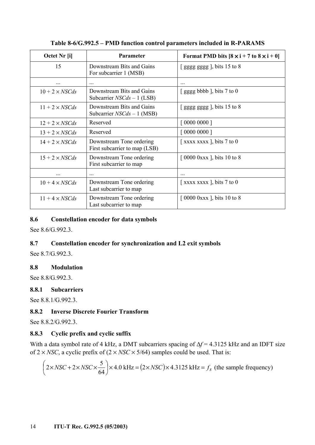| Octet Nr [i]           | Parameter                                                 | Format PMD bits $[8 \times i + 7$ to $8 \times i + 0]$  |
|------------------------|-----------------------------------------------------------|---------------------------------------------------------|
| 15                     | Downstream Bits and Gains<br>For subcarrier 1 (MSB)       | [ggggggggg], bits $15$ to $8$                           |
| $\cdots$               | $\cdots$                                                  | $\cdots$                                                |
| $10 + 2 \times NSCds$  | Downstream Bits and Gains<br>Subcarrier $NSCds - 1$ (LSB) | [ $gggg$ bbbb ], bits 7 to 0                            |
| $11 + 2 \times NSC ds$ | Downstream Bits and Gains<br>Subcarrier $NSCds - 1$ (MSB) | [gggggggggg], bits $15$ to $8$                          |
| $12 + 2 \times NSC$ ds | Reserved                                                  | [00000000]                                              |
| $13 + 2 \times NSC$ ds | Reserved                                                  | [0000000]                                               |
| $14 + 2 \times NSC$ ds | Downstream Tone ordering<br>First subcarrier to map (LSB) | $\left[\right]$ xxxx xxxx $\left.\right]$ , bits 7 to 0 |
| $15 + 2 \times NSCds$  | Downstream Tone ordering<br>First subcarrier to map       |                                                         |
| $\ddotsc$              | $\cdots$                                                  | $\ddotsc$                                               |
| $10 + 4 \times NSC$ ds | Downstream Tone ordering<br>Last subcarrier to map        | [XXXX XXXX ], bits 7 to 0                               |
| $11 + 4 \times NSCds$  | Downstream Tone ordering<br>Last subcarrier to map        |                                                         |

#### **Table 8-6/G.992.5 – PMD function control parameters included in R-PARAMS**

#### **8.6 Constellation encoder for data symbols**

See 8.6/G.992.3.

### **8.7 Constellation encoder for synchronization and L2 exit symbols**

See 8.7/G.992.3.

#### **8.8 Modulation**

See 8.8/G.992.3.

### **8.8.1 Subcarriers**

See 8.8.1/G.992.3.

### **8.8.2 Inverse Discrete Fourier Transform**

See 8.8.2/G.992.3.

## **8.8.3 Cyclic prefix and cyclic suffix**

With a data symbol rate of 4 kHz, a DMT subcarriers spacing of ∆*f* = 4.3125 kHz and an IDFT size of  $2 \times NSC$ , a cyclic prefix of  $(2 \times NSC \times 5/64)$  samples could be used. That is:

$$
\left(2 \times NSC + 2 \times NSC \times \frac{5}{64}\right) \times 4.0 \text{ kHz} = (2 \times NSC) \times 4.3125 \text{ kHz} = f_s \text{ (the sample frequency)}
$$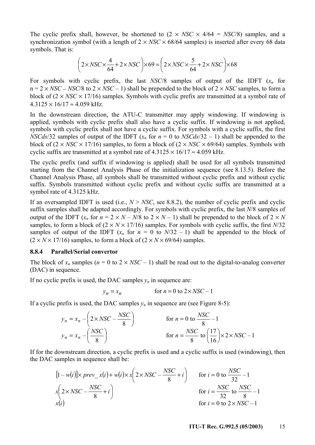The cyclic prefix shall, however, be shortened to  $(2 \times NSC \times 4/64 = NSC/8)$  samples, and a synchronization symbol (with a length of  $2 \times NSC \times 68/64$  samples) is inserted after every 68 data symbols. That is:

$$
\left(2 \times NSC \times \frac{4}{64} + 2 \times NSC\right) \times 69 = \left(2 \times NSC \times \frac{5}{64} + 2 \times NSC\right) \times 68
$$

For symbols with cyclic prefix, the last *NSC*/8 samples of output of the IDFT  $(x_n)$  for  $n = 2 \times NSC - NSC/8$  to  $2 \times NSC - 1$ ) shall be prepended to the block of  $2 \times NSC$  samples, to form a block of  $(2 \times NSC \times 17/16)$  samples. Symbols with cyclic prefix are transmitted at a symbol rate of  $4.3125 \times 16/17 \approx 4.059$  kHz.

In the downstream direction, the ATU-C transmitter may apply windowing. If windowing is applied, symbols with cyclic prefix shall also have a cyclic suffix. If windowing is not applied, symbols with cyclic prefix shall not have a cyclic suffix. For symbols with a cyclic suffix, the first *NSCds*/32 samples of output of the IDFT  $(x_n$  for  $n = 0$  to *NSCds*/32 – 1) shall be appended to the block of  $(2 \times NSC \times 17/16)$  samples, to form a block of  $(2 \times NSC \times 69/64)$  samples. Symbols with cyclic suffix are transmitted at a symbol rate of  $4.3125 \times 16/17 \approx 4.059$  kHz.

The cyclic prefix (and suffix if windowing is applied) shall be used for all symbols transmitted starting from the Channel Analysis Phase of the initialization sequence (see 8.13.5). Before the Channel Analysis Phase, all symbols shall be transmitted without cyclic prefix and without cyclic suffix. Symbols transmitted without cyclic prefix and without cyclic suffix are transmitted at a symbol rate of 4.3125 kHz.

If an oversampled IDFT is used (i.e.,  $N > NSC$ , see 8.8.2), the number of cyclic prefix and cyclic suffix samples shall be adapted accordingly. For symbols with cyclic prefix, the last *N*/8 samples of output of the IDFT  $(x_n$  for  $n = 2 \times N - N/8$  to  $2 \times N - 1$ ) shall be prepended to the block of  $2 \times N$ samples, to form a block of  $(2 \times N \times 17/16)$  samples. For symbols with cyclic suffix, the first *N*/32 samples of output of the IDFT  $(x_n$  for  $n = 0$  to  $N/32 - 1$ ) shall be appended to the block of  $(2 \times N \times 17/16)$  samples, to form a block of  $(2 \times N \times 69/64)$  samples.

#### **8.8.4 Parallel/Serial convertor**

The block of  $x_n$  samples ( $n = 0$  to  $2 \times NSC - 1$ ) shall be read out to the digital-to-analog converter (DAC) in sequence.

If no cyclic prefix is used, the DAC samples  $y_n$  in sequence are:

$$
y_n = x_n \qquad \text{for } n = 0 \text{ to } 2 \times NSC - 1
$$

If a cyclic prefix is used, the DAC samples  $y_n$  in sequence are (see Figure 8-5):

$$
y_n = x_n - \left(2 \times NSC - \frac{NSC}{8}\right)
$$
 for  $n = 0$  to  $\frac{NSC}{8} - 1$   

$$
y_n = x_n - \left(\frac{NSC}{8}\right)
$$
 for  $n = \frac{NSC}{8}$  to  $\left(\frac{17}{16}\right) \times 2 \times NSC - 1$ 

If for the downstream direction, a cyclic prefix is used and a cyclic suffix is used (windowing), then the DAC samples in sequence shall be:

$$
[1 - w(i)] \times prev_x(i) + w(i) \times x \left(2 \times NSC - \frac{NSC}{8} + i\right)
$$
 for  $i = 0$  to  $\frac{NSC}{32} - 1$   
\n
$$
x \left(2 \times NSC - \frac{NSC}{8} + i\right)
$$
 for  $i = \frac{NSC}{32}$  to  $\frac{NSC}{8} - 1$   
\nfor  $i = 0$  to  $2 \times NSC - 1$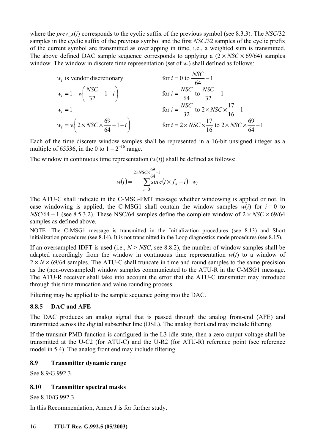where the *prev*  $x(i)$  corresponds to the cyclic suffix of the previous symbol (see 8.3.3). The *NSC*/32 samples in the cyclic suffix of the previous symbol and the first *NSC*/32 samples of the cyclic prefix of the current symbol are transmitted as overlapping in time, i.e., a weighted sum is transmitted. The above defined DAC sample sequence corresponds to applying a  $(2 \times NSC \times 69/64)$  samples window. The window in discrete time representation (set of  $w_i$ ) shall defined as follows:

$$
w_i \text{ is vendor discretionary} \qquad \text{for } i = 0 \text{ to } \frac{NSC}{64} - 1
$$
\n
$$
w_i = 1 - w \left( \frac{NSC}{32} - 1 - i \right) \qquad \text{for } i = \frac{NSC}{64} \text{ to } \frac{NSC}{32} - 1
$$
\n
$$
w_i = 1 \qquad \text{for } i = \frac{NSC}{32} \text{ to } 2 \times NSC \times \frac{17}{16} - 1
$$
\n
$$
w_i = w \left( 2 \times NSC \times \frac{69}{64} - 1 - i \right) \qquad \text{for } i = 2 \times NSC \times \frac{17}{16} \text{ to } 2 \times NSC \times \frac{69}{64} - 1
$$

Each of the time discrete window samples shall be represented in a 16-bit unsigned integer as a multiple of 65536, in the 0 to  $1 - 2^{-16}$  range.

The window in continuous time representation  $(w(t))$  shall be defined as follows:

$$
w(t) = \sum_{i=0}^{2 \times NSC \times \frac{69}{64} - 1} w(t \times f_s - i) \cdot w_i
$$

The ATU-C shall indicate in the C-MSG-FMT message whether windowing is applied or not. In case windowing is applied, the C-MSG1 shall contain the window samples  $w(i)$  for  $i = 0$  to *NSC*/64 – 1 (see 8.5.3.2). These NSC/64 samples define the complete window of  $2 \times NSC \times 69/64$ samples as defined above.

NOTE – The C-MSG1 message is transmitted in the Initialization procedures (see 8.13) and Short initialization procedures (see 8.14). It is not transmitted in the Loop diagnostics mode procedures (see 8.15).

If an oversampled IDFT is used (i.e.,  $N > NSC$ , see 8.8.2), the number of window samples shall be adapted accordingly from the window in continuous time representation  $w(t)$  to a window of  $2 \times N \times 69/64$  samples. The ATU-C shall truncate in time and round samples to the same precision as the (non-oversampled) window samples communicated to the ATU-R in the C-MSG1 message. The ATU-R receiver shall take into account the error that the ATU-C transmitter may introduce through this time truncation and value rounding process.

Filtering may be applied to the sample sequence going into the DAC.

### **8.8.5 DAC and AFE**

The DAC produces an analog signal that is passed through the analog front-end (AFE) and transmitted across the digital subscriber line (DSL). The analog front end may include filtering.

If the transmit PMD function is configured in the L3 idle state, then a zero output voltage shall be transmitted at the U-C2 (for ATU-C) and the U-R2 (for ATU-R) reference point (see reference model in 5.4). The analog front end may include filtering.

### **8.9 Transmitter dynamic range**

See 8.9/G.992.3.

## **8.10 Transmitter spectral masks**

See 8.10/G.992.3.

In this Recommendation, Annex J is for further study.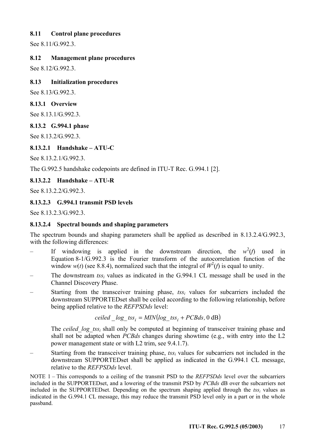### **8.11 Control plane procedures**

See 8.11/G.992.3.

### **8.12 Management plane procedures**

See 8.12/G.992.3.

### **8.13 Initialization procedures**

See 8.13/G.992.3.

### **8.13.1 Overview**

See 8.13.1/G.992.3.

### **8.13.2 G.994.1 phase**

See 8.13.2/G.992.3.

### **8.13.2.1 Handshake – ATU-C**

See 8.13.2.1/G.992.3.

The G.992.5 handshake codepoints are defined in ITU-T Rec. G.994.1 [2].

### **8.13.2.2 Handshake – ATU-R**

See 8.13.2.2/G.992.3.

## **8.13.2.3 G.994.1 transmit PSD levels**

See 8.13.2.3/G.992.3.

### **8.13.2.4 Spectral bounds and shaping parameters**

The spectrum bounds and shaping parameters shall be applied as described in 8.13.2.4/G.992.3, with the following differences:

- $-$  If windowing is applied in the downstream direction, the  $w^2(f)$  used in Equation 8-1/ $G.992.3$  is the Fourier transform of the autocorrelation function of the window  $w(t)$  (see 8.8.4), normalized such that the integral of  $W^2(f)$  is equal to unity.
- The downstream *tssi* values as indicated in the G.994.1 CL message shall be used in the Channel Discovery Phase.
- Starting from the transceiver training phase,  $tss_i$  values for subcarriers included the downstream SUPPORTEDset shall be ceiled according to the following relationship, before being applied relative to the *REFPSDds* level:

$$
ceiled\_log\_tss_i = MIN(log\_tss_i + PCBds, 0 dB)
$$

The *ceiled log tss<sub>i</sub>* shall only be computed at beginning of transceiver training phase and shall not be adapted when *PCBds* changes during showtime (e.g., with entry into the L2 power management state or with L2 trim, see 9.4.1.7).

Starting from the transceiver training phase,  $tss_i$  values for subcarriers not included in the downstream SUPPORTEDset shall be applied as indicated in the G.994.1 CL message, relative to the *REFPSDds* level.

NOTE 1 – This corresponds to a ceiling of the transmit PSD to the *REFPSDds* level over the subcarriers included in the SUPPORTEDset, and a lowering of the transmit PSD by *PCBds* dB over the subcarriers not included in the SUPPORTEDset. Depending on the spectrum shaping applied through the  $tss_i$  values as indicated in the G.994.1 CL message, this may reduce the transmit PSD level only in a part or in the whole passband.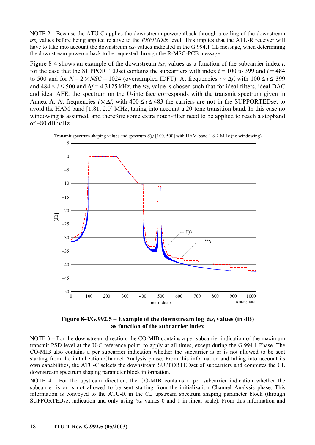NOTE 2 – Because the ATU-C applies the downstream powercutback through a ceiling of the downstream *tssi* values before being applied relative to the *REFPSDds* level. This implies that the ATU-R receiver will have to take into account the downstream *tssi* values indicated in the G.994.1 CL message, when determining the downstream powercutback to be requested through the R-MSG-PCB message.

Figure 8-4 shows an example of the downstream *tssi* values as a function of the subcarrier index *i*, for the case that the SUPPORTEDset contains the subcarriers with index *i* = 100 to 399 and *i* = 484 to 500 and for  $N = 2 \times NSC = 1024$  (oversampled IDFT). At frequencies  $i \times \Delta f$ , with  $100 \le i \le 399$ and 484 ≤ *i* ≤ 500 and ∆*f* = 4.3125 kHz, the *tssi* value is chosen such that for ideal filters, ideal DAC and ideal AFE, the spectrum on the U-interface corresponds with the transmit spectrum given in Annex A. At frequencies *i* × ∆*f*, with 400 ≤ *i* ≤ 483 the carriers are not in the SUPPORTEDset to avoid the HAM-band [1.81, 2.0] MHz, taking into account a 20-tone transition band. In this case no windowing is assumed, and therefore some extra notch-filter need to be applied to reach a stopband of –80 dBm/Hz.



Transmit spectrum shaping values and spectrum *S*(*f)* [100, 500] with HAM-band 1.8-2 MHz (no windowing)

Figure 8-4/G.992.5 – Example of the downstream  $\log$  *tss<sub>i</sub>* values (in dB) **as function of the subcarrier index** 

NOTE 3 – For the downstream direction, the CO-MIB contains a per subcarrier indication of the maximum transmit PSD level at the U-C reference point, to apply at all times, except during the G.994.1 Phase. The CO-MIB also contains a per subcarrier indication whether the subcarrier is or is not allowed to be sent starting from the initialization Channel Analysis phase. From this information and taking into account its own capabilities, the ATU-C selects the downstream SUPPORTEDset of subcarriers and computes the CL downstream spectrum shaping parameter block information.

NOTE 4 – For the upstream direction, the CO-MIB contains a per subcarrier indication whether the subcarrier is or is not allowed to be sent starting from the initialization Channel Analysis phase. This information is conveyed to the ATU-R in the CL upstream spectrum shaping parameter block (through SUPPORTEDset indication and only using  $tss_i$  values 0 and 1 in linear scale). From this information and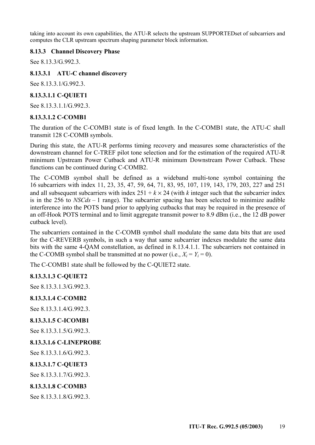taking into account its own capabilities, the ATU-R selects the upstream SUPPORTEDset of subcarriers and computes the CLR upstream spectrum shaping parameter block information.

#### **8.13.3 Channel Discovery Phase**

See 8.13.3/G.992.3.

### **8.13.3.1 ATU-C channel discovery**

See 8.13.3.1/G.992.3.

### **8.13.3.1.1 C-QUIET1**

See 8.13.3.1.1/G.992.3.

### **8.13.3.1.2 C-COMB1**

The duration of the C-COMB1 state is of fixed length. In the C-COMB1 state, the ATU-C shall transmit 128 C-COMB symbols.

During this state, the ATU-R performs timing recovery and measures some characteristics of the downstream channel for C-TREF pilot tone selection and for the estimation of the required ATU-R minimum Upstream Power Cutback and ATU-R minimum Downstream Power Cutback. These functions can be continued during C-COMB2.

The C-COMB symbol shall be defined as a wideband multi-tone symbol containing the 16 subcarriers with index 11, 23, 35, 47, 59, 64, 71, 83, 95, 107, 119, 143, 179, 203, 227 and 251 and all subsequent subcarriers with index  $251 + k \times 24$  (with *k* integer such that the subcarrier index is in the 256 to *NSCds* – 1 range). The subcarrier spacing has been selected to minimize audible interference into the POTS band prior to applying cutbacks that may be required in the presence of an off-Hook POTS terminal and to limit aggregate transmit power to 8.9 dBm (i.e., the 12 dB power cutback level).

The subcarriers contained in the C-COMB symbol shall modulate the same data bits that are used for the C-REVERB symbols, in such a way that same subcarrier indexes modulate the same data bits with the same 4-QAM constellation, as defined in 8.13.4.1.1. The subcarriers not contained in the C-COMB symbol shall be transmitted at no power (i.e.,  $X_i = Y_i = 0$ ).

The C-COMB1 state shall be followed by the C-QUIET2 state.

### **8.13.3.1.3 C-QUIET2**

See 8.13.3.1.3/G.992.3.

### **8.13.3.1.4 C-COMB2**

See 8.13.3.1.4/G.992.3.

### **8.13.3.1.5 C-ICOMB1**

See 8.13.3.1.5/G.992.3.

### **8.13.3.1.6 C-LINEPROBE**

See 8.13.3.1.6/G.992.3.

## **8.13.3.1.7 C-QUIET3**

See 8.13.3.1.7/G.992.3.

### **8.13.3.1.8 C-COMB3**

See 8.13.3.1.8/G.992.3.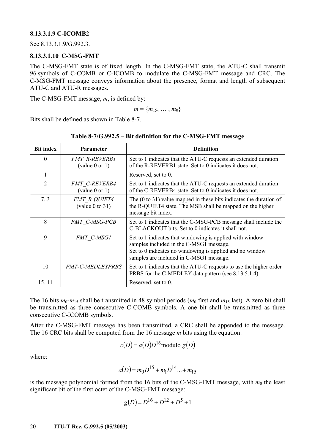#### **8.13.3.1.9 C-ICOMB2**

See 8.13.3.1.9/G.992.3.

### **8.13.3.1.10 C-MSG-FMT**

The C-MSG-FMT state is of fixed length. In the C-MSG-FMT state, the ATU-C shall transmit 96 symbols of C-COMB or C-ICOMB to modulate the C-MSG-FMT message and CRC. The C-MSG-FMT message conveys information about the presence, format and length of subsequent ATU-C and ATU-R messages.

The C-MSG-FMT message, *m*, is defined by:

$$
m = \{m_{15},\ldots,m_0\}
$$

Bits shall be defined as shown in Table 8-7.

| <b>Bit index</b> | <b>Parameter</b>                                | <b>Definition</b>                                                                                                                                                                                          |
|------------------|-------------------------------------------------|------------------------------------------------------------------------------------------------------------------------------------------------------------------------------------------------------------|
| $\Omega$         | <b>FMT R-REVERB1</b><br>$\text{(value 0 or 1)}$ | Set to 1 indicates that the ATU-C requests an extended duration<br>of the R-REVERB1 state. Set to 0 indicates it does not.                                                                                 |
| 1                |                                                 | Reserved, set to 0.                                                                                                                                                                                        |
| $\overline{2}$   | <b>FMT C-REVERB4</b><br>(value 0 or 1)          | Set to 1 indicates that the ATU-C requests an extended duration<br>of the C-REVERB4 state. Set to 0 indicates it does not.                                                                                 |
| 7.3              | <b>FMT R-OUIET4</b><br>(value 0 to 31)          | The $(0 \text{ to } 31)$ value mapped in these bits indicates the duration of<br>the R-QUIET4 state. The MSB shall be mapped on the higher<br>message bit index.                                           |
| 8                | <b>FMT C-MSG-PCB</b>                            | Set to 1 indicates that the C-MSG-PCB message shall include the<br>C-BLACKOUT bits. Set to 0 indicates it shall not.                                                                                       |
| 9                | <b>FMT C-MSG1</b>                               | Set to 1 indicates that windowing is applied with window<br>samples included in the C-MSG1 message.<br>Set to 0 indicates no windowing is applied and no window<br>samples are included in C-MSG1 message. |
| 10               | <b>FMT-C-MEDLEYPRBS</b>                         | Set to 1 indicates that the ATU-C requests to use the higher order<br>PRBS for the C-MEDLEY data pattern (see 8.13.5.1.4).                                                                                 |
| 15.11            |                                                 | Reserved, set to 0.                                                                                                                                                                                        |

**Table 8-7/G.992.5 – Bit definition for the C-MSG-FMT message** 

The 16 bits  $m_0$ - $m_1$ <sub>5</sub> shall be transmitted in 48 symbol periods ( $m_0$  first and  $m_1$ <sub>5</sub> last). A zero bit shall be transmitted as three consecutive C-COMB symbols. A one bit shall be transmitted as three consecutive C-ICOMB symbols.

After the C-MSG-FMT message has been transmitted, a CRC shall be appended to the message. The 16 CRC bits shall be computed from the 16 message *m* bits using the equation:

$$
c(D) = a(D)D^{16}
$$
 modulo  $g(D)$ 

where:

$$
a(D) = m_0 D^{15} + m_1 D^{14} \dots + m_{15}
$$

is the message polynomial formed from the 16 bits of the C-MSG-FMT message, with  $m_0$  the least significant bit of the first octet of the C-MSG-FMT message:

$$
g(D) = D^{16} + D^{12} + D^5 + 1
$$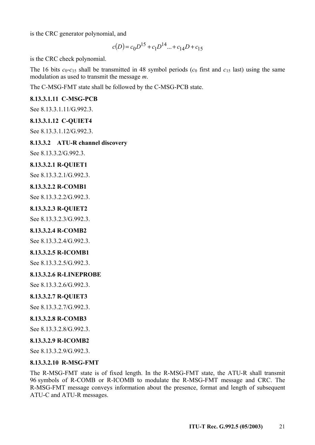is the CRC generator polynomial, and

$$
c(D) = c_0 D^{15} + c_1 D^{14} \dots + c_{14} D + c_{15}
$$

is the CRC check polynomial.

The 16 bits  $c_0$ - $c_1$ <sub>5</sub> shall be transmitted in 48 symbol periods ( $c_0$  first and  $c_1$ <sub>5</sub> last) using the same modulation as used to transmit the message *m*.

The C-MSG-FMT state shall be followed by the C-MSG-PCB state.

### **8.13.3.1.11 C-MSG-PCB**

See 8.13.3.1.11/G.992.3.

#### **8.13.3.1.12 C-QUIET4**

See 8.13.3.1.12/G.992.3.

#### **8.13.3.2 ATU-R channel discovery**

See 8.13.3.2/G.992.3.

# **8.13.3.2.1 R-QUIET1**

See 8.13.3.2.1/G.992.3.

### **8.13.3.2.2 R-COMB1**

See 8.13.3.2.2/G.992.3.

### **8.13.3.2.3 R-QUIET2**

See 8.13.3.2.3/G.992.3.

### **8.13.3.2.4 R-COMB2**

See 8.13.3.2.4/G.992.3.

### **8.13.3.2.5 R-ICOMB1**

See 8.13.3.2.5/G.992.3.

#### **8.13.3.2.6 R-LINEPROBE**

See 8.13.3.2.6/G.992.3.

### **8.13.3.2.7 R-QUIET3**

See 8.13.3.2.7/G.992.3.

#### **8.13.3.2.8 R-COMB3**

See 8.13.3.2.8/G.992.3.

#### **8.13.3.2.9 R-ICOMB2**

See 8.13.3.2.9/G.992.3.

#### **8.13.3.2.10 R-MSG-FMT**

The R-MSG-FMT state is of fixed length. In the R-MSG-FMT state, the ATU-R shall transmit 96 symbols of R-COMB or R-ICOMB to modulate the R-MSG-FMT message and CRC. The R-MSG-FMT message conveys information about the presence, format and length of subsequent ATU-C and ATU-R messages.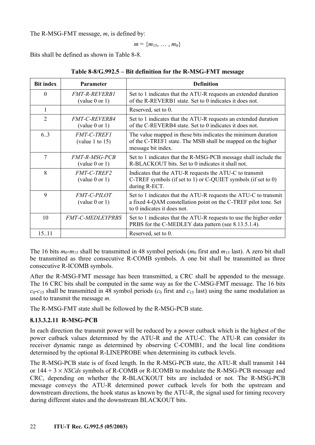The R-MSG-FMT message, *m*, is defined by:

$$
m=\{m_{15},\ldots,m_0\}
$$

Bits shall be defined as shown in Table 8-8.

| <b>Bit index</b> | Parameter                                       | <b>Definition</b>                                                                                                                                                  |
|------------------|-------------------------------------------------|--------------------------------------------------------------------------------------------------------------------------------------------------------------------|
| $\Omega$         | <b>FMT-R-REVERB1</b><br>(value 0 or 1)          | Set to 1 indicates that the ATU-R requests an extended duration<br>of the R-REVERB1 state. Set to 0 indicates it does not.                                         |
| 1                |                                                 | Reserved, set to 0.                                                                                                                                                |
| 2                | FMT-C-REVERB4<br>(value $0$ or $1$ )            | Set to 1 indicates that the ATU-R requests an extended duration<br>of the C-REVERB4 state. Set to 0 indicates it does not.                                         |
| 6.3              | <b>FMT-C-TREF1</b><br>(value 1 to $15$ )        | The value mapped in these bits indicates the minimum duration<br>of the C-TREF1 state. The MSB shall be mapped on the higher<br>message bit index.                 |
| 7                | <i>FMT-R-MSG-PCB</i><br>$\text{(value 0 or 1)}$ | Set to 1 indicates that the R-MSG-PCB message shall include the<br>R-BLACKOUT bits. Set to 0 indicates it shall not.                                               |
| 8                | <b>FMT-C-TREF2</b><br>(value $0$ or $1$ )       | Indicates that the ATU-R requests the ATU-C to transmit<br>C-TREF symbols (if set to 1) or C-QUIET symbols (if set to 0)<br>during R-ECT.                          |
| 9                | <i>FMT-C-PILOT</i><br>(value 0 or 1)            | Set to 1 indicates that the ATU-R requests the ATU-C to transmit<br>a fixed 4-QAM constellation point on the C-TREF pilot tone. Set<br>to 0 indicates it does not. |
| 10               | <b>FMT-C-MEDLEYPRBS</b>                         | Set to 1 indicates that the ATU-R requests to use the higher order<br>PRBS for the C-MEDLEY data pattern (see 8.13.5.1.4).                                         |
| 15.11            |                                                 | Reserved, set to 0.                                                                                                                                                |

**Table 8-8/G.992.5 – Bit definition for the R-MSG-FMT message** 

The 16 bits  $m_0$ - $m_1$ <sub>5</sub> shall be transmitted in 48 symbol periods ( $m_0$  first and  $m_1$ <sub>5</sub> last). A zero bit shall be transmitted as three consecutive R-COMB symbols. A one bit shall be transmitted as three consecutive R-ICOMB symbols.

After the R-MSG-FMT message has been transmitted, a CRC shall be appended to the message. The 16 CRC bits shall be computed in the same way as for the C-MSG-FMT message. The 16 bits  $c_0$ -*c*<sub>15</sub> shall be transmitted in 48 symbol periods (*c*<sub>0</sub> first and *c*<sub>15</sub> last) using the same modulation as used to transmit the message *m*.

The R-MSG-FMT state shall be followed by the R-MSG-PCB state.

## **8.13.3.2.11 R-MSG-PCB**

In each direction the transmit power will be reduced by a power cutback which is the highest of the power cutback values determined by the ATU-R and the ATU-C. The ATU-R can consider its receiver dynamic range as determined by observing C-COMB1, and the local line conditions determined by the optional R-LINEPROBE when determining its cutback levels.

The R-MSG-PCB state is of fixed length. In the R-MSG-PCB state, the ATU-R shall transmit 144 or 144 + 3 × *NSCds* symbols of R-COMB or R-ICOMB to modulate the R-MSG-PCB message and CRC, depending on whether the R-BLACKOUT bits are included or not. The R-MSG-PCB message conveys the ATU-R determined power cutback levels for both the upstream and downstream directions, the hook status as known by the ATU-R, the signal used for timing recovery during different states and the downstream BLACKOUT bits.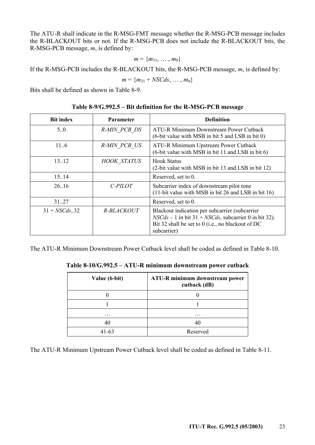The ATU-R shall indicate in the R-MSG-FMT message whether the R-MSG-PCB message includes the R-BLACKOUT bits or not. If the R-MSG-PCB does not include the R-BLACKOUT bits, the R-MSG-PCB message, *m*, is defined by:

 $m = \{m_{31}, \ldots, m_0\}$ 

If the R-MSG-PCB includes the R-BLACKOUT bits, the R-MSG-PCB message, *m*, is defined by:

 $m = \{m_{31} + NSCds, \ldots, m_0\}$ 

Bits shall be defined as shown in Table 8-9.

| <b>Bit index</b> | Parameter         | <b>Definition</b>                                                                                                                                                             |
|------------------|-------------------|-------------------------------------------------------------------------------------------------------------------------------------------------------------------------------|
| 5.0              | R-MIN PCB DS      | <b>ATU-R Minimum Downstream Power Cutback</b><br>(6-bit value with MSB in bit 5 and LSB in bit 0)                                                                             |
| 116              | R-MIN PCB US      | ATU-R Minimum Upstream Power Cutback<br>(6-bit value with MSB in bit 11 and LSB in bit 6)                                                                                     |
| 13.12            | HOOK STATUS       | <b>Hook Status</b><br>(2-bit value with MSB in bit 13 and LSB in bit 12)                                                                                                      |
| 15.14            |                   | Reserved, set to 0.                                                                                                                                                           |
| 26.16            | C-PILOT           | Subcarrier index of downstream pilot tone<br>(11-bit value with MSB in bit 26 and LSB in bit 16)                                                                              |
| 3127             |                   | Reserved, set to 0.                                                                                                                                                           |
| $31 + NSCds.32$  | <i>R-BLACKOUT</i> | Blackout indication per subcarrier (subcarrier<br>$NSCds - 1$ in bit 31 + NSCds, subcarrier 0 in bit 32).<br>Bit 32 shall be set to 0 (i.e., no blackout of DC<br>subcarrier) |

**Table 8-9/G.992.5 – Bit definition for the R-MSG-PCB message** 

The ATU-R Minimum Downstream Power Cutback level shall be coded as defined in Table 8-10.

**Table 8-10/G.992.5 – ATU-R minimum downstream power cutback** 

| Value (6-bit)     | ATU-R minimum downstream power<br>cutback (dB) |
|-------------------|------------------------------------------------|
|                   |                                                |
|                   |                                                |
| $\cdot\cdot\cdot$ | $\cdot\cdot\cdot$                              |
| 40                | 40                                             |
| 41-63             | Reserved                                       |

The ATU-R Minimum Upstream Power Cutback level shall be coded as defined in Table 8-11.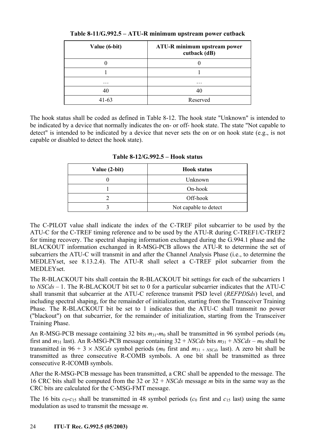| Value (6-bit)     | ATU-R minimum upstream power<br>cutback (dB) |
|-------------------|----------------------------------------------|
|                   |                                              |
|                   |                                              |
| $\cdot\cdot\cdot$ | $\cdot\cdot\cdot$                            |
| 40                | 40                                           |
| $41 - 63$         | Reserved                                     |

**Table 8-11/G.992.5 – ATU-R minimum upstream power cutback** 

The hook status shall be coded as defined in Table 8-12. The hook state "Unknown" is intended to be indicated by a device that normally indicates the on- or off- hook state. The state "Not capable to detect" is intended to be indicated by a device that never sets the on or on hook state (e.g., is not capable or disabled to detect the hook state).

| Value (2-bit) | <b>Hook status</b>    |
|---------------|-----------------------|
|               | Unknown               |
|               | On-hook               |
|               | Off-hook              |
|               | Not capable to detect |

**Table 8-12/G.992.5 – Hook status** 

The C-PILOT value shall indicate the index of the C-TREF pilot subcarrier to be used by the ATU-C for the C-TREF timing reference and to be used by the ATU-R during C-TREF1/C-TREF2 for timing recovery. The spectral shaping information exchanged during the G.994.1 phase and the BLACKOUT information exchanged in R-MSG-PCB allows the ATU-R to determine the set of subcarriers the ATU-C will transmit in and after the Channel Analysis Phase (i.e., to determine the MEDLEYset, see 8.13.2.4). The ATU-R shall select a C-TREF pilot subcarrier from the MEDLEYset.

The R-BLACKOUT bits shall contain the R-BLACKOUT bit settings for each of the subcarriers 1 to *NSCds* – 1. The R-BLACKOUT bit set to 0 for a particular subcarrier indicates that the ATU-C shall transmit that subcarrier at the ATU-C reference transmit PSD level (*REFPDSds*) level, and including spectral shaping, for the remainder of initialization, starting from the Transceiver Training Phase. The R-BLACKOUT bit be set to 1 indicates that the ATU-C shall transmit no power ("blackout") on that subcarrier, for the remainder of initialization, starting from the Transceiver Training Phase.

An R-MSG-PCB message containing 32 bits  $m_{31}$ - $m_0$  shall be transmitted in 96 symbol periods ( $m_0$ ) first and  $m_{31}$  last). An R-MSG-PCB message containing  $32 + NSCds$  bits  $m_{31} + NSCds - m_0$  shall be transmitted in 96 + 3 × *NSCds* symbol periods  $(m_0$  first and  $m_{31 + NSCds}$  last). A zero bit shall be transmitted as three consecutive R-COMB symbols. A one bit shall be transmitted as three consecutive R-ICOMB symbols.

After the R-MSG-PCB message has been transmitted, a CRC shall be appended to the message. The 16 CRC bits shall be computed from the 32 or 32 + *NSCds* message *m* bits in the same way as the CRC bits are calculated for the C-MSG-FMT message.

The 16 bits  $c_0$ - $c_{15}$  shall be transmitted in 48 symbol periods ( $c_0$  first and  $c_{15}$  last) using the same modulation as used to transmit the message *m*.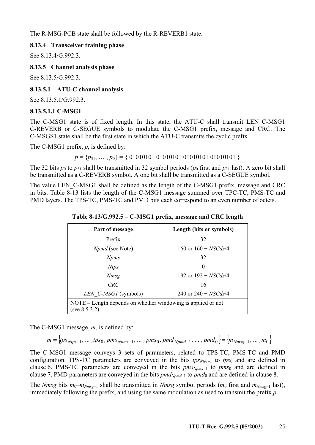The R-MSG-PCB state shall be followed by the R-REVERB1 state.

### **8.13.4 Transceiver training phase**

See 8.13.4/G.992.3.

#### **8.13.5 Channel analysis phase**

See 8.13.5/G.992.3.

### **8.13.5.1 ATU-C channel analysis**

See 8.13.5.1/G.992.3.

### **8.13.5.1.1 C-MSG1**

The C-MSG1 state is of fixed length. In this state, the ATU-C shall transmit LEN\_C-MSG1 C-REVERB or C-SEGUE symbols to modulate the C-MSG1 prefix, message and CRC. The C-MSGS1 state shall be the first state in which the ATU-C transmits the cyclic prefix.

The C-MSG1 prefix, *p*, is defined by:

### $p = \{p_{31}, \ldots, p_0\} = \{010101010101010101010101010101\}$

The 32 bits  $p_0$  to  $p_{31}$  shall be transmitted in 32 symbol periods ( $p_0$  first and  $p_{31}$  last). A zero bit shall be transmitted as a C-REVERB symbol. A one bit shall be transmitted as a C-SEGUE symbol.

The value LEN\_C-MSG1 shall be defined as the length of the C-MSG1 prefix, message and CRC in bits. Table 8-13 lists the length of the C-MSG1 message summed over TPC-TC, PMS-TC and PMD layers. The TPS-TC, PMS-TC and PMD bits each correspond to an even number of octets.

| Part of message                                                                   | Length (bits or symbols) |  |
|-----------------------------------------------------------------------------------|--------------------------|--|
| Prefix                                                                            | 32                       |  |
| <i>Npmd</i> (see Note)                                                            | 160 or $160 + NSC ds/4$  |  |
| <b>Npms</b>                                                                       | 32                       |  |
| <b>Ntps</b>                                                                       | $\theta$                 |  |
| <b>Nmsg</b>                                                                       | 192 or $192 + NSCds/4$   |  |
| CRC                                                                               | 16                       |  |
| LEN C-MSG1 (symbols)                                                              | 240 or $240 + NSC$ ds/4  |  |
| NOTE – Length depends on whether windowing is applied or not<br>(see $8.5.3.2$ ). |                          |  |

**Table 8-13/G.992.5 – C-MSG1 prefix, message and CRC length** 

The C-MSG1 message, *m*, is defined by:

$$
m = \left\{tps_{Ntps-1}, \ldots, tps_0, pms_{Npms-1}, \ldots, pms_0, pmd_{Npmd-1}, \ldots, pmd_0 \right\} = \left\{m_{Nmsg-1}, \ldots, m_0 \right\}
$$

The C-MSG1 message conveys 3 sets of parameters, related to TPS-TC, PMS-TC and PMD configuration. TPS-TC parameters are conveyed in the bits  $tps_{Ntns-1}$  to  $tps_0$  and are defined in clause 6. PMS-TC parameters are conveyed in the bits  $pms_{Nnms-1}$  to  $pms_0$  and are defined in clause 7. PMD parameters are conveyed in the bits  $pmd_{Npmd-1}$  to  $pmd_0$  and are defined in clause 8.

The *Nmsg* bits  $m_0$ – $m_{Nmso-1}$  shall be transmitted in *Nmsg* symbol periods ( $m_0$  first and  $m_{Nmso-1}$  last), immediately following the prefix, and using the same modulation as used to transmit the prefix *p*.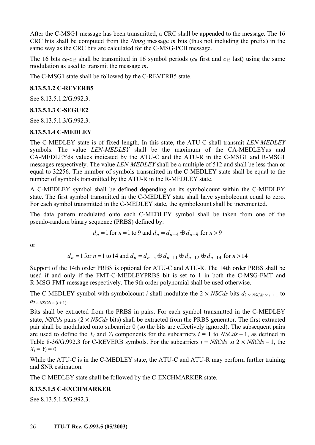After the C-MSG1 message has been transmitted, a CRC shall be appended to the message. The 16 CRC bits shall be computed from the *Nmsg* message *m* bits (thus not including the prefix) in the same way as the CRC bits are calculated for the C-MSG-PCB message.

The 16 bits  $c_0$ - $c_1$ <sub>5</sub> shall be transmitted in 16 symbol periods ( $c_0$  first and  $c_1$ <sub>5</sub> last) using the same modulation as used to transmit the message *m*.

The C-MSG1 state shall be followed by the C-REVERB5 state.

### **8.13.5.1.2 C-REVERB5**

See 8.13.5.1.2/G.992.3.

### **8.13.5.1.3 C-SEGUE2**

See 8.13.5.1.3/G.992.3.

### **8.13.5.1.4 C-MEDLEY**

The C-MEDLEY state is of fixed length. In this state, the ATU-C shall transmit *LEN-MEDLEY*  symbols. The value *LEN-MEDLEY* shall be the maximum of the CA-MEDLEYus and CA-MEDLEYds values indicated by the ATU-C and the ATU-R in the C-MSG1 and R-MSG1 messages respectively. The value *LEN-MEDLEY* shall be a multiple of 512 and shall be less than or equal to 32256. The number of symbols transmitted in the C-MEDLEY state shall be equal to the number of symbols transmitted by the ATU-R in the R-MEDLEY state.

A C-MEDLEY symbol shall be defined depending on its symbolcount within the C-MEDLEY state. The first symbol transmitted in the C-MEDLEY state shall have symbolcount equal to zero. For each symbol transmitted in the C-MEDLEY state, the symbolcount shall be incremented.

The data pattern modulated onto each C-MEDLEY symbol shall be taken from one of the pseudo-random binary sequence (PRBS) defined by:

$$
d_n = 1
$$
 for  $n = 1$  to 9 and  $d_n = d_{n-4} \oplus d_{n-9}$  for  $n > 9$ 

or

$$
d_n = 1
$$
 for  $n = 1$  to 14 and  $d_n = d_{n-5} \oplus d_{n-11} \oplus d_{n-12} \oplus d_{n-14}$  for  $n > 14$ 

Support of the 14th order PRBS is optional for ATU-C and ATU-R. The 14th order PRBS shall be used if and only if the FMT-C-MEDLEYPRBS bit is set to 1 in both the C-MSG-FMT and R-MSG-FMT message respectively. The 9th order polynomial shall be used otherwise.

The C-MEDLEY symbol with symbolcount *i* shall modulate the  $2 \times NSC ds$  bits  $d_{2 \times NSC ds \times i + 1}$  to  $d_2 \times NSCds \times (i+1)$ .

Bits shall be extracted from the PRBS in pairs. For each symbol transmitted in the C-MEDLEY state, *NSCds* pairs (2 × *NSCds* bits) shall be extracted from the PRBS generator. The first extracted pair shall be modulated onto subcarrier 0 (so the bits are effectively ignored). The subsequent pairs are used to define the  $X_i$  and  $Y_i$  components for the subcarriers  $i = 1$  to  $NSCds - 1$ , as defined in Table 8-36/G.992.3 for C-REVERB symbols. For the subcarriers  $i = NSCds$  to  $2 \times NSCds - 1$ , the  $X_i = Y_i = 0$ .

While the ATU-C is in the C-MEDLEY state, the ATU-C and ATU-R may perform further training and SNR estimation.

The C-MEDLEY state shall be followed by the C-EXCHMARKER state.

### **8.13.5.1.5 C-EXCHMARKER**

See 8.13.5.1.5/G.992.3.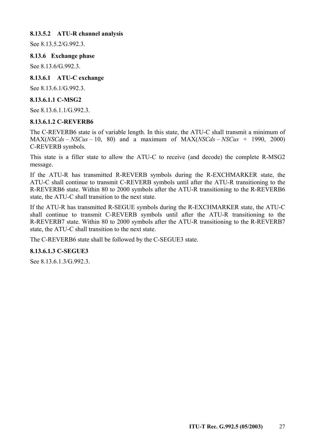### **8.13.5.2 ATU-R channel analysis**

See 8.13.5.2/G.992.3.

### **8.13.6 Exchange phase**

See 8.13.6/G.992.3.

## **8.13.6.1 ATU-C exchange**

See 8.13.6.1/G.992.3.

### **8.13.6.1.1 C-MSG2**

See 8.13.6.1.1/G.992.3.

### **8.13.6.1.2 C-REVERB6**

The C-REVERB6 state is of variable length. In this state, the ATU-C shall transmit a minimum of  $MAX(NSCds - NSCus - 10, 80)$  and a maximum of  $MAX(NSCds - NSCus + 1990, 2000)$ C-REVERB symbols.

This state is a filler state to allow the ATU-C to receive (and decode) the complete R-MSG2 message.

If the ATU-R has transmitted R-REVERB symbols during the R-EXCHMARKER state, the ATU-C shall continue to transmit C-REVERB symbols until after the ATU-R transitioning to the R-REVERB6 state. Within 80 to 2000 symbols after the ATU-R transitioning to the R-REVERB6 state, the ATU-C shall transition to the next state.

If the ATU-R has transmitted R-SEGUE symbols during the R-EXCHMARKER state, the ATU-C shall continue to transmit C-REVERB symbols until after the ATU-R transitioning to the R-REVERB7 state. Within 80 to 2000 symbols after the ATU-R transitioning to the R-REVERB7 state, the ATU-C shall transition to the next state.

The C-REVERB6 state shall be followed by the C-SEGUE3 state.

## **8.13.6.1.3 C-SEGUE3**

See 8.13.6.1.3/G.992.3.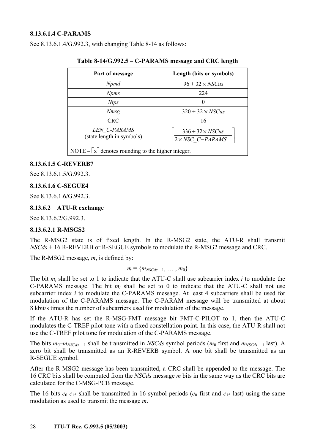#### **8.13.6.1.4 C-PARAMS**

See 8.13.6.1.4/G.992.3, with changing Table 8-14 as follows:

| Part of message                                     | Length (bits or symbols)                           |  |
|-----------------------------------------------------|----------------------------------------------------|--|
| <b>Npmd</b>                                         | $96 + 32 \times NSCus$                             |  |
| <b>Npms</b>                                         | 224                                                |  |
| <b>Ntps</b>                                         | $\theta$                                           |  |
| <b>Nmsg</b>                                         | $320 + 32 \times NSCus$                            |  |
| <b>CRC</b>                                          | 16                                                 |  |
| LEN C-PARAMS<br>(state length in symbols)           | $336 + 32 \times NSCus$<br>$2 \times NSC$ C-PARAMS |  |
| NOTE $- x $ denotes rounding to the higher integer. |                                                    |  |

**Table 8-14/G.992.5 – C-PARAMS message and CRC length** 

### **8.13.6.1.5 C-REVERB7**

See 8.13.6.1.5/G.992.3.

### **8.13.6.1.6 C-SEGUE4**

See 8.13.6.1.6/G.992.3.

#### **8.13.6.2 ATU-R exchange**

See 8.13.6.2/G.992.3.

#### **8.13.6.2.1 R-MSGS2**

The R-MSG2 state is of fixed length. In the R-MSG2 state, the ATU-R shall transmit *NSCds* + 16 R-REVERB or R-SEGUE symbols to modulate the R-MSG2 message and CRC.

The R-MSG2 message, *m*, is defined by:

#### $m = \{m_{NSCds-1}, \ldots, m_0\}$

The bit *mi* shall be set to 1 to indicate that the ATU-C shall use subcarrier index *i* to modulate the C-PARAMS message. The bit  $m_i$  shall be set to 0 to indicate that the ATU-C shall not use subcarrier index *i* to modulate the C-PARAMS message. At least 4 subcarriers shall be used for modulation of the C-PARAMS message. The C-PARAM message will be transmitted at about 8 kbit/s times the number of subcarriers used for modulation of the message.

If the ATU-R has set the R-MSG-FMT message bit FMT-C-PILOT to 1, then the ATU-C modulates the C-TREF pilot tone with a fixed constellation point. In this case, the ATU-R shall not use the C-TREF pilot tone for modulation of the C-PARAMS message.

The bits  $m_0$ – $m_{NSCds}$ <sub>–1</sub> shall be transmitted in *NSCds* symbol periods ( $m_0$  first and  $m_{NSCds}$ <sub>–1</sub> last). A zero bit shall be transmitted as an R-REVERB symbol. A one bit shall be transmitted as an R-SEGUE symbol.

After the R-MSG2 message has been transmitted, a CRC shall be appended to the message. The 16 CRC bits shall be computed from the *NSCds* message *m* bits in the same way as the CRC bits are calculated for the C-MSG-PCB message.

The 16 bits  $c_0$ - $c_1$ <sub>5</sub> shall be transmitted in 16 symbol periods ( $c_0$  first and  $c_1$ <sub>5</sub> last) using the same modulation as used to transmit the message *m*.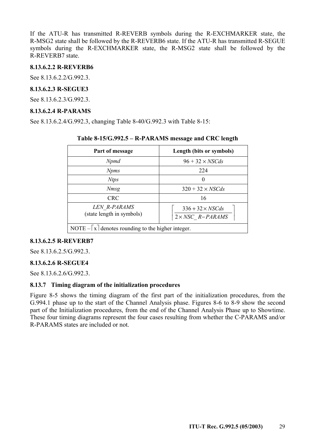If the ATU-R has transmitted R-REVERB symbols during the R-EXCHMARKER state, the R-MSG2 state shall be followed by the R-REVERB6 state. If the ATU-R has transmitted R-SEGUE symbols during the R-EXCHMARKER state, the R-MSG2 state shall be followed by the R-REVERB7 state.

### **8.13.6.2.2 R-REVERB6**

See 8.13.6.2.2/G.992.3.

### **8.13.6.2.3 R-SEGUE3**

See 8.13.6.2.3/G.992.3.

### **8.13.6.2.4 R-PARAMS**

See 8.13.6.2.4/G.992.3, changing Table 8-40/G.992.3 with Table 8-15:

| Part of message                                     | Length (bits or symbols)                             |
|-----------------------------------------------------|------------------------------------------------------|
| Npmd                                                | $96 + 32 \times NSCds$                               |
| <b>Npms</b>                                         | 224                                                  |
| <b>Ntps</b>                                         | $\theta$                                             |
| <b>Nmsg</b>                                         | $320 + 32 \times NSCds$                              |
| <b>CRC</b>                                          | 16                                                   |
| <b>LEN R-PARAMS</b><br>(state length in symbols)    | $336 + 32 \times NSCds$<br>$2 \times NSC$ $R-PARAMS$ |
| NOTE $- x $ denotes rounding to the higher integer. |                                                      |

# **Table 8-15/G.992.5 – R-PARAMS message and CRC length**

# **8.13.6.2.5 R-REVERB7**

See 8.13.6.2.5/G.992.3.

# **8.13.6.2.6 R-SEGUE4**

See 8.13.6.2.6/G.992.3.

#### **8.13.7 Timing diagram of the initialization procedures**

Figure 8-5 shows the timing diagram of the first part of the initialization procedures, from the G.994.1 phase up to the start of the Channel Analysis phase. Figures 8-6 to 8-9 show the second part of the Initialization procedures, from the end of the Channel Analysis Phase up to Showtime. These four timing diagrams represent the four cases resulting from whether the C-PARAMS and/or R-PARAMS states are included or not.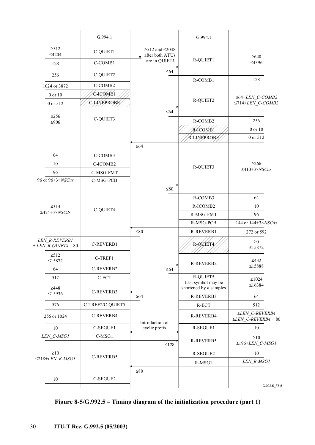|                                           | G.994.1                |                                               | G.994.1                                        |                                                   |
|-------------------------------------------|------------------------|-----------------------------------------------|------------------------------------------------|---------------------------------------------------|
| $\geq 512$<br>≤4204                       | C-QUIET1               | $\geq$ 512 and $\leq$ 2048<br>after both ATUs |                                                | $\geq 640$                                        |
| 128                                       | C-COMB1                | are in QUIET1                                 | R-QUIET1                                       | ≤4396                                             |
| 256                                       | C-QUIET2               | $\leq 64$                                     |                                                |                                                   |
| 1024 or 3872                              | C-COMB2                |                                               | R-COMB1                                        | 128                                               |
| 0 or 10                                   | <i>XQQ</i> MB          |                                               |                                                |                                                   |
| 0 or 512                                  | ANEPROBE               |                                               | R-QUIET2                                       | $\geq 64 + LEN$ C-COMB2<br>$\leq$ 714+LEN C-COMB2 |
|                                           |                        | $\leq 64$                                     |                                                |                                                   |
| $\geq$ 256                                | C-QUIET3               |                                               | R-COMB2                                        | 256                                               |
| $≤906$                                    |                        |                                               | R-ICONAB                                       | 0 or 10                                           |
|                                           |                        |                                               | VEPRØRF                                        | 0 or 512                                          |
|                                           |                        | $\leq 64$                                     |                                                |                                                   |
| 64                                        | C-COMB3                |                                               |                                                |                                                   |
| 10                                        | C-ICOMB2               |                                               |                                                | $\geq$ 266                                        |
| 96                                        |                        |                                               | R-QUIET3                                       | $\leq$ 410+3×NSCus                                |
| 96 or 96+3×NSCus                          | C-MSG-FMT<br>C-MSG-PCB |                                               |                                                |                                                   |
|                                           |                        | $\leq 80$                                     |                                                |                                                   |
| $\geq$ 314<br>$\leq$ 474+3×NSCds          |                        |                                               | R-COMB3                                        | 64                                                |
|                                           | C-QUIET4               |                                               | R-ICOMB2                                       | 10                                                |
|                                           |                        |                                               | R-MSG-FMT                                      | 96                                                |
|                                           |                        |                                               | R-MSG-PCB                                      | 144 or 144+3×NSCds                                |
|                                           |                        | $\leq 80$                                     | R-REVERB1                                      | 272 or 592                                        |
| LEN R-REVERB1<br>$+$ LEN $R$ -QUIET4 - 80 | C-REVERB1              |                                               | 1x4XX1tz14                                     | ${\geq}0$<br>≤15872                               |
| $\geq$ 512<br>≤15872                      | C-TREF1                |                                               |                                                | $\geq 432$                                        |
| 64                                        | C-REVERB2              | $\leq 64$                                     | <b>R-REVERB2</b>                               | ≤15888                                            |
| 512                                       | C-ECT                  |                                               | R-QUIET5                                       |                                                   |
| $\geq 448$                                |                        |                                               | Last symbol may be<br>shortened by $n$ samples | $\geq 1024$<br>≤16384                             |
| ≤15936                                    | C-REVERB3              | $\leq 64$                                     | R-REVERB3                                      | 64                                                |
| 576                                       | C-TREF2/C-QUIET5       |                                               | R-ECT                                          | 512                                               |
| 256 or 1024                               | C-REVERB4              | Introduction of                               | R-REVERB4                                      | $\geq$ LEN C-REVERB4<br>$\leq$ LEN C-REVERB4 + 80 |
| 10                                        | C-SEGUE1               | cyclic prefix                                 | R-SEGUE1                                       | 10                                                |
| LEN C-MSG1                                | C-MSG1                 |                                               |                                                | $\geq 10$                                         |
|                                           |                        | $\leq128$                                     | R-REVERB5                                      | $\leq$ 196+LEN_C-MSG1                             |
| $\geq 10$                                 |                        |                                               | R-SEGUE2                                       | $10\,$                                            |
| $\leq$ 218+LEN_R-MSG1                     | C-REVERB5              |                                               | R-MSG1                                         | LEN_R-MSG1                                        |
|                                           |                        | ${\leq}80$                                    |                                                |                                                   |
| 10                                        | C-SEGUE2               |                                               |                                                |                                                   |
|                                           |                        |                                               |                                                | G.992.5_F8-5                                      |

**Figure 8-5/G.992.5 – Timing diagram of the initialization procedure (part 1)**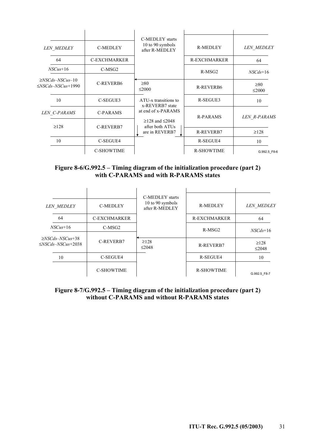|                           |                     | C-MEDLEY starts                                                                   |                     |                          |
|---------------------------|---------------------|-----------------------------------------------------------------------------------|---------------------|--------------------------|
| <b>LEN MEDLEY</b>         | <b>C-MEDLEY</b>     | 10 to 90 symbols<br>after R-MEDLEY                                                | <b>R-MEDLEY</b>     | LEN MEDLEY               |
| 64                        | <b>C-EXCHMARKER</b> |                                                                                   | <b>R-EXCHMARKER</b> | 64                       |
| $NSCus+16$                | C-MSG <sub>2</sub>  |                                                                                   | $R-MSG2$            | $NSCds + 16$             |
| $\geq NSCds - NSCus - 10$ |                     |                                                                                   |                     |                          |
| ≤NSCds–NSCus+1990         | <b>C-REVERB6</b>    | $\geq 80$<br>$\leq$ 2000                                                          | R-REVERB6           | $\geq 80$<br>$\leq$ 2000 |
| 10                        | C-SEGUE3            | ATU-x transitions to<br>x-REVERB7 state<br>at end of x-PARAMS<br>$≥128$ and ≤2048 | R-SEGUE3            | 10                       |
| LEN C-PARAMS              | <b>C-PARAMS</b>     |                                                                                   | <b>R-PARAMS</b>     | LEN R-PARAMS             |
| $\geq$ 128                |                     |                                                                                   |                     |                          |
|                           | <b>C-REVERB7</b>    | after both ATUs<br>are in REVERB7                                                 | <b>R-REVERB7</b>    | $\geq$ 128               |
| 10                        | C-SEGUE4            |                                                                                   | R-SEGUE4            | 10                       |
|                           | <b>C-SHOWTIME</b>   |                                                                                   | <b>R-SHOWTIME</b>   | G.992.5 F8-6             |

# **Figure 8-6/G.992.5 – Timing diagram of the initialization procedure (part 2) with C-PARAMS and with R-PARAMS states**

|                                                          |                     | C-MEDLEY starts                    |                     |                           |
|----------------------------------------------------------|---------------------|------------------------------------|---------------------|---------------------------|
| <b>LEN MEDLEY</b>                                        | <b>C-MEDLEY</b>     | 10 to 90 symbols<br>after R-MEDLEY | <b>R-MEDLEY</b>     | <b>LEN MEDLEY</b>         |
| 64                                                       | <b>C-EXCHMARKER</b> |                                    | <b>R-EXCHMARKER</b> | 64                        |
| $NSCus+16$                                               | C-MSG <sub>2</sub>  |                                    | $R-MSG2$            | $NSCds + 16$              |
| $\geq NSCds - NSCus + 38$<br>$\leq NSCds - NSCus + 2038$ | <b>C-REVERB7</b>    | $\geq$ 128<br>$\leq$ 2048          | <b>R-REVERB7</b>    | $\geq$ 128<br>$\leq$ 2048 |
| 10                                                       | C-SEGUE4            |                                    | R-SEGUE4            | 10                        |
|                                                          | <b>C-SHOWTIME</b>   |                                    | <b>R-SHOWTIME</b>   | G.992.5 F8-7              |

#### **Figure 8-7/G.992.5 – Timing diagram of the initialization procedure (part 2) without C-PARAMS and without R-PARAMS states**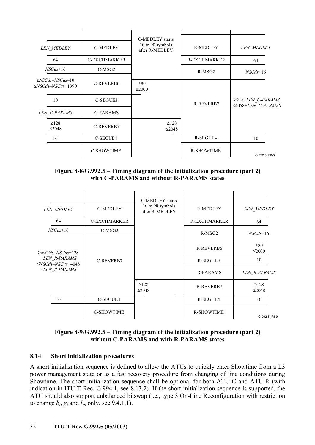|                                                |                     | C-MEDLEY starts                    |                     |                                               |  |
|------------------------------------------------|---------------------|------------------------------------|---------------------|-----------------------------------------------|--|
| <b>LEN MEDLEY</b>                              | <b>C-MEDLEY</b>     | 10 to 90 symbols<br>after R-MEDLEY | R-MEDLEY            | LEN_MEDLEY                                    |  |
| 64                                             | <b>C-EXCHMARKER</b> |                                    | <b>R-EXCHMARKER</b> | 64                                            |  |
| $NSCus+16$                                     | C-MSG <sub>2</sub>  |                                    | R-MSG2              | $NSCds + 16$                                  |  |
| $\geq NSCds - NSCus - 10$<br>≤NSCds–NSCus+1990 | <b>C-REVERB6</b>    | $\geq 80$<br>$\leq$ 2000           |                     |                                               |  |
| 10                                             | C-SEGUE3            |                                    | <b>R-REVERB7</b>    | $\geq$ 218+LEN C-PARAMS<br>≤4058+LEN C-PARAMS |  |
| LEN C-PARAMS                                   | <b>C-PARAMS</b>     |                                    |                     |                                               |  |
| $\geq$ 128<br>$\leq$ 2048                      | <b>C-REVERB7</b>    | $\geq$ 128<br>$\leq$ 2048          |                     |                                               |  |
| 10                                             | C-SEGUE4            |                                    | R-SEGUE4            | 10                                            |  |
|                                                | <b>C-SHOWTIME</b>   |                                    | <b>R-SHOWTIME</b>   | G.992.5_F8-8                                  |  |

### **Figure 8-8/G.992.5 – Timing diagram of the initialization procedure (part 2) with C-PARAMS and without R-PARAMS states**

|                                    | <b>LEN MEDLEY</b>          | <b>C-MEDLEY</b>     | C-MEDLEY starts<br>10 to 90 symbols<br>after R-MEDLEY | <b>R-MEDLEY</b>     | LEN MEDLEY                |
|------------------------------------|----------------------------|---------------------|-------------------------------------------------------|---------------------|---------------------------|
|                                    | 64                         | <b>C-EXCHMARKER</b> |                                                       | <b>R-EXCHMARKER</b> | 64                        |
|                                    | $NSCus+16$                 | C-MSG2              |                                                       | $R-MSG2$            | $NSCds+16$                |
|                                    | $\geq NSCds - NSCus + 128$ |                     |                                                       | <b>R-REVERB6</b>    | $\geq 80$<br>$\leq$ 2000  |
| +LEN R-PARAMS<br>≤NSCds–NSCus+4048 | C-REVERB7                  |                     | R-SEGUE3                                              | 10                  |                           |
|                                    | +LEN R-PARAMS              |                     |                                                       | <b>R-PARAMS</b>     | LEN R-PARAMS              |
|                                    |                            |                     | $\geq$ 128<br>$\leq$ 2048                             | <b>R-REVERB7</b>    | $\geq$ 128<br>$\leq$ 2048 |
|                                    | 10                         | C-SEGUE4            |                                                       | R-SEGUE4            | 10                        |
|                                    |                            | <b>C-SHOWTIME</b>   |                                                       | <b>R-SHOWTIME</b>   | G.992.5_F8-9              |

# **Figure 8-9/G.992.5 – Timing diagram of the initialization procedure (part 2) without C-PARAMS and with R-PARAMS states**

# **8.14 Short initialization procedures**

A short initialization sequence is defined to allow the ATUs to quickly enter Showtime from a L3 power management state or as a fast recovery procedure from changing of line conditions during Showtime. The short initialization sequence shall be optional for both ATU-C and ATU-R (with indication in ITU-T Rec. G.994.1, see 8.13.2). If the short initialization sequence is supported, the ATU should also support unbalanced bitswap (i.e., type 3 On-Line Reconfiguration with restriction to change  $b_i$ ,  $g_i$  and  $\overrightarrow{L_p}$  only, see 9.4.1.1).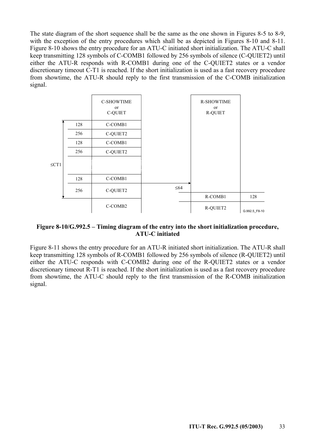The state diagram of the short sequence shall be the same as the one shown in Figures 8-5 to 8-9. with the exception of the entry procedures which shall be as depicted in Figures 8-10 and 8-11. Figure 8-10 shows the entry procedure for an ATU-C initiated short initialization. The ATU-C shall keep transmitting 128 symbols of C-COMB1 followed by 256 symbols of silence (C-QUIET2) until either the ATU-R responds with R-COMB1 during one of the C-QUIET2 states or a vendor discretionary timeout C-T1 is reached. If the short initialization is used as a fast recovery procedure from showtime, the ATU-R should reply to the first transmission of the C-COMB initialization signal.



# **Figure 8-10/G.992.5 – Timing diagram of the entry into the short initialization procedure, ATU-C initiated**

Figure 8-11 shows the entry procedure for an ATU-R initiated short initialization. The ATU-R shall keep transmitting 128 symbols of R-COMB1 followed by 256 symbols of silence (R-QUIET2) until either the ATU-C responds with C-COMB2 during one of the R-QUIET2 states or a vendor discretionary timeout R-T1 is reached. If the short initialization is used as a fast recovery procedure from showtime, the ATU-C should reply to the first transmission of the R-COMB initialization signal.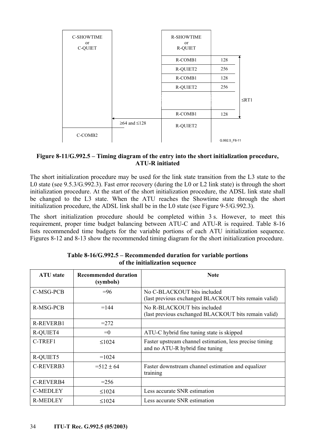| <b>C-SHOWTIME</b><br>or<br><b>C-QUIET</b> |                | <b>R-SHOWTIME</b><br>or<br><b>R-QUIET</b> |               |            |
|-------------------------------------------|----------------|-------------------------------------------|---------------|------------|
|                                           |                | R-COMB1                                   | 128           |            |
|                                           |                | R-QUIET2                                  | 256           |            |
|                                           |                | R-COMB1                                   | 128           |            |
|                                           |                | R-QUIET2                                  | 256           |            |
|                                           |                |                                           |               | $\leq$ RT1 |
|                                           |                | R-COMB1                                   | 128           |            |
|                                           | $≥64$ and ≤128 | R-QUIET2                                  |               |            |
| C-COMB <sub>2</sub>                       |                |                                           | G.992.5 F8-11 |            |
|                                           |                |                                           |               |            |

# **Figure 8-11/G.992.5 – Timing diagram of the entry into the short initialization procedure, ATU-R initiated**

The short initialization procedure may be used for the link state transition from the L3 state to the L0 state (see 9.5.3/G.992.3). Fast error recovery (during the L0 or L2 link state) is through the short initialization procedure. At the start of the short initialization procedure, the ADSL link state shall be changed to the L3 state. When the ATU reaches the Showtime state through the short initialization procedure, the ADSL link shall be in the L0 state (see Figure 9-5/G.992.3).

The short initialization procedure should be completed within 3 s. However, to meet this requirement, proper time budget balancing between ATU-C and ATU-R is required. Table 8-16 lists recommended time budgets for the variable portions of each ATU initialization sequence. Figures 8-12 and 8-13 show the recommended timing diagram for the short initialization procedure.

| <b>ATU</b> state | <b>Recommended duration</b><br>(symbols) | <b>Note</b>                                                                                |
|------------------|------------------------------------------|--------------------------------------------------------------------------------------------|
| C-MSG-PCB        | $= 96$                                   | No C-BLACKOUT bits included<br>(last previous exchanged BLACKOUT bits remain valid)        |
| R-MSG-PCB        | $=144$                                   | No R-BLACKOUT bits included<br>(last previous exchanged BLACKOUT bits remain valid)        |
| <b>R-REVERB1</b> | $=272$                                   |                                                                                            |
| R-QUIET4         | $=0$                                     | ATU-C hybrid fine tuning state is skipped                                                  |
| C-TREF1          | $\leq 1024$                              | Faster upstream channel estimation, less precise timing<br>and no ATU-R hybrid fine tuning |
| R-QUIET5         | $=1024$                                  |                                                                                            |
| <b>C-REVERB3</b> | $=512 \pm 64$                            | Faster downstream channel estimation and equalizer<br>training                             |
| <b>C-REVERB4</b> | $=256$                                   |                                                                                            |
| <b>C-MEDLEY</b>  | $\leq 1024$                              | Less accurate SNR estimation                                                               |
| <b>R-MEDLEY</b>  | $\leq 1024$                              | Less accurate SNR estimation                                                               |

| Table 8-16/G.992.5 – Recommended duration for variable portions |
|-----------------------------------------------------------------|
| of the initialization sequence                                  |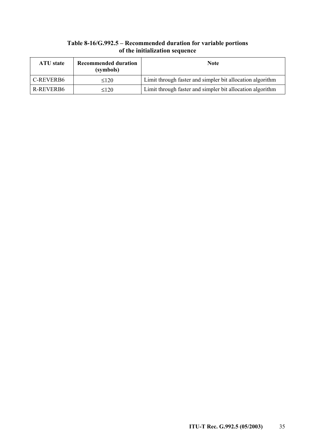| <b>ATU</b> state | <b>Recommended duration</b><br>(symbols) | <b>Note</b>                                               |
|------------------|------------------------------------------|-----------------------------------------------------------|
| C-REVERB6        | $\leq 120$                               | Limit through faster and simpler bit allocation algorithm |
| R-REVERB6        | $\leq 120$                               | Limit through faster and simpler bit allocation algorithm |

# **Table 8-16/G.992.5 – Recommended duration for variable portions of the initialization sequence**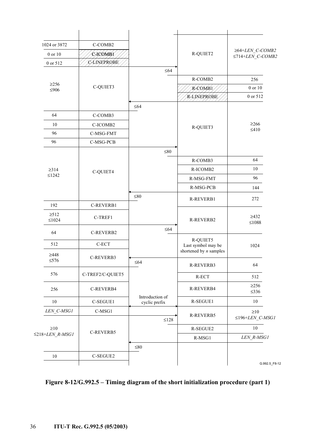| 1024 or 3872              | C-COMB2             |                                  |                                | $\geq 64 + LEN_C-COMB2$  |
|---------------------------|---------------------|----------------------------------|--------------------------------|--------------------------|
| $0$ or $10\,$             | ZAZ6MB1<br>ANEPRØBE |                                  | R-QUIET2                       | $\leq$ 714+LEN_C-COMB2   |
| 0 or 512                  |                     | $\leq 64$                        |                                |                          |
|                           |                     |                                  | R-COMB2                        | 256                      |
| $\geq$ 256<br>$\leq 906$  | C-QUIET3            |                                  |                                | 0 or 10                  |
|                           |                     |                                  | LINEPROBE                      | 0 or 512                 |
|                           |                     | $\leq 64$                        |                                |                          |
| 64                        | C-COMB3             |                                  |                                |                          |
| 10                        | C-ICOMB2            |                                  |                                | $\geq$ 266               |
| 96                        | C-MSG-FMT           |                                  | R-QUIET3                       | $\leq 410$               |
| 96                        | C-MSG-PCB           |                                  |                                |                          |
|                           |                     | $\leq 80$                        |                                |                          |
|                           |                     |                                  | R-COMB3                        | 64                       |
| $\geq$ 314                | C-QUIET4            |                                  | R-ICOMB2                       | 10                       |
| ≤1242                     |                     |                                  | R-MSG-FMT                      | 96                       |
|                           |                     |                                  | R-MSG-PCB                      | 144                      |
|                           |                     | ${\leq}80$                       | R-REVERB1                      | 272                      |
| 192                       | C-REVERB1           |                                  |                                |                          |
| $\geq 512$<br>$\leq 1024$ | C-TREF1             |                                  | R-REVERB2                      | $\geq 432$<br>$≤1088$    |
| 64                        | C-REVERB2           | $\leq 64$                        |                                |                          |
| 512                       | C-ECT               |                                  | R-QUIET5<br>Last symbol may be | 1024                     |
| $\geq$ 448                | C-REVERB3           |                                  | shortened by $n$ samples       |                          |
| $\leq 576$                |                     | $\leq 64$                        | R-REVERB3                      | 64                       |
| 576                       | C-TREF2/C-QUIET5    |                                  | R-ECT                          | 512                      |
| 256                       | C-REVERB4           |                                  | R-REVERB4                      | $\geq$ 256<br>$\leq$ 336 |
| $10\,$                    | C-SEGUE1            | Introduction of<br>cyclic prefix | R-SEGUE1                       | $10\,$                   |
| LEN_C-MSG1                | C-MSG1              |                                  |                                | $\geq10$                 |
|                           |                     | ${\leq}128$                      | R-REVERB5                      | $\leq$ 196+LEN_C-MSG1    |
| $\geq10$                  | C-REVERB5           |                                  | R-SEGUE2                       | 10                       |
| $\leq$ 218+LEN_R-MSG1     |                     |                                  | R-MSG1                         | LEN_R-MSG1               |
|                           |                     |                                  |                                |                          |
|                           |                     | $\leq\!\!80$                     |                                |                          |

# **Figure 8-12/G.992.5 – Timing diagram of the short initialization procedure (part 1)**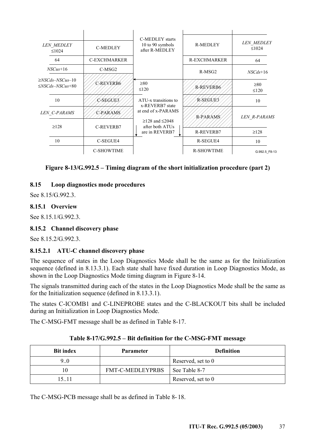| <b>LEN MEDLEY</b><br>$\leq 1024$                       | <b>C-MEDLEY</b>               | C-MEDLEY starts<br>10 to 90 symbols<br>after R-MEDLEY               | <b>R-MEDLEY</b>     | LEN MEDLEY<br>$\leq 1024$ |
|--------------------------------------------------------|-------------------------------|---------------------------------------------------------------------|---------------------|---------------------------|
| 64                                                     | <b>C-EXCHMARKER</b>           |                                                                     | <b>R-EXCHMARKER</b> | 64                        |
| $NSCus+16$                                             | C-MSG <sub>2</sub>            |                                                                     | $R-MSG2$            | $NSCds + 16$              |
| $\geq NSCds - NSCus - 10$<br>$\leq NSCds - NSCus + 80$ | Z-RENERB6                     | $\geq 80$<br>$\leq 120$                                             | R-REVERB6           | $\geq 80$<br>$\leq 120$   |
| 10                                                     | <b>ZSEGUE3</b>                | ATU-x transitions to<br>x-REVERB7 state                             | R-SEGVE             | 10                        |
| LEN C-PARAMS<br>$\geq$ 128                             | Z-PARAMS,<br><b>C-REVERB7</b> | at end of x-PARAMS<br>$\geq$ 128 and $\leq$ 2048<br>after both ATUs | R-PARAMS            | LEN R-PARAMS              |
|                                                        |                               | are in REVERB7                                                      | <b>R-REVERB7</b>    | $\geq$ 128                |
| 10                                                     | C-SEGUE4                      |                                                                     | R-SEGUE4            | 10                        |
|                                                        | <b>C-SHOWTIME</b>             |                                                                     | <b>R-SHOWTIME</b>   | G.992.5 F8-13             |

|  | Figure 8-13/G.992.5 – Timing diagram of the short initialization procedure (part 2) |  |
|--|-------------------------------------------------------------------------------------|--|
|  |                                                                                     |  |
|  |                                                                                     |  |
|  |                                                                                     |  |

# **8.15 Loop diagnostics mode procedures**

See 8.15/G.992.3.

#### **8.15.1 Overview**

See 8.15.1/G.992.3.

#### **8.15.2 Channel discovery phase**

See 8.15.2/G.992.3.

# **8.15.2.1 ATU-C channel discovery phase**

The sequence of states in the Loop Diagnostics Mode shall be the same as for the Initialization sequence (defined in 8.13.3.1). Each state shall have fixed duration in Loop Diagnostics Mode, as shown in the Loop Diagnostics Mode timing diagram in Figure 8-14.

The signals transmitted during each of the states in the Loop Diagnostics Mode shall be the same as for the Initialization sequence (defined in 8.13.3.1).

The states C-ICOMB1 and C-LINEPROBE states and the C-BLACKOUT bits shall be included during an Initialization in Loop Diagnostics Mode.

The C-MSG-FMT message shall be as defined in Table 8-17.

|  | Table 8-17/G.992.5 – Bit definition for the C-MSG-FMT message |
|--|---------------------------------------------------------------|
|--|---------------------------------------------------------------|

| <b>Bit index</b> | <b>Parameter</b>        | <b>Definition</b>  |
|------------------|-------------------------|--------------------|
| $9_{.0}$         |                         | Reserved, set to 0 |
| 10               | <b>FMT-C-MEDLEYPRBS</b> | See Table 8-7      |
| 1511             |                         | Reserved, set to 0 |

The C-MSG-PCB message shall be as defined in Table 8-18.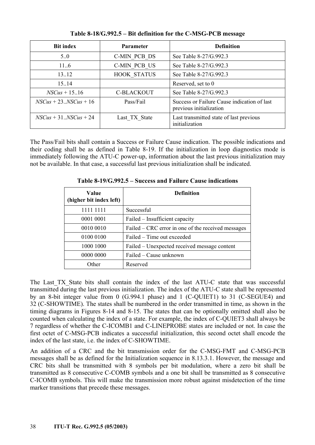| <b>Bit index</b>          | <b>Parameter</b>   | <b>Definition</b>                                                      |
|---------------------------|--------------------|------------------------------------------------------------------------|
| 5.0                       | C-MIN PCB DS       | See Table 8-27/G.992.3                                                 |
| 116                       | C-MIN PCB US       | See Table 8-27/G.992.3                                                 |
| 13.12                     | <b>HOOK STATUS</b> | See Table 8-27/G.992.3                                                 |
| 15.14                     |                    | Reserved, set to 0                                                     |
| $NSCus + 1516$            | <b>C-BLACKOUT</b>  | See Table 8-27/G.992.3                                                 |
| $NSCus + 23$ $NSCus + 16$ | Pass/Fail          | Success or Failure Cause indication of last<br>previous initialization |
| $NSCus + 31$ $NSCus + 24$ | Last TX State      | Last transmitted state of last previous<br>initialization              |

**Table 8-18/G.992.5 – Bit definition for the C-MSG-PCB message** 

The Pass/Fail bits shall contain a Success or Failure Cause indication. The possible indications and their coding shall be as defined in Table 8-19. If the initialization in loop diagnostics mode is immediately following the ATU-C power-up, information about the last previous initialization may not be available. In that case, a successful last previous initialization shall be indicated.

| Value<br>(higher bit index left) | <b>Definition</b>                                  |
|----------------------------------|----------------------------------------------------|
| 1111 1111                        | Successful                                         |
| 0001 0001                        | Failed – Insufficient capacity                     |
| 0010 0010                        | Failed – CRC error in one of the received messages |
| 0100 0100                        | Failed – Time out exceeded                         |
| 1000 1000                        | Failed – Unexpected received message content       |
| 0000 0000                        | Failed – Cause unknown                             |
| Other                            | Reserved                                           |

**Table 8-19/G.992.5 – Success and Failure Cause indications** 

The Last TX State bits shall contain the index of the last ATU-C state that was successful transmitted during the last previous initialization. The index of the ATU-C state shall be represented by an 8-bit integer value from 0 (G.994.1 phase) and 1 (C-QUIET1) to 31 (C-SEGUE4) and 32 (C-SHOWTIME). The states shall be numbered in the order transmitted in time, as shown in the timing diagrams in Figures 8-14 and 8-15. The states that can be optionally omitted shall also be counted when calculating the index of a state. For example, the index of C-QUIET3 shall always be 7 regardless of whether the C-ICOMB1 and C-LINEPROBE states are included or not. In case the first octet of C-MSG-PCB indicates a successful initialization, this second octet shall encode the index of the last state, i.e. the index of C-SHOWTIME.

An addition of a CRC and the bit transmission order for the C-MSG-FMT and C-MSG-PCB messages shall be as defined for the Initialization sequence in 8.13.3.1. However, the message and CRC bits shall be transmitted with 8 symbols per bit modulation, where a zero bit shall be transmitted as 8 consecutive C-COMB symbols and a one bit shall be transmitted as 8 consecutive C-ICOMB symbols. This will make the transmission more robust against misdetection of the time marker transitions that precede these messages.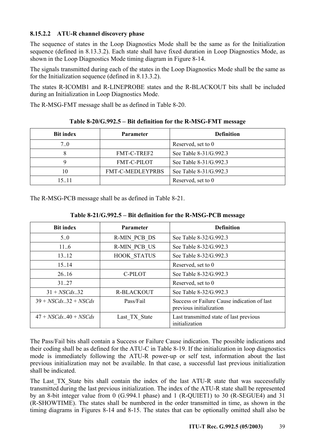# **8.15.2.2 ATU-R channel discovery phase**

The sequence of states in the Loop Diagnostics Mode shall be the same as for the Initialization sequence (defined in 8.13.3.2). Each state shall have fixed duration in Loop Diagnostics Mode, as shown in the Loop Diagnostics Mode timing diagram in Figure 8-14.

The signals transmitted during each of the states in the Loop Diagnostics Mode shall be the same as for the Initialization sequence (defined in 8.13.3.2).

The states R-ICOMB1 and R-LINEPROBE states and the R-BLACKOUT bits shall be included during an Initialization in Loop Diagnostics Mode.

The R-MSG-FMT message shall be as defined in Table 8-20.

| <b>Bit index</b> | <b>Parameter</b> | <b>Definition</b>      |
|------------------|------------------|------------------------|
| $7_{.}.0$        |                  | Reserved, set to 0     |
| 8                | FMT-C-TREF2      | See Table 8-31/G.992.3 |
|                  | FMT-C-PILOT      | See Table 8-31/G.992.3 |
| 10               | FMT-C-MEDLEYPRBS | See Table 8-31/G.992.3 |
| 15 11            |                  | Reserved, set to 0     |

**Table 8-20/G.992.5 – Bit definition for the R-MSG-FMT message** 

The R-MSG-PCB message shall be as defined in Table 8-21.

| Table 8-21/G.992.5 – Bit definition for the R-MSG-PCB message |  |
|---------------------------------------------------------------|--|
|---------------------------------------------------------------|--|

| <b>Bit index</b>             | Parameter           | <b>Definition</b>                                                      |
|------------------------------|---------------------|------------------------------------------------------------------------|
| 5.0                          | R-MIN PCB DS        | See Table 8-32/G.992.3                                                 |
| 116                          | <b>R-MIN PCB US</b> | See Table 8-32/G.992.3                                                 |
| 13.12                        | <b>HOOK STATUS</b>  | See Table 8-32/G.992.3                                                 |
| 15.14                        |                     | Reserved, set to 0                                                     |
| 26.16                        | C-PILOT             | See Table 8-32/G.992.3                                                 |
| 31.27                        |                     | Reserved, set to 0                                                     |
| $31 + NSCds.32$              | <b>R-BLACKOUT</b>   | See Table 8-32/G.992.3                                                 |
| $39 + NSCds.$ 32 + NSCds     | Pass/Fail           | Success or Failure Cause indication of last<br>previous initialization |
| $47 + NSCds.$ , $40 + NSCds$ | Last TX State       | Last transmitted state of last previous<br>initialization              |

The Pass/Fail bits shall contain a Success or Failure Cause indication. The possible indications and their coding shall be as defined for the ATU-C in Table 8-19. If the initialization in loop diagnostics mode is immediately following the ATU-R power-up or self test, information about the last previous initialization may not be available. In that case, a successful last previous initialization shall be indicated.

The Last TX State bits shall contain the index of the last ATU-R state that was successfully transmitted during the last previous initialization. The index of the ATU-R state shall be represented by an 8-bit integer value from 0 (G.994.1 phase) and 1 (R-QUIET1) to 30 (R-SEGUE4) and 31 (R-SHOWTIME). The states shall be numbered in the order transmitted in time, as shown in the timing diagrams in Figures 8-14 and 8-15. The states that can be optionally omitted shall also be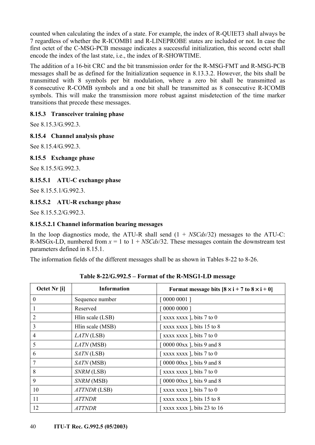counted when calculating the index of a state. For example, the index of R-QUIET3 shall always be 7 regardless of whether the R-ICOMB1 and R-LINEPROBE states are included or not. In case the first octet of the C-MSG-PCB message indicates a successful initialization, this second octet shall encode the index of the last state, i.e., the index of R-SHOWTIME.

The addition of a 16-bit CRC and the bit transmission order for the R-MSG-FMT and R-MSG-PCB messages shall be as defined for the Initialization sequence in 8.13.3.2. However, the bits shall be transmitted with 8 symbols per bit modulation, where a zero bit shall be transmitted as 8 consecutive R-COMB symbols and a one bit shall be transmitted as 8 consecutive R-ICOMB symbols. This will make the transmission more robust against misdetection of the time marker transitions that precede these messages.

# **8.15.3 Transceiver training phase**

See 8.15.3/G.992.3.

# **8.15.4 Channel analysis phase**

See 8.15.4/G.992.3.

# **8.15.5 Exchange phase**

See 8.15.5/G.992.3.

# **8.15.5.1 ATU-C exchange phase**

See 8.15.5.1/G.992.3.

# **8.15.5.2 ATU-R exchange phase**

See 8.15.5.2/G.992.3.

# **8.15.5.2.1 Channel information bearing messages**

In the loop diagnostics mode, the ATU-R shall send (1 + *NSCds*/32) messages to the ATU-C: R-MSGx-LD, numbered from  $x = 1$  to  $1 + NSC \frac{ds}{32}$ . These messages contain the downstream test parameters defined in 8.15.1.

The information fields of the different messages shall be as shown in Tables 8-22 to 8-26.

| Octet Nr [i] | <b>Information</b> | Format message bits $[8 \times i + 7$ to $8 \times i + 0]$                                                                                                                                                                                                                                                                                                                                                                                                                              |
|--------------|--------------------|-----------------------------------------------------------------------------------------------------------------------------------------------------------------------------------------------------------------------------------------------------------------------------------------------------------------------------------------------------------------------------------------------------------------------------------------------------------------------------------------|
| $\theta$     | Sequence number    | [00000001]                                                                                                                                                                                                                                                                                                                                                                                                                                                                              |
| 1            | Reserved           | [0000000]                                                                                                                                                                                                                                                                                                                                                                                                                                                                               |
| 2            | Hlin scale (LSB)   | [ $\text{XXX}$ $\text{XXX}$ ], bits 7 to 0                                                                                                                                                                                                                                                                                                                                                                                                                                              |
| 3            | Hlin scale (MSB)   | [ $\text{XXX}$ $\text{XXX}$ ], bits 15 to 8                                                                                                                                                                                                                                                                                                                                                                                                                                             |
| 4            | LATN(LSB)          | [ $\overline{xx}$ $\overline{x}$ $\overline{x}$ $\overline{x}$ $\overline{x}$ $\overline{x}$ $\overline{x}$ $\overline{x}$ $\overline{x}$ $\overline{x}$ $\overline{x}$ $\overline{x}$ $\overline{x}$ $\overline{x}$ $\overline{x}$ $\overline{x}$ $\overline{x}$ $\overline{x}$ $\overline{x}$ $\overline{x}$ $\overline{x}$ $\overline{x}$ $\overline{x}$ $\overline{x}$ $\overline{x}$ $\overline{x}$ $\overline{x}$ $\overline{x}$ $\overline{x}$ $\overline{x}$ $\overline{x}$ $\$ |
| 5            | LATN (MSB)         | [0000 00xx], bits 9 and 8                                                                                                                                                                                                                                                                                                                                                                                                                                                               |
| 6            | $SATN$ (LSB)       | [XXXX XXXX ], bits 7 to 0                                                                                                                                                                                                                                                                                                                                                                                                                                                               |
| 7            | SATN(MSB)          | $[0000000xx]$ , bits 9 and 8                                                                                                                                                                                                                                                                                                                                                                                                                                                            |
| 8            | $SNRM$ (LSB)       | [XXXX XXXX ], bits 7 to 0                                                                                                                                                                                                                                                                                                                                                                                                                                                               |
| 9            | SNRM (MSB)         | $[0000000xx]$ , bits 9 and 8                                                                                                                                                                                                                                                                                                                                                                                                                                                            |
| 10           | ATTNDR (LSB)       | $\left[$ xxxx xxxx $\right]$ , bits 7 to 0                                                                                                                                                                                                                                                                                                                                                                                                                                              |
| 11           | <b>ATTNDR</b>      | [ $xxxx$ $\,xxx$ ], bits 15 to 8                                                                                                                                                                                                                                                                                                                                                                                                                                                        |
| 12           | <i>ATTNDR</i>      | $\text{xxxx}\text{ xxxx}$ ], bits 23 to 16                                                                                                                                                                                                                                                                                                                                                                                                                                              |

**Table 8-22/G.992.5 – Format of the R-MSG1-LD message**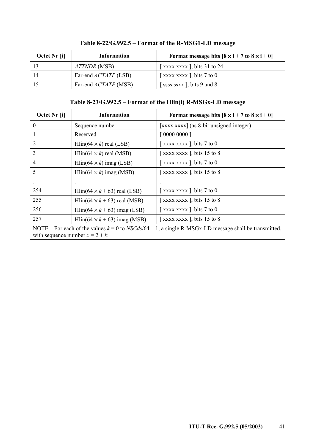| Octet Nr [i] | Information                 | Format message bits $[8 \times i + 7$ to $8 \times i + 0]$ |
|--------------|-----------------------------|------------------------------------------------------------|
|              | <i>ATTNDR</i> (MSB)         | [ $\text{XXX}$ xxxx ], bits 31 to 24                       |
| 14           | Far-end <i>ACTATP</i> (LSB) | $\left[$ xxxx xxxx $\right]$ , bits 7 to 0                 |
|              | Far-end <i>ACTATP</i> (MSB) | [ $ssss$ ssxx], bits 9 and 8                               |

# **Table 8-22/G.992.5 – Format of the R-MSG1-LD message**

# **Table 8-23/G.992.5 – Format of the Hlin(i) R-MSGx-LD message**

| Octet Nr [i]                                                                                                                                     | <b>Information</b>                  | Format message bits $[8 \times i + 7$ to $8 \times i + 0]$ |
|--------------------------------------------------------------------------------------------------------------------------------------------------|-------------------------------------|------------------------------------------------------------|
| $\theta$                                                                                                                                         | Sequence number                     | [xxxx xxxx] (as 8-bit unsigned integer)                    |
| 1                                                                                                                                                | Reserved                            | [0000000]                                                  |
| 2                                                                                                                                                | $Hlin(64 \times k)$ real (LSB)      | $\left[$ xxxx xxxx $\right]$ , bits 7 to 0                 |
| 3                                                                                                                                                | $Hlin(64 \times k)$ real (MSB)      | [ $\text{XXX}$ xxxx ], bits 15 to 8                        |
| 4                                                                                                                                                | $Hlin(64 \times k)$ imag (LSB)      | [ $\text{xxxx } \text{xxxx}$ ], bits 7 to 0                |
| 5                                                                                                                                                | $Hlin(64 \times k)$ imag (MSB)      | [ $\text{XXX}$ xxxx ], bits 15 to 8                        |
| $\ddotsc$                                                                                                                                        | $\ddotsc$                           | $\ddotsc$                                                  |
| 254                                                                                                                                              | Hlin(64 $\times$ k + 63) real (LSB) | $\left[$ xxxx xxxx $\right]$ , bits 7 to 0                 |
| 255                                                                                                                                              | $Hlin(64 \times k + 63)$ real (MSB) | [ $\text{XXX}$ xxxx ], bits 15 to 8                        |
| 256                                                                                                                                              | $Hlin(64 \times k + 63)$ imag (LSB) | [ $\text{XXX}$ xxxx ], bits 7 to 0                         |
| 257                                                                                                                                              | Hlin(64 $\times$ k + 63) imag (MSB) | [ $\text{XXX}$ xxxx ], bits 15 to 8                        |
| NOTE – For each of the values $k = 0$ to $NSCds/64 - 1$ , a single R-MSGx-LD message shall be transmitted,<br>with sequence number $x = 2 + k$ . |                                     |                                                            |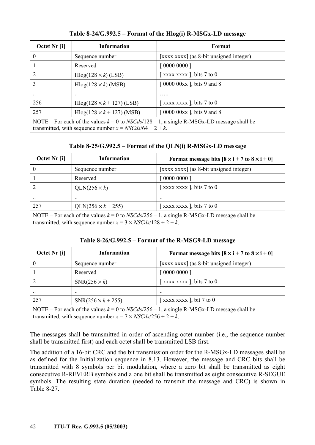| Octet Nr [i]                                                                                                                                                 | <b>Information</b>               | Format                                     |
|--------------------------------------------------------------------------------------------------------------------------------------------------------------|----------------------------------|--------------------------------------------|
| $\theta$                                                                                                                                                     | Sequence number                  | [xxxx xxxx] (as 8-bit unsigned integer)    |
|                                                                                                                                                              | Reserved                         | [0000000]                                  |
| $\overline{2}$                                                                                                                                               | $Hlog(128 \times k)$ (LSB)       | $\left[$ xxxx xxxx $\right]$ , bits 7 to 0 |
| 3                                                                                                                                                            | $Hlog(128 \times k)$ (MSB)       | $[0000000xx]$ , bits 9 and 8               |
|                                                                                                                                                              | $\ddotsc$                        | .                                          |
| 256                                                                                                                                                          | $Hlog(128 \times k + 127)$ (LSB) | $\left[$ xxxx xxxx $\right]$ , bits 7 to 0 |
| 257                                                                                                                                                          | $Hlog(128 \times k + 127)$ (MSB) | $[0000000xx]$ , bits 9 and 8               |
| NOTE – For each of the values $k = 0$ to $NSCds/128 - 1$ , a single R-MSGx-LD message shall be<br>transmitted, with sequence number $x = NSCds/64 + 2 + k$ . |                                  |                                            |

**Table 8-24/G.992.5 – Format of the Hlog(i) R-MSGx-LD message** 

# **Table 8-25/G.992.5 – Format of the QLN(i) R-MSGx-LD message**

| Octet Nr [i]                                                                                                                                                                    | <b>Information</b>   | Format message bits $[8 \times i + 7$ to $8 \times i + 0]$ |  |  |
|---------------------------------------------------------------------------------------------------------------------------------------------------------------------------------|----------------------|------------------------------------------------------------|--|--|
| $\theta$                                                                                                                                                                        | Sequence number      | [xxxx xxxx] (as 8-bit unsigned integer)                    |  |  |
|                                                                                                                                                                                 | Reserved             | [0000000]                                                  |  |  |
|                                                                                                                                                                                 | QLN(256 $\times k$ ) | [ $\text{XXX}$ xxxx ], bits 7 to 0                         |  |  |
|                                                                                                                                                                                 | $\cdot \cdot$        | $\ddotsc$                                                  |  |  |
| 257<br>[ $\text{XXX}$ xxxx ], bits 7 to 0<br>$QLN(256 \times k + 255)$                                                                                                          |                      |                                                            |  |  |
| NOTE – For each of the values $k = 0$ to $NSCds/256 - 1$ , a single R-MSGx-LD message shall be<br>transmitted, with sequence number $x = 3 \times NSC \frac{ds}{128} + 2 + k$ . |                      |                                                            |  |  |

# **Table 8-26/G.992.5 – Format of the R-MSG9-LD message**

| Octet Nr [i]                                                                                                                                                                    | <b>Information</b>  | Format message bits $[8 \times i + 7$ to $8 \times i + 0]$ |  |  |
|---------------------------------------------------------------------------------------------------------------------------------------------------------------------------------|---------------------|------------------------------------------------------------|--|--|
|                                                                                                                                                                                 | Sequence number     | [xxxx xxxx] (as 8-bit unsigned integer)                    |  |  |
|                                                                                                                                                                                 | Reserved            | [0000000]                                                  |  |  |
|                                                                                                                                                                                 | $SNR(256 \times k)$ | [ $\text{XXX}$ xxxx ], bits 7 to 0                         |  |  |
| $\ddotsc$                                                                                                                                                                       | $\ddotsc$           | $\ddotsc$                                                  |  |  |
| 257<br>$\left[$ xxxx xxxx $\right]$ , bit 7 to 0<br>$SNR(256 \times k + 255)$                                                                                                   |                     |                                                            |  |  |
| NOTE – For each of the values $k = 0$ to $NSCds/256 - 1$ , a single R-MSGx-LD message shall be<br>transmitted, with sequence number $x = 7 \times NSC \frac{ds}{256} + 2 + k$ . |                     |                                                            |  |  |

The messages shall be transmitted in order of ascending octet number (i.e., the sequence number shall be transmitted first) and each octet shall be transmitted LSB first.

The addition of a 16-bit CRC and the bit transmission order for the R-MSGx-LD messages shall be as defined for the Initialization sequence in 8.13. However, the message and CRC bits shall be transmitted with 8 symbols per bit modulation, where a zero bit shall be transmitted as eight consecutive R-REVERB symbols and a one bit shall be transmitted as eight consecutive R-SEGUE symbols. The resulting state duration (needed to transmit the message and CRC) is shown in Table 8-27.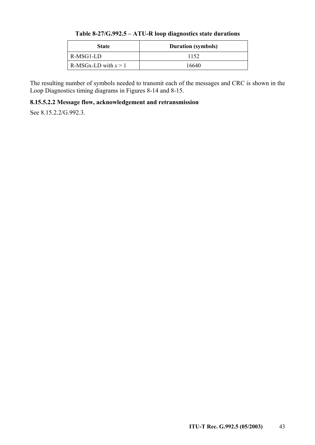# **Table 8-27/G.992.5 – ATU-R loop diagnostics state durations**

| State                  | <b>Duration</b> (symbols) |
|------------------------|---------------------------|
| R-MSG1-LD              | 1152                      |
| R-MSGx-LD with $x > 1$ | 16640                     |

The resulting number of symbols needed to transmit each of the messages and CRC is shown in the Loop Diagnostics timing diagrams in Figures 8-14 and 8-15.

# **8.15.5.2.2 Message flow, acknowledgement and retransmission**

See 8.15.2.2/G.992.3.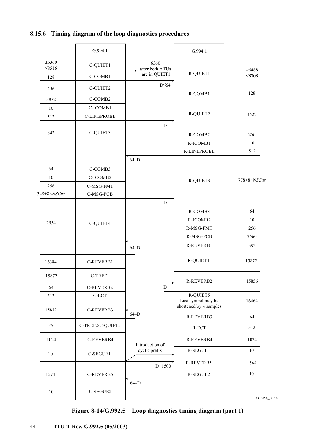|                        | G.994.1            |                         | G.994.1                                                    |                     |
|------------------------|--------------------|-------------------------|------------------------------------------------------------|---------------------|
| $\geq 6360$<br>$≤8516$ | C-QUIET1           | 6360<br>after both ATUs |                                                            | $\geq 6488$         |
| 128                    | C-COMB1            | are in QUIET1           | R-QUIET1                                                   | $≤8708$             |
| 256                    | C-QUIET2           | $D \leq 64$             | R-COMB1                                                    | 128                 |
| 3872                   | C-COMB2            |                         |                                                            |                     |
| 10                     | C-ICOMB1           |                         |                                                            |                     |
| 512                    | <b>C-LINEPROBE</b> |                         | R-QUIET2                                                   | 4522                |
|                        |                    | D                       |                                                            |                     |
| 842                    | C-QUIET3           |                         | R-COMB2                                                    | 256                 |
|                        |                    |                         | R-ICOMB1                                                   | 10                  |
|                        |                    |                         | R-LINEPROBE                                                | 512                 |
|                        |                    | $64-D$                  |                                                            |                     |
| 64                     | C-COMB3            |                         |                                                            |                     |
| 10                     | C-ICOMB2           |                         |                                                            | $778+8\times NSCus$ |
| 256                    | C-MSG-FMT          |                         | R-QUIET3                                                   |                     |
| $348+8\times NSCus$    | C-MSG-PCB          |                         |                                                            |                     |
|                        |                    | ${\bf D}$               |                                                            |                     |
|                        | C-QUIET4           |                         | R-COMB3                                                    | 64                  |
| 2954                   |                    |                         | R-ICOMB2                                                   | 10                  |
|                        |                    |                         | R-MSG-FMT                                                  | 256                 |
|                        |                    |                         | R-MSG-PCB                                                  | 2560                |
|                        |                    | $64-D$                  | R-REVERB1                                                  | 592                 |
| 16384                  | C-REVERB1          |                         | R-QUIET4                                                   | 15872               |
| 15872                  | C-TREF1            |                         | R-REVERB2                                                  | 15856               |
| 64                     | C-REVERB2          | ${\bf D}$               |                                                            |                     |
| 512                    | C-ECT              |                         | R-QUIET5<br>Last symbol may be<br>shortened by $n$ samples | 16464               |
| 15872                  | C-REVERB3          | $64-D$                  | R-REVERB3                                                  | 64                  |
| 576                    | C-TREF2/C-QUIET5   |                         | R-ECT                                                      | 512                 |
| 1024                   | C-REVERB4          | Introduction of         | R-REVERB4                                                  | 1024                |
| $10\,$                 | C-SEGUE1           | cyclic prefix           | R-SEGUE1                                                   | 10                  |
|                        |                    | $D+1500$                | R-REVERB5                                                  | 1564                |
| 1574                   | C-REVERB5          |                         | R-SEGUE2                                                   | 10                  |
|                        |                    | $64-D$                  |                                                            |                     |
| $10\,$                 | C-SEGUE2           |                         |                                                            | G.992.5             |

92.5\_F8-14

# **Figure 8-14/G.992.5 – Loop diagnostics timing diagram (part 1)**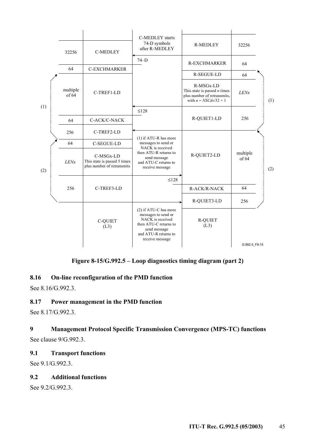

**Figure 8-15/G.992.5 – Loop diagnostics timing diagram (part 2)** 

# **8.16 On-line reconfiguration of the PMD function**

See 8.16/G.992.3.

# **8.17 Power management in the PMD function**

See 8.17/G.992.3.

# **9 Management Protocol Specific Transmission Convergence (MPS-TC) functions**  See clause  $9/G.992.3$ .

# **9.1 Transport functions**

See 9.1/G.992.3.

# **9.2 Additional functions**

See 9.2/G.992.3.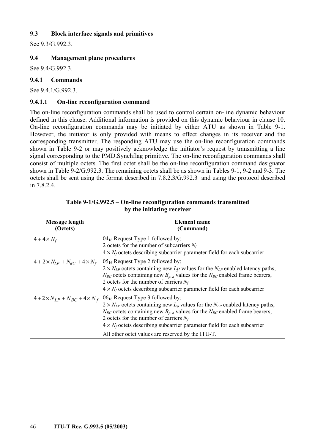# **9.3 Block interface signals and primitives**

See 9.3/G.992.3.

# **9.4 Management plane procedures**

See 9.4/G.992.3.

#### **9.4.1 Commands**

See 9.4.1/G.992.3.

#### **9.4.1.1 On-line reconfiguration command**

The on-line reconfiguration commands shall be used to control certain on-line dynamic behaviour defined in this clause. Additional information is provided on this dynamic behaviour in clause 10. On-line reconfiguration commands may be initiated by either ATU as shown in Table 9-1. However, the initiator is only provided with means to effect changes in its receiver and the corresponding transmitter. The responding ATU may use the on-line reconfiguration commands shown in Table 9-2 or may positively acknowledge the initiator's request by transmitting a line signal corresponding to the PMD.Synchflag primitive. The on-line reconfiguration commands shall consist of multiple octets. The first octet shall be the on-line reconfiguration command designator shown in Table 9-2/G.992.3. The remaining octets shall be as shown in Tables 9-1, 9-2 and 9-3. The octets shall be sent using the format described in 7.8.2.3/G.992.3 and using the protocol described in 7.8.2.4.

| <b>Message length</b><br>(Octets)              | Element name<br>(Command)                                                                                                                                                                                                                                                                                                                                                                                             |
|------------------------------------------------|-----------------------------------------------------------------------------------------------------------------------------------------------------------------------------------------------------------------------------------------------------------------------------------------------------------------------------------------------------------------------------------------------------------------------|
| $4+4\times N_f$                                | $04_{16}$ Request Type 1 followed by:<br>2 octets for the number of subcarriers $N_f$<br>$4 \times N_f$ octets describing subcarrier parameter field for each subcarrier                                                                                                                                                                                                                                              |
| $4+2\times N_{LP}$ + $N_{BC}$ + 4 $\times N_f$ | $05_{16}$ Request Type 2 followed by:<br>$2 \times N_{LP}$ octets containing new Lp values for the $N_{LP}$ enabled latency paths,<br>$N_{BC}$ octets containing new $B_{p,n}$ values for the $N_{BC}$ enabled frame bearers,<br>2 octets for the number of carriers $N_f$<br>$4 \times N_f$ octets describing subcarrier parameter field for each subcarrier                                                         |
| $4+2\times N_{LP}$ + $N_{BC}$ + $4\times N_f$  | $06_{16}$ Request Type 3 followed by:<br>$2 \times N_{LP}$ octets containing new $L_p$ values for the $N_{LP}$ enabled latency paths,<br>$N_{BC}$ octets containing new $B_{p,n}$ values for the $N_{BC}$ enabled frame bearers,<br>2 octets for the number of carriers $N_f$<br>$4 \times N_f$ octets describing subcarrier parameter field for each subcarrier<br>All other octet values are reserved by the ITU-T. |

| Table 9-1/G.992.5 – On-line reconfiguration commands transmitted |
|------------------------------------------------------------------|
| by the initiating receiver                                       |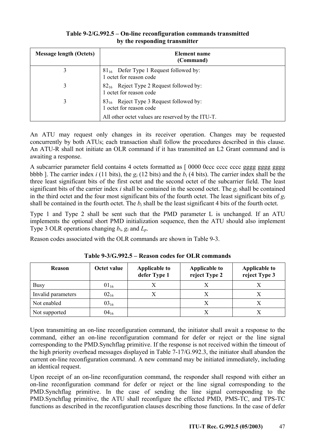### **Table 9-2/G.992.5 – On-line reconfiguration commands transmitted by the responding transmitter**

| <b>Message length (Octets)</b> | Element name<br>(Command)                                                      |
|--------------------------------|--------------------------------------------------------------------------------|
|                                | 81 <sub>16</sub> Defer Type 1 Request followed by:<br>1 octet for reason code  |
| 3                              | 82 <sub>16</sub> Reject Type 2 Request followed by:<br>1 octet for reason code |
| 3                              | $83_{16}$ Reject Type 3 Request followed by:<br>1 octet for reason code        |
|                                | All other octet values are reserved by the ITU-T.                              |

An ATU may request only changes in its receiver operation. Changes may be requested concurrently by both ATUs; each transaction shall follow the procedures described in this clause. An ATU-R shall not initiate an OLR command if it has transmitted an L2 Grant command and is awaiting a response.

A subcarrier parameter field contains 4 octets formatted as  $\lceil 0000 \rceil$  0ccc cccc cccc gggg gggg gggg bbbb ]. The carrier index *i* (11 bits), the  $g_i$  (12 bits) and the  $b_i$  (4 bits). The carrier index shall be the three least significant bits of the first octet and the second octet of the subcarrier field. The least significant bits of the carrier index *i* shall be contained in the second octet. The *gi* shall be contained in the third octet and the four most significant bits of the fourth octet. The least significant bits of *gi* shall be contained in the fourth octet. The  $b_i$  shall be the least significant 4 bits of the fourth octet.

Type 1 and Type 2 shall be sent such that the PMD parameter L is unchanged. If an ATU implements the optional short PMD initialization sequence, then the ATU should also implement Type 3 OLR operations changing *bi*, *gi* and *Lp*.

Reason codes associated with the OLR commands are shown in Table 9-3.

| <b>Reason</b>      | Octet value | <b>Applicable to</b><br>defer Type 1 | <b>Applicable to</b><br>reject Type 2 | <b>Applicable to</b><br>reject Type 3 |
|--------------------|-------------|--------------------------------------|---------------------------------------|---------------------------------------|
| Busy               | $01_{16}$   |                                      |                                       |                                       |
| Invalid parameters | $02_{16}$   |                                      |                                       |                                       |
| Not enabled        | $03_{16}$   |                                      |                                       |                                       |
| Not supported      | $04_{16}$   |                                      |                                       |                                       |

**Table 9-3/G.992.5 – Reason codes for OLR commands** 

Upon transmitting an on-line reconfiguration command, the initiator shall await a response to the command, either an on-line reconfiguration command for defer or reject or the line signal corresponding to the PMD.Synchflag primitive. If the response is not received within the timeout of the high priority overhead messages displayed in Table 7-17/G.992.3, the initiator shall abandon the current on-line reconfiguration command. A new command may be initiated immediately, including an identical request.

Upon receipt of an on-line reconfiguration command, the responder shall respond with either an on-line reconfiguration command for defer or reject or the line signal corresponding to the PMD.Synchflag primitive. In the case of sending the line signal corresponding to the PMD.Synchflag primitive, the ATU shall reconfigure the effected PMD, PMS-TC, and TPS-TC functions as described in the reconfiguration clauses describing those functions. In the case of defer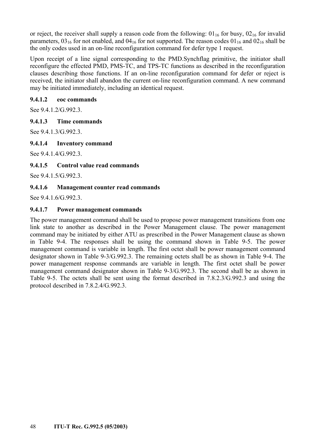or reject, the receiver shall supply a reason code from the following:  $01_{16}$  for busy,  $02_{16}$  for invalid parameters,  $03_{16}$  for not enabled, and  $04_{16}$  for not supported. The reason codes  $01_{16}$  and  $02_{16}$  shall be the only codes used in an on-line reconfiguration command for defer type 1 request.

Upon receipt of a line signal corresponding to the PMD.Synchflag primitive, the initiator shall reconfigure the effected PMD, PMS-TC, and TPS-TC functions as described in the reconfiguration clauses describing those functions. If an on-line reconfiguration command for defer or reject is received, the initiator shall abandon the current on-line reconfiguration command. A new command may be initiated immediately, including an identical request.

#### **9.4.1.2 eoc commands**

See 9.4.1.2/G.992.3.

#### **9.4.1.3 Time commands**

See 9.4.1.3/G.992.3.

#### **9.4.1.4 Inventory command**

See 9.4.1.4/G.992.3.

#### **9.4.1.5 Control value read commands**

See 9.4.1.5/G.992.3.

#### **9.4.1.6 Management counter read commands**

See 9.4.1.6/G.992.3.

#### **9.4.1.7 Power management commands**

The power management command shall be used to propose power management transitions from one link state to another as described in the Power Management clause. The power management command may be initiated by either ATU as prescribed in the Power Management clause as shown in Table 9-4. The responses shall be using the command shown in Table 9-5. The power management command is variable in length. The first octet shall be power management command designator shown in Table 9-3/G.992.3. The remaining octets shall be as shown in Table 9-4. The power management response commands are variable in length. The first octet shall be power management command designator shown in Table 9-3/G.992.3. The second shall be as shown in Table 9-5. The octets shall be sent using the format described in 7.8.2.3/G.992.3 and using the protocol described in 7.8.2.4/G.992.3.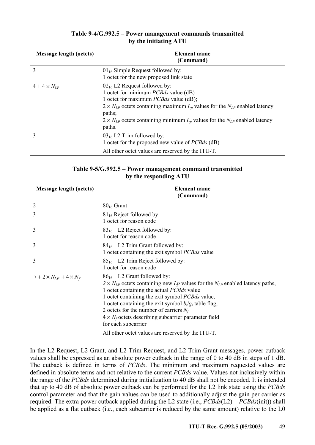### **Table 9-4/G.992.5 – Power management commands transmitted by the initiating ATU**

| <b>Message length (octets)</b> | <b>Element</b> name<br>(Command)                                                                                                                                                                                                                                                                                                               |
|--------------------------------|------------------------------------------------------------------------------------------------------------------------------------------------------------------------------------------------------------------------------------------------------------------------------------------------------------------------------------------------|
|                                | $01_{16}$ Simple Request followed by:<br>1 octet for the new proposed link state                                                                                                                                                                                                                                                               |
| $4+4\times N_{LP}$             | $02_{16}$ L2 Request followed by:<br>1 octet for minimum <i>PCBds</i> value (dB)<br>1 octet for maximum <i>PCBds</i> value (dB);<br>$2 \times N_{LP}$ octets containing maximum $L_p$ values for the $N_{LP}$ enabled latency<br>paths;<br>$2 \times N_{LP}$ octets containing minimum $L_p$ values for the $N_{LP}$ enabled latency<br>paths. |
|                                | $03_{16}$ L2 Trim followed by:<br>1 octet for the proposed new value of <i>PCBds</i> (dB)<br>All other octet values are reserved by the ITU-T.                                                                                                                                                                                                 |

### **Table 9-5/G.992.5 – Power management command transmitted by the responding ATU**

| <b>Message length (octets)</b>      | Element name<br>(Command)                                                                                                                                                                                                                                                                                                                                                                                                                 |
|-------------------------------------|-------------------------------------------------------------------------------------------------------------------------------------------------------------------------------------------------------------------------------------------------------------------------------------------------------------------------------------------------------------------------------------------------------------------------------------------|
| $\overline{2}$                      | $80_{16}$ Grant                                                                                                                                                                                                                                                                                                                                                                                                                           |
| 3                                   | 81 <sub>16</sub> Reject followed by:<br>1 octet for reason code                                                                                                                                                                                                                                                                                                                                                                           |
| 3                                   | $83_{16}$ L2 Reject followed by:<br>1 octet for reason code                                                                                                                                                                                                                                                                                                                                                                               |
| 3                                   | $84_{16}$ L2 Trim Grant followed by:<br>1 octet containing the exit symbol <i>PCBds</i> value                                                                                                                                                                                                                                                                                                                                             |
| 3                                   | $85_{16}$ L2 Trim Reject followed by:<br>1 octet for reason code                                                                                                                                                                                                                                                                                                                                                                          |
| $7+2\times N_{LP}$ + 4 $\times N_f$ | $86_{16}$ L2 Grant followed by:<br>$2 \times N_{LP}$ octets containing new Lp values for the $N_{LP}$ enabled latency paths,<br>1 octet containing the actual <i>PCBds</i> value<br>1 octet containing the exit symbol <i>PCBds</i> value,<br>1 octet containing the exit symbol $b_i/g_i$ table flag,<br>2 octets for the number of carriers $N_f$<br>$4 \times N_f$ octets describing subcarrier parameter field<br>for each subcarrier |
|                                     | All other octet values are reserved by the ITU-T.                                                                                                                                                                                                                                                                                                                                                                                         |

In the L2 Request, L2 Grant, and L2 Trim Request, and L2 Trim Grant messages, power cutback values shall be expressed as an absolute power cutback in the range of 0 to 40 dB in steps of 1 dB. The cutback is defined in terms of *PCBds*. The minimum and maximum requested values are defined in absolute terms and not relative to the current *PCBds* value. Values not inclusively within the range of the *PCBds* determined during initialization to 40 dB shall not be encoded. It is intended that up to 40 dB of absolute power cutback can be performed for the L2 link state using the *PCBds* control parameter and that the gain values can be used to additionally adjust the gain per carrier as required. The extra power cutback applied during the L2 state (i.e., *PCBds*(L2) – *PCBds*(init)) shall be applied as a flat cutback (i.e., each subcarrier is reduced by the same amount) relative to the L0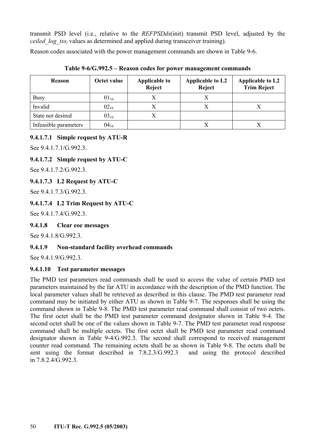transmit PSD level (i.e., relative to the *REFPSDds*(init) transmit PSD level, adjusted by the *ceiled log tss<sub>i</sub>* values as determined and applied during transceiver training).

Reason codes associated with the power management commands are shown in Table 9-6.

| <b>Reason</b>         | Octet value | <b>Applicable to</b><br>Reject | Applicable to L2<br>Reject | Applicable to L2<br><b>Trim Reject</b> |
|-----------------------|-------------|--------------------------------|----------------------------|----------------------------------------|
| <b>Busy</b>           | $01_{16}$   | X                              | X                          |                                        |
| Invalid               | $02_{16}$   | X                              |                            |                                        |
| State not desired     | $03_{16}$   | X                              |                            |                                        |
| Infeasible parameters | $04_{16}$   |                                |                            |                                        |

**Table 9-6/G.992.5 – Reason codes for power management commands** 

# **9.4.1.7.1 Simple request by ATU-R**

See 9.4.1.7.1/G.992.3.

# **9.4.1.7.2 Simple request by ATU-C**

See 9.4.1.7.2/G.992.3.

# **9.4.1.7.3 L2 Request by ATU-C**

See 9.4.1.7.3/G.992.3.

# **9.4.1.7.4 L2 Trim Request by ATU-C**

See 9.4.1.7.4/G.992.3.

# **9.4.1.8 Clear eoc messages**

See 9.4.1.8/G.992.3.

# **9.4.1.9 Non-standard facility overhead commands**

See 9.4.1.9/G.992.3.

# **9.4.1.10 Test parameter messages**

The PMD test parameters read commands shall be used to access the value of certain PMD test parameters maintained by the far ATU in accordance with the description of the PMD function. The local parameter values shall be retrieved as described in this clause. The PMD test parameter read command may be initiated by either ATU as shown in Table 9-7. The responses shall be using the command shown in Table 9-8. The PMD test parameter read command shall consist of two octets. The first octet shall be the PMD test parameter command designator shown in Table 9-4. The second octet shall be one of the values shown in Table 9-7. The PMD test parameter read response command shall be multiple octets. The first octet shall be PMD test parameter read command designator shown in Table 9-4/G.992.3. The second shall correspond to received management counter read command. The remaining octets shall be as shown in Table 9-8. The octets shall be sent using the format described in 7.8.2.3/G.992.3 and using the protocol described in 7.8.2.4/G.992.3.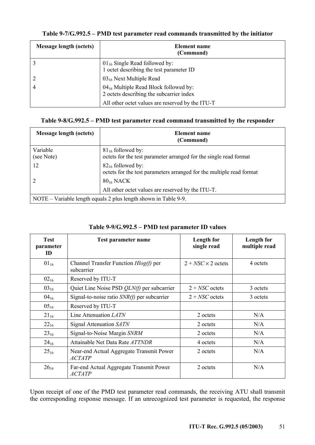| <b>Message length (octets)</b> | Element name<br>(Command)                                                                     |
|--------------------------------|-----------------------------------------------------------------------------------------------|
|                                | $01_{16}$ Single Read followed by:<br>1 octet describing the test parameter ID                |
|                                | $03_{16}$ Next Multiple Read                                                                  |
| 4                              | 04 <sub>16</sub> Multiple Read Block followed by:<br>2 octets describing the subcarrier index |
|                                | All other octet values are reserved by the ITU-T                                              |

# **Table 9-7/G.992.5 – PMD test parameter read commands transmitted by the initiator**

# **Table 9-8/G.992.5 – PMD test parameter read command transmitted by the responder**

| <b>Message length (octets)</b>                                  | <b>Element</b> name<br>(Command)                                                               |  |
|-----------------------------------------------------------------|------------------------------------------------------------------------------------------------|--|
| Variable<br>(see Note)                                          | $81_{16}$ followed by:<br>octets for the test parameter arranged for the single read format    |  |
| 12                                                              | $82_{16}$ followed by:<br>octets for the test parameters arranged for the multiple read format |  |
|                                                                 | $80_{16}$ NACK                                                                                 |  |
|                                                                 | All other octet values are reserved by the ITU-T.                                              |  |
| NOTE – Variable length equals 2 plus length shown in Table 9-9. |                                                                                                |  |

#### **Table 9-9/G.992.5 – PMD test parameter ID values**

| <b>Test</b><br>parameter<br>ID | <b>Test parameter name</b>                                 | Length for<br>single read | Length for<br>multiple read |
|--------------------------------|------------------------------------------------------------|---------------------------|-----------------------------|
| $01_{16}$                      | Channel Transfer Function <i>Hlog(f)</i> per<br>subcarrier | $2 + NSC \times 2$ octets | 4 octets                    |
| $02_{16}$                      | Reserved by ITU-T                                          |                           |                             |
| $03_{16}$                      | Quiet Line Noise PSD <i>QLN(f)</i> per subcarrier          | $2 + NSC$ octets          | 3 octets                    |
| $04_{16}$                      | Signal-to-noise ratio $SNR(f)$ per subcarrier              | $2 + NSC$ octets          | 3 octets                    |
| $05_{16}$                      | Reserved by ITU-T                                          |                           |                             |
| $21_{16}$                      | Line Attenuation LATN                                      | 2 octets                  | N/A                         |
| $22_{16}$                      | Signal Attenuation SATN                                    | 2 octets                  | N/A                         |
| $23_{16}$                      | Signal-to-Noise Margin SNRM                                | 2 octets                  | N/A                         |
| $24_{16}$                      | Attainable Net Data Rate ATTNDR                            | 4 octets                  | N/A                         |
| $25_{16}$                      | Near-end Actual Aggregate Transmit Power<br><b>ACTATP</b>  | 2 octets                  | N/A                         |
| $26_{16}$                      | Far-end Actual Aggregate Transmit Power<br><i>ACTATP</i>   | 2 octets                  | N/A                         |

Upon receipt of one of the PMD test parameter read commands, the receiving ATU shall transmit the corresponding response message. If an unrecognized test parameter is requested, the response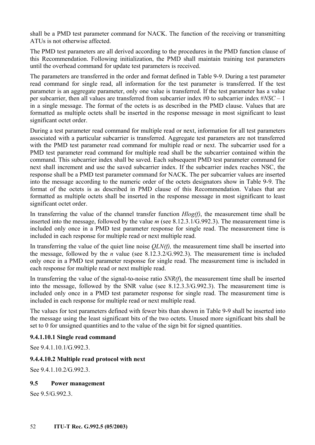shall be a PMD test parameter command for NACK. The function of the receiving or transmitting ATUs is not otherwise affected.

The PMD test parameters are all derived according to the procedures in the PMD function clause of this Recommendation. Following initialization, the PMD shall maintain training test parameters until the overhead command for update test parameters is received.

The parameters are transferred in the order and format defined in Table 9-9. During a test parameter read command for single read, all information for the test parameter is transferred. If the test parameter is an aggregate parameter, only one value is transferred. If the test parameter has a value per subcarrier, then all values are transferred from subcarrier index #0 to subcarrier index #*NSC* – 1 in a single message. The format of the octets is as described in the PMD clause. Values that are formatted as multiple octets shall be inserted in the response message in most significant to least significant octet order.

During a test parameter read command for multiple read or next, information for all test parameters associated with a particular subcarrier is transferred. Aggregate test parameters are not transferred with the PMD test parameter read command for multiple read or next. The subcarrier used for a PMD test parameter read command for multiple read shall be the subcarrier contained within the command. This subcarrier index shall be saved. Each subsequent PMD test parameter command for next shall increment and use the saved subcarrier index. If the subcarrier index reaches NSC, the response shall be a PMD test parameter command for NACK. The per subcarrier values are inserted into the message according to the numeric order of the octets designators show in Table 9-9. The format of the octets is as described in PMD clause of this Recommendation. Values that are formatted as multiple octets shall be inserted in the response message in most significant to least significant octet order.

In transferring the value of the channel transfer function *Hlog(f)*, the measurement time shall be inserted into the message, followed by the value *m* (see 8.12.3.1/G.992.3). The measurement time is included only once in a PMD test parameter response for single read. The measurement time is included in each response for multiple read or next multiple read.

In transferring the value of the quiet line noise *QLN(f),* the measurement time shall be inserted into the message, followed by the *n* value (see  $8.12.3.2/G.992.3$ ). The measurement time is included only once in a PMD test parameter response for single read. The measurement time is included in each response for multiple read or next multiple read.

In transferring the value of the signal-to-noise ratio *SNR(f*), the measurement time shall be inserted into the message, followed by the SNR value (see 8.12.3.3/G.992.3). The measurement time is included only once in a PMD test parameter response for single read. The measurement time is included in each response for multiple read or next multiple read.

The values for test parameters defined with fewer bits than shown in Table 9-9 shall be inserted into the message using the least significant bits of the two octets. Unused more significant bits shall be set to 0 for unsigned quantities and to the value of the sign bit for signed quantities.

# **9.4.1.10.1 Single read command**

See 9.4.1.10.1/G.992.3.

# **9.4.4.10.2 Multiple read protocol with next**

See 9.4.1.10.2/G.992.3.

# **9.5 Power management**

See 9.5/G.992.3.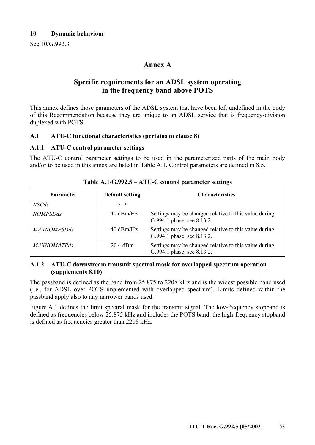See 10/G 992.3.

# **Annex A**

# **Specific requirements for an ADSL system operating in the frequency band above POTS**

This annex defines those parameters of the ADSL system that have been left undefined in the body of this Recommendation because they are unique to an ADSL service that is frequency-division duplexed with POTS.

# **A.1 ATU-C functional characteristics (pertains to clause 8)**

# **A.1.1 ATU-C control parameter settings**

The ATU-C control parameter settings to be used in the parameterized parts of the main body and/or to be used in this annex are listed in Table A.1. Control parameters are defined in 8.5.

| <b>Parameter</b>   | Default setting | <b>Characteristics</b>                                                              |
|--------------------|-----------------|-------------------------------------------------------------------------------------|
| <b>NSCds</b>       | 512             |                                                                                     |
| <b>NOMPSDds</b>    | $-40$ dBm/Hz    | Settings may be changed relative to this value during<br>G.994.1 phase; see 8.13.2. |
| <i>MAXNOMPSDds</i> | $-40$ dBm/Hz    | Settings may be changed relative to this value during<br>G.994.1 phase; see 8.13.2. |
| <i>MAXNOMATPds</i> | $20.4$ dBm      | Settings may be changed relative to this value during<br>G.994.1 phase; see 8.13.2. |

**Table A.1/G.992.5 – ATU-C control parameter settings** 

# **A.1.2 ATU-C downstream transmit spectral mask for overlapped spectrum operation (supplements 8.10)**

The passband is defined as the band from 25.875 to 2208 kHz and is the widest possible band used (i.e., for ADSL over POTS implemented with overlapped spectrum). Limits defined within the passband apply also to any narrower bands used.

Figure A.1 defines the limit spectral mask for the transmit signal. The low-frequency stopband is defined as frequencies below 25.875 kHz and includes the POTS band, the high-frequency stopband is defined as frequencies greater than 2208 kHz.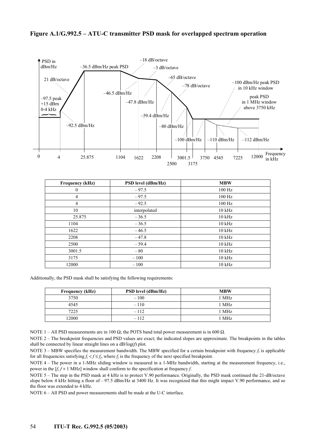#### **Figure A.1/G.992.5 – ATU-C transmitter PSD mask for overlapped spectrum operation**



| <b>Frequency (kHz)</b> | PSD level (dBm/Hz) | <b>MBW</b> |
|------------------------|--------------------|------------|
| 0                      | $-97.5$            | $100$ Hz   |
| $\overline{4}$         | $-97.5$            | $100$ Hz   |
| $\overline{4}$         | $-92.5$            | 100 Hz     |
| 10                     | interpolated       | $10$ kHz   |
| 25.875                 | $-36.5$            | $10$ kHz   |
| 1104                   | $-36.5$            | $10$ kHz   |
| 1622                   | $-46.5$            | $10$ kHz   |
| 2208                   | $-47.8$            | $10$ kHz   |
| 2500                   | $-59.4$            | $10$ kHz   |
| 3001.5                 | $-80$              | $10$ kHz   |
| 3175                   | $-100$             | $10$ kHz   |
| 12000                  | $-100$             | $10$ kHz   |

Additionally, the PSD mask shall be satisfying the following requirements:

| <b>Frequency (kHz)</b> | <b>PSD level (dBm/Hz)</b> | <b>MBW</b> |
|------------------------|---------------------------|------------|
| 3750                   | $-100$                    | 1 MHz      |
| 4545                   | $-110$                    | 1 MHz      |
| 7225                   | $-112$                    | 1 MHz      |
| 12000                  | $-112$                    | 1 MHz      |

NOTE 1 – All PSD measurements are in 100 Ω; the POTS band total power measurement is in 600  $\Omega$ .

NOTE 2 – The breakpoint frequencies and PSD values are exact; the indicated slopes are approximate. The breakpoints in the tables shall be connected by linear straight lines on a dB/log(*f*) plot.

NOTE 3 – MBW specifies the measurement bandwidth. The MBW specified for a certain breakpoint with frequency  $f_i$  is applicable for all frequencies satisfying  $f_i < f \leq f_i$ , where  $f_i$  is the frequency of the next specified breakpoint.

NOTE 4 – The power in a 1-MHz sliding window is measured in a 1-MHz bandwidth, starting at the measurement frequency, i.e., power in the  $[f, f+1 \text{ MHz}]$  window shall conform to the specification at frequency *f*.

NOTE 5 – The step in the PSD mask at 4 kHz is to protect V.90 performance. Originally, the PSD mask continued the 21-dB/octave slope below 4 kHz hitting a floor of  $-97.5$  dBm/Hz at 3400 Hz. It was recognized that this might impact V.90 performance, and so the floor was extended to 4 kHz.

NOTE 6 – All PSD and power measurements shall be made at the U-C interface.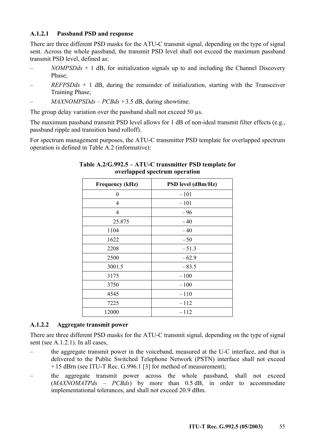# **A.1.2.1 Passband PSD and response**

There are three different PSD masks for the ATU-C transmit signal, depending on the type of signal sent. Across the whole passband, the transmit PSD level shall not exceed the maximum passband transmit PSD level, defined as:

- *NOMPSDds* + 1 dB, for initialization signals up to and including the Channel Discovery Phase;
- *REFPSDds* + 1 dB, during the remainder of initialization, starting with the Transceiver Training Phase;
- *MAXNOMPSDds PCBds* +3.5 dB, during showtime.

The group delay variation over the passband shall not exceed 50  $\mu$ s.

The maximum passband transmit PSD level allows for 1 dB of non-ideal transmit filter effects (e.g., passband ripple and transition band rolloff).

For spectrum management purposes, the ATU-C transmitter PSD template for overlapped spectrum operation is defined in Table A.2 (informative):

| <b>Frequency (kHz)</b> | PSD level (dBm/Hz) |
|------------------------|--------------------|
| 0                      | $-101$             |
| 4                      | $-101$             |
| $\overline{4}$         | $-96$              |
| 25.875                 | $-40$              |
| 1104                   | $-40$              |
| 1622                   | $-50$              |
| 2208                   | $-51.3$            |
| 2500                   | $-62.9$            |
| 3001.5                 | $-83.5$            |
| 3175                   | $-100$             |
| 3750                   | $-100$             |
| 4545                   | $-110$             |
| 7225                   | $-112$             |
| 12000                  | $-112$             |

# **Table A.2/G.992.5 – ATU-C transmitter PSD template for overlapped spectrum operation**

# **A.1.2.2 Aggregate transmit power**

There are three different PSD masks for the ATU-C transmit signal, depending on the type of signal sent (see A.1.2.1). In all cases,

- the aggregate transmit power in the voiceband, measured at the U-C interface, and that is delivered to the Public Switched Telephone Network (PSTN) interface shall not exceed +15 dBrn (see ITU-T Rec. G.996.1 [3] for method of measurement);
- the aggregate transmit power across the whole passband, shall not exceed (*MAXNOMATPds* – *PCBds*) by more than 0.5 dB, in order to accommodate implementational tolerances, and shall not exceed 20.9 dBm.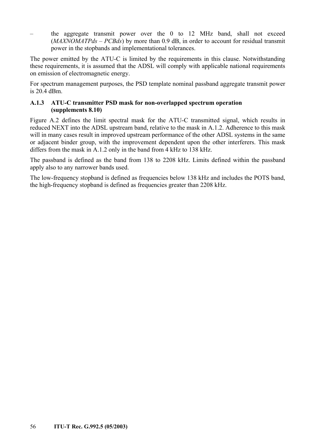– the aggregate transmit power over the 0 to 12 MHz band, shall not exceed (*MAXNOMATPds* – *PCBds*) by more than 0.9 dB, in order to account for residual transmit power in the stopbands and implementational tolerances.

The power emitted by the ATU-C is limited by the requirements in this clause. Notwithstanding these requirements, it is assumed that the ADSL will comply with applicable national requirements on emission of electromagnetic energy.

For spectrum management purposes, the PSD template nominal passband aggregate transmit power is 20.4 dBm.

# **A.1.3 ATU-C transmitter PSD mask for non-overlapped spectrum operation (supplements 8.10)**

Figure A.2 defines the limit spectral mask for the ATU-C transmitted signal, which results in reduced NEXT into the ADSL upstream band, relative to the mask in A.1.2. Adherence to this mask will in many cases result in improved upstream performance of the other ADSL systems in the same or adjacent binder group, with the improvement dependent upon the other interferers. This mask differs from the mask in A.1.2 only in the band from 4 kHz to 138 kHz.

The passband is defined as the band from 138 to 2208 kHz. Limits defined within the passband apply also to any narrower bands used.

The low-frequency stopband is defined as frequencies below 138 kHz and includes the POTS band, the high-frequency stopband is defined as frequencies greater than 2208 kHz.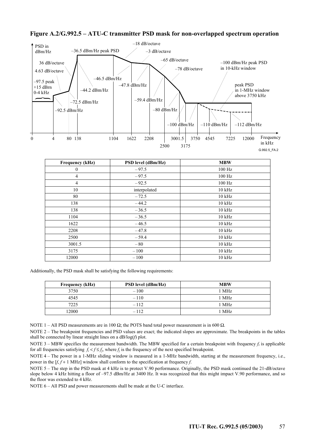

# **Figure A.2/G.992.5 – ATU-C transmitter PSD mask for non-overlapped spectrum operation**

| <b>Frequency (kHz)</b> | PSD level (dBm/Hz) | <b>MBW</b> |
|------------------------|--------------------|------------|
| $\mathbf{0}$           | $-97.5$            | $100$ Hz   |
| $\overline{4}$         | $-97.5$            | $100$ Hz   |
| $\overline{4}$         | $-92.5$            | $100$ Hz   |
| 10                     | interpolated       | $10$ kHz   |
| 80                     | $-72.5$            | $10$ kHz   |
| 138                    | $-44.2$            | $10$ kHz   |
| 138                    | $-36.5$            | $10$ kHz   |
| 1104                   | $-36.5$            | $10$ kHz   |
| 1622                   | $-46.5$            | $10$ kHz   |
| 2208                   | $-47.8$            | $10$ kHz   |
| 2500                   | $-59.4$            | $10$ kHz   |
| 3001.5                 | $-80$              | $10$ kHz   |
| 3175                   | $-100$             | $10$ kHz   |
| 12000                  | $-100$             | $10$ kHz   |

Additionally, the PSD mask shall be satisfying the following requirements:

| <b>Frequency (kHz)</b> | <b>PSD</b> level (dBm/Hz) | <b>MBW</b> |
|------------------------|---------------------------|------------|
| 3750                   | $-100$                    | 1 MHz      |
| 4545                   | $-110$                    | 1 MHz      |
| 7225                   | $-112$                    | 1 MHz      |
| 12000                  | $-112$                    | 1 MHz      |

NOTE 1 – All PSD measurements are in 100 Ω; the POTS band total power measurement is in 600  $\Omega$ .

NOTE 2 – The breakpoint frequencies and PSD values are exact; the indicated slopes are approximate. The breakpoints in the tables shall be connected by linear straight lines on a dB/log(*f*) plot.

NOTE 3 – MBW specifies the measurement bandwidth. The MBW specified for a certain breakpoint with frequency  $f_i$  is applicable for all frequencies satisfying  $f_i < f \leq f_j$ , where  $f_j$  is the frequency of the next specified breakpoint.

NOTE 4 – The power in a 1-MHz sliding window is measured in a 1-MHz bandwidth, starting at the measurement frequency, i.e., power in the [*f*, *f* + 1 MHz] window shall conform to the specification at frequency *f*.

NOTE 5 – The step in the PSD mask at 4 kHz is to protect V.90 performance. Originally, the PSD mask continued the 21-dB/octave slope below 4 kHz hitting a floor of -97.5 dBm/Hz at 3400 Hz. It was recognized that this might impact V.90 performance, and so the floor was extended to 4 kHz.

NOTE 6 – All PSD and power measurements shall be made at the U-C interface.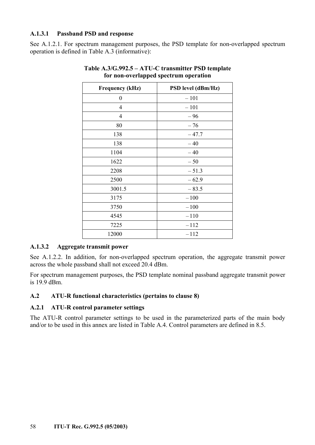### **A.1.3.1 Passband PSD and response**

See A.1.2.1. For spectrum management purposes, the PSD template for non-overlapped spectrum operation is defined in Table A.3 (informative):

| <b>Frequency (kHz)</b> | PSD level (dBm/Hz) |
|------------------------|--------------------|
| $\boldsymbol{0}$       | $-101$             |
| $\overline{4}$         | $-101$             |
| $\overline{4}$         | $-96$              |
| 80                     | $-76$              |
| 138                    | $-47.7$            |
| 138                    | $-40$              |
| 1104                   | $-40$              |
| 1622                   | $-50$              |
| 2208                   | $-51.3$            |
| 2500                   | $-62.9$            |
| 3001.5                 | $-83.5$            |
| 3175                   | $-100$             |
| 3750                   | $-100$             |
| 4545                   | $-110$             |
| 7225                   | $-112$             |
| 12000                  | $-112$             |

#### **Table A.3/G.992.5 – ATU-C transmitter PSD template for non-overlapped spectrum operation**

# **A.1.3.2 Aggregate transmit power**

See A.1.2.2. In addition, for non-overlapped spectrum operation, the aggregate transmit power across the whole passband shall not exceed 20.4 dBm.

For spectrum management purposes, the PSD template nominal passband aggregate transmit power is  $19.9$  dBm.

#### **A.2 ATU-R functional characteristics (pertains to clause 8)**

#### **A.2.1 ATU-R control parameter settings**

The ATU-R control parameter settings to be used in the parameterized parts of the main body and/or to be used in this annex are listed in Table A.4. Control parameters are defined in 8.5.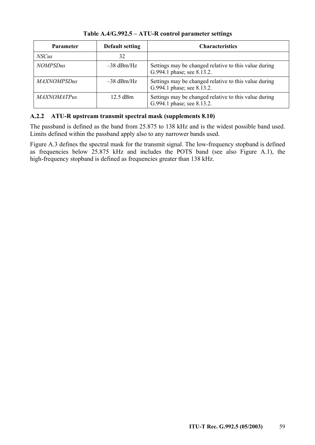| <b>Parameter</b>   | <b>Default setting</b> | <b>Characteristics</b>                                                              |
|--------------------|------------------------|-------------------------------------------------------------------------------------|
| <i>NSCus</i>       | 32                     |                                                                                     |
| <b>NOMPSDus</b>    | $-38$ dBm/Hz           | Settings may be changed relative to this value during<br>G.994.1 phase; see 8.13.2. |
| <i>MAXNOMPSDus</i> | $-38$ dBm/Hz           | Settings may be changed relative to this value during<br>G.994.1 phase; see 8.13.2. |
| <i>MAXNOMATPus</i> | 12.5 dBm               | Settings may be changed relative to this value during<br>G.994.1 phase; see 8.13.2. |

**Table A.4/G.992.5 – ATU-R control parameter settings** 

# **A.2.2 ATU-R upstream transmit spectral mask (supplements 8.10)**

The passband is defined as the band from 25.875 to 138 kHz and is the widest possible band used. Limits defined within the passband apply also to any narrower bands used.

Figure A.3 defines the spectral mask for the transmit signal. The low-frequency stopband is defined as frequencies below 25.875 kHz and includes the POTS band (see also Figure A.1), the high-frequency stopband is defined as frequencies greater than 138 kHz.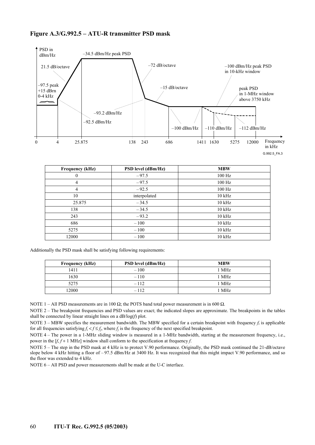#### **Figure A.3/G.992.5 – ATU-R transmitter PSD mask**



| <b>Frequency (kHz)</b> | <b>PSD level (dBm/Hz)</b> | <b>MBW</b> |
|------------------------|---------------------------|------------|
| $\mathbf{0}$           | $-97.5$                   | $100$ Hz   |
| $\overline{4}$         | $-97.5$                   | 100 Hz     |
| $\overline{4}$         | $-92.5$                   | $100$ Hz   |
| 10                     | interpolated              | $10$ kHz   |
| 25.875                 | $-34.5$                   | $10$ kHz   |
| 138                    | $-34.5$                   | $10$ kHz   |
| 243                    | $-93.2$                   | $10$ kHz   |
| 686                    | $-100$                    | $10$ kHz   |
| 5275                   | $-100$                    | $10$ kHz   |
| 12000                  | $-100$                    | $10$ kHz   |

Additionally the PSD mask shall be satisfying following requirements:

| <b>Frequency (kHz)</b> | <b>PSD level (dBm/Hz)</b> | <b>MBW</b> |
|------------------------|---------------------------|------------|
| 1411                   | $-100$                    | 1 MHz      |
| 1630                   | $-110$                    | 1 MHz      |
| 5275                   | $-112$                    | 1 MHz      |
| 12000                  | $-112$                    | 1 MHz      |

NOTE 1 – All PSD measurements are in 100  $\Omega$ ; the POTS band total power measurement is in 600  $\Omega$ .

NOTE 2 – The breakpoint frequencies and PSD values are exact; the indicated slopes are approximate. The breakpoints in the tables shall be connected by linear straight lines on a dB/log(*f*) plot.

NOTE  $3$  – MBW specifies the measurement bandwidth. The MBW specified for a certain breakpoint with frequency  $f_i$  is applicable for all frequencies satisfying  $f_i < f \leq f_j$ , where  $f_j$  is the frequency of the next specified breakpoint.

NOTE 4 – The power in a 1-MHz sliding window is measured in a 1-MHz bandwidth, starting at the measurement frequency, i.e., power in the [*f*, *f* + 1 MHz] window shall conform to the specification at frequency *f*.

NOTE 5 – The step in the PSD mask at 4 kHz is to protect V.90 performance. Originally, the PSD mask continued the 21-dB/octave slope below 4 kHz hitting a floor of -97.5 dBm/Hz at 3400 Hz. It was recognized that this might impact V.90 performance, and so the floor was extended to 4 kHz.

NOTE 6 – All PSD and power measurements shall be made at the U-C interface.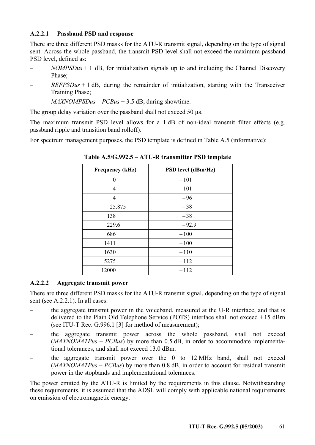# **A.2.2.1 Passband PSD and response**

There are three different PSD masks for the ATU-R transmit signal, depending on the type of signal sent. Across the whole passband, the transmit PSD level shall not exceed the maximum passband PSD level, defined as:

- *NOMPSDus* + 1 dB, for initialization signals up to and including the Channel Discovery Phase;
- *, during the remainder of initialization, starting with the Transceiver* Training Phase;
- *MAXNOMPSDus PCBus* + 3.5 dB, during showtime.

The group delay variation over the passband shall not exceed 50  $\mu$ s.

The maximum transmit PSD level allows for a 1 dB of non-ideal transmit filter effects (e.g. passband ripple and transition band rolloff).

For spectrum management purposes, the PSD template is defined in Table A.5 (informative):

| <b>Frequency (kHz)</b> | PSD level (dBm/Hz) |
|------------------------|--------------------|
| 0                      | $-101$             |
| 4                      | $-101$             |
| 4                      | $-96$              |
| 25.875                 | $-38$              |
| 138                    | $-38$              |
| 229.6                  | $-92.9$            |
| 686                    | $-100$             |
| 1411                   | $-100$             |
| 1630                   | $-110$             |
| 5275                   | $-112$             |
| 12000                  | $-112$             |

**Table A.5/G.992.5 – ATU-R transmitter PSD template** 

# **A.2.2.2 Aggregate transmit power**

There are three different PSD masks for the ATU-R transmit signal, depending on the type of signal sent (see A.2.2.1). In all cases:

- the aggregate transmit power in the voiceband, measured at the U-R interface, and that is delivered to the Plain Old Telephone Service (POTS) interface shall not exceed +15 dBrn (see ITU-T Rec. G.996.1 [3] for method of measurement);
- the aggregate transmit power across the whole passband, shall not exceed (*MAXNOMATPus – PCBus*) by more than 0.5 dB, in order to accommodate implementational tolerances, and shall not exceed 13.0 dBm.
- the aggregate transmit power over the 0 to 12 MHz band, shall not exceed (*MAXNOMATPus* – *PCBus*) by more than 0.8 dB, in order to account for residual transmit power in the stopbands and implementational tolerances.

The power emitted by the ATU-R is limited by the requirements in this clause. Notwithstanding these requirements, it is assumed that the ADSL will comply with applicable national requirements on emission of electromagnetic energy.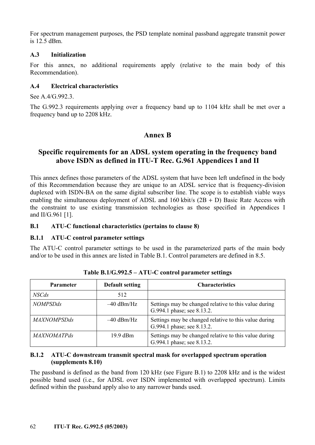For spectrum management purposes, the PSD template nominal passband aggregate transmit power is 12.5 dBm.

# **A.3 Initialization**

For this annex, no additional requirements apply (relative to the main body of this Recommendation).

# **A.4 Electrical characteristics**

See A 4/G 992.3.

The G.992.3 requirements applying over a frequency band up to 1104 kHz shall be met over a frequency band up to 2208 kHz.

# **Annex B**

# **Specific requirements for an ADSL system operating in the frequency band above ISDN as defined in ITU-T Rec. G.961 Appendices I and II**

This annex defines those parameters of the ADSL system that have been left undefined in the body of this Recommendation because they are unique to an ADSL service that is frequency-division duplexed with ISDN-BA on the same digital subscriber line. The scope is to establish viable ways enabling the simultaneous deployment of ADSL and  $160$  kbit/s  $(2B + D)$  Basic Rate Access with the constraint to use existing transmission technologies as those specified in Appendices I and II/G.961 [1].

# **B.1 ATU-C functional characteristics (pertains to clause 8)**

# **B.1.1 ATU-C control parameter settings**

The ATU-C control parameter settings to be used in the parameterized parts of the main body and/or to be used in this annex are listed in Table B.1. Control parameters are defined in 8.5.

| <b>Parameter</b>   | <b>Default setting</b> | <b>Characteristics</b>                                                              |
|--------------------|------------------------|-------------------------------------------------------------------------------------|
| <b>NSCds</b>       | 512                    |                                                                                     |
| <b>NOMPSDds</b>    | $-40$ dBm/Hz           | Settings may be changed relative to this value during<br>G.994.1 phase; see 8.13.2. |
| <i>MAXNOMPSDds</i> | $-40$ dBm/Hz           | Settings may be changed relative to this value during<br>G.994.1 phase; see 8.13.2. |
| <b>MAXNOMATPds</b> | 19.9 dBm               | Settings may be changed relative to this value during<br>G.994.1 phase; see 8.13.2. |

**Table B.1/G.992.5 – ATU-C control parameter settings** 

# **B.1.2 ATU-C downstream transmit spectral mask for overlapped spectrum operation (supplements 8.10)**

The passband is defined as the band from 120 kHz (see Figure B.1) to 2208 kHz and is the widest possible band used (i.e., for ADSL over ISDN implemented with overlapped spectrum). Limits defined within the passband apply also to any narrower bands used.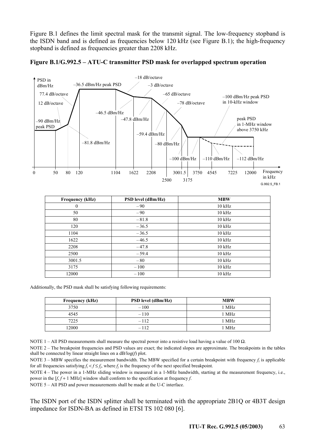Figure B.1 defines the limit spectral mask for the transmit signal. The low-frequency stopband is the ISDN band and is defined as frequencies below 120 kHz (see Figure B.1); the high-frequency stopband is defined as frequencies greater than 2208 kHz.





| Frequency (kHz)  | PSD level (dBm/Hz) | <b>MBW</b> |
|------------------|--------------------|------------|
| $\boldsymbol{0}$ | $-90$              | $10$ kHz   |
| 50               | $-90$              | $10$ kHz   |
| 80               | $-81.8$            | $10$ kHz   |
| 120              | $-36.5$            | $10$ kHz   |
| 1104             | $-36.5$            | $10$ kHz   |
| 1622             | $-46.5$            | $10$ kHz   |
| 2208             | $-47.8$            | $10$ kHz   |
| 2500             | $-59.4$            | $10$ kHz   |
| 3001.5           | $-80$              | $10$ kHz   |
| 3175             | $-100$             | $10$ kHz   |
| 12000            | $-100$             | $10$ kHz   |

Additionally, the PSD mask shall be satisfying following requirements:

| <b>Frequency (kHz)</b> | <b>PSD level (dBm/Hz)</b> | <b>MBW</b> |
|------------------------|---------------------------|------------|
| 3750                   | $-100$                    | 1 MHz      |
| 4545                   | $-110$                    | 1 MHz      |
| 7225                   | $-112$                    | 1 MHz      |
| 2000                   | $-112$                    | 1 MHz      |

NOTE 1 – All PSD measurements shall measure the spectral power into a resistive load having a value of 100  $\Omega$ .

NOTE 2 – The breakpoint frequencies and PSD values are exact; the indicated slopes are approximate. The breakpoints in the tables shall be connected by linear straight lines on a dB/log(*f*) plot.

NOTE 3 – MBW specifies the measurement bandwidth. The MBW specified for a certain breakpoint with frequency  $f_i$  is applicable for all frequencies satisfying  $f_i < f \le f_j$ , where  $f_j$  is the frequency of the next specified breakpoint.

NOTE 4 – The power in a 1-MHz sliding window is measured in a 1-MHz bandwidth, starting at the measurement frequency, i.e., power in the [*f*, *f* + 1 MHz] window shall conform to the specification at frequency *f*.

NOTE 5 – All PSD and power measurements shall be made at the U-C interface.

The ISDN port of the ISDN splitter shall be terminated with the appropriate 2B1Q or 4B3T design impedance for ISDN-BA as defined in ETSI TS 102 080 [6].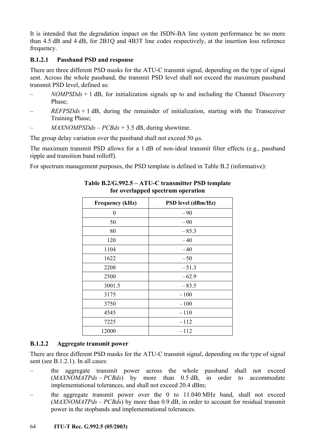It is intended that the degradation impact on the ISDN-BA line system performance be no more than 4.5 dB and 4 dB, for 2B1Q and 4B3T line codes respectively, at the insertion loss reference frequency.

# **B.1.2.1 Passband PSD and response**

There are three different PSD masks for the ATU-C transmit signal, depending on the type of signal sent. Across the whole passband, the transmit PSD level shall not exceed the maximum passband transmit PSD level, defined as:

- *NOMPSDds* + 1 dB, for initialization signals up to and including the Channel Discovery Phase;
- *REFPSDds* + 1 dB, during the remainder of initialization, starting with the Transceiver Training Phase;
- *MAXNOMPSDds PCBds* + 3.5 dB, during showtime.

The group delay variation over the passband shall not exceed 50 us.

The maximum transmit PSD allows for a 1 dB of non-ideal transmit filter effects (e.g., passband ripple and transition band rolloff).

For spectrum management purposes, the PSD template is defined in Table B.2 (informative):

| <b>Frequency (kHz)</b> | PSD level (dBm/Hz) |
|------------------------|--------------------|
| $\boldsymbol{0}$       | $-90$              |
| 50                     | $-90$              |
| 80                     | $-85.3$            |
| 120                    | $-40$              |
| 1104                   | $-40$              |
| 1622                   | $-50$              |
| 2208                   | $-51.3$            |
| 2500                   | $-62.9$            |
| 3001.5                 | $-83.5$            |
| 3175                   | $-100$             |
| 3750                   | $-100$             |
| 4545                   | $-110$             |
| 7225                   | $-112$             |
| 12000                  | $-112$             |

# **Table B.2/G.992.5 – ATU-C transmitter PSD template for overlapped spectrum operation**

# **B.1.2.2 Aggregate transmit power**

There are three different PSD masks for the ATU-C transmit signal, depending on the type of signal sent (see B.1.2.1). In all cases:

- the aggregate transmit power across the whole passband shall not exceed (*MAXNOMATPds* – *PCBds*) by more than 0.5 dB, in order to accommodate implementational tolerances, and shall not exceed 20.4 dBm;
- the aggregate transmit power over the 0 to 11.040 MHz band, shall not exceed (*MAXNOMATPds* – *PCBds*) by more than 0.9 dB, in order to account for residual transmit power in the stopbands and implementational tolerances.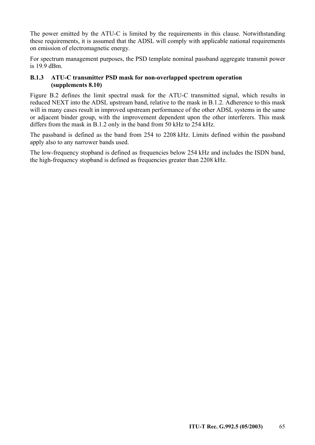The power emitted by the ATU-C is limited by the requirements in this clause. Notwithstanding these requirements, it is assumed that the ADSL will comply with applicable national requirements on emission of electromagnetic energy.

For spectrum management purposes, the PSD template nominal passband aggregate transmit power is 19.9 dBm.

#### **B.1.3 ATU-C transmitter PSD mask for non-overlapped spectrum operation (supplements 8.10)**

Figure B.2 defines the limit spectral mask for the ATU-C transmitted signal, which results in reduced NEXT into the ADSL upstream band, relative to the mask in B.1.2. Adherence to this mask will in many cases result in improved upstream performance of the other ADSL systems in the same or adjacent binder group, with the improvement dependent upon the other interferers. This mask differs from the mask in B.1.2 only in the band from 50 kHz to 254 kHz.

The passband is defined as the band from 254 to 2208 kHz. Limits defined within the passband apply also to any narrower bands used.

The low-frequency stopband is defined as frequencies below 254 kHz and includes the ISDN band, the high-frequency stopband is defined as frequencies greater than 2208 kHz.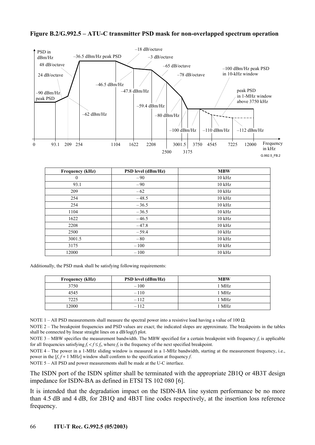#### **Figure B.2/G.992.5 – ATU-C transmitter PSD mask for non-overlapped spectrum operation**



| <b>Frequency (kHz)</b> | PSD level (dBm/Hz) | <b>MBW</b> |
|------------------------|--------------------|------------|
| $\boldsymbol{0}$       | $-90$              | $10$ kHz   |
| 93.1                   | $-90$              | $10$ kHz   |
| 209                    | $-62$              | $10$ kHz   |
| 254                    | $-48.5$            | $10$ kHz   |
| 254                    | $-36.5$            | $10$ kHz   |
| 1104                   | $-36.5$            | $10$ kHz   |
| 1622                   | $-46.5$            | $10$ kHz   |
| 2208                   | $-47.8$            | $10$ kHz   |
| 2500                   | $-59.4$            | $10$ kHz   |
| 3001.5                 | $-80$              | $10$ kHz   |
| 3175                   | $-100$             | $10$ kHz   |
| 12000                  | $-100$             | $10$ kHz   |

Additionally, the PSD mask shall be satisfying following requirements:

| <b>Frequency (kHz)</b> | <b>PSD</b> level (dBm/Hz) | <b>MBW</b> |
|------------------------|---------------------------|------------|
| 3750                   | $-100$                    | 1 MHz      |
| 4545                   | $-110$                    | 1 MHz      |
| 7225                   | $-112$                    | 1 MHz      |
| 12000                  | $-112$                    | 1 MHz      |

NOTE 1 – All PSD measurements shall measure the spectral power into a resistive load having a value of 100  $\Omega$ .

NOTE 2 – The breakpoint frequencies and PSD values are exact; the indicated slopes are approximate. The breakpoints in the tables shall be connected by linear straight lines on a dB/log(*f*) plot.

NOTE 3 – MBW specifies the measurement bandwidth. The MBW specified for a certain breakpoint with frequency *fi* is applicable for all frequencies satisfying  $f_i < f \leq f_i$ , where  $f_i$  is the frequency of the next specified breakpoint.

NOTE 4 – The power in a 1-MHz sliding window is measured in a 1-MHz bandwidth, starting at the measurement frequency, i.e., power in the  $[f, f+1 \text{ MHz}]$  window shall conform to the specification at frequency *f*.

NOTE 5 – All PSD and power measurements shall be made at the U-C interface.

The ISDN port of the ISDN splitter shall be terminated with the appropriate 2B1Q or 4B3T design impedance for ISDN-BA as defined in ETSI TS 102 080 [6].

It is intended that the degradation impact on the ISDN-BA line system performance be no more than 4.5 dB and 4 dB, for 2B1Q and 4B3T line codes respectively, at the insertion loss reference frequency.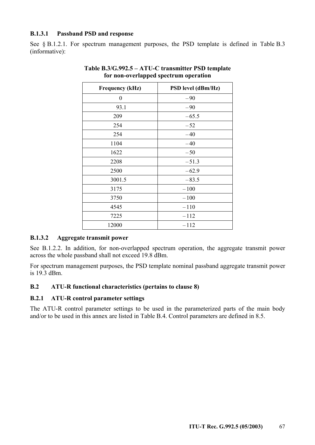#### **B.1.3.1 Passband PSD and response**

See § B.1.2.1. For spectrum management purposes, the PSD template is defined in Table B.3 (informative):

| <b>Frequency (kHz)</b> | PSD level (dBm/Hz) |
|------------------------|--------------------|
| $\boldsymbol{0}$       | $-90$              |
| 93.1                   | $-90$              |
| 209                    | $-65.5$            |
| 254                    | $-52$              |
| 254                    | $-40$              |
| 1104                   | $-40$              |
| 1622                   | $-50$              |
| 2208                   | $-51.3$            |
| 2500                   | $-62.9$            |
| 3001.5                 | $-83.5$            |
| 3175                   | $-100$             |
| 3750                   | $-100$             |
| 4545                   | $-110$             |
| 7225                   | $-112$             |
| 12000                  | $-112$             |

#### **Table B.3/G.992.5 – ATU-C transmitter PSD template for non-overlapped spectrum operation**

#### **B.1.3.2 Aggregate transmit power**

See B.1.2.2. In addition, for non-overlapped spectrum operation, the aggregate transmit power across the whole passband shall not exceed 19.8 dBm.

For spectrum management purposes, the PSD template nominal passband aggregate transmit power is 19.3 dBm.

#### **B.2 ATU-R functional characteristics (pertains to clause 8)**

#### **B.2.1 ATU-R control parameter settings**

The ATU-R control parameter settings to be used in the parameterized parts of the main body and/or to be used in this annex are listed in Table B.4. Control parameters are defined in 8.5.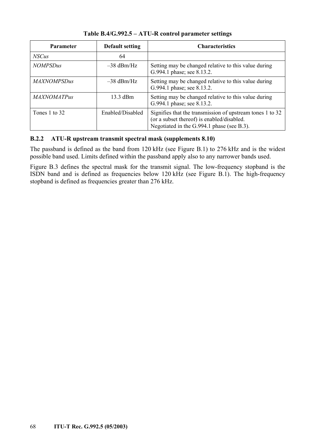| <b>Parameter</b>   | Default setting  | <b>Characteristics</b>                                                                                                                                |
|--------------------|------------------|-------------------------------------------------------------------------------------------------------------------------------------------------------|
| <b>NSCus</b>       | 64               |                                                                                                                                                       |
| <b>NOMPSDus</b>    | $-38$ dBm/Hz     | Setting may be changed relative to this value during<br>G.994.1 phase; see 8.13.2.                                                                    |
| <b>MAXNOMPSDus</b> | $-38$ dBm/Hz     | Setting may be changed relative to this value during<br>G.994.1 phase; see 8.13.2.                                                                    |
| <b>MAXNOMATPus</b> | 13.3 dBm         | Setting may be changed relative to this value during<br>G.994.1 phase; see 8.13.2.                                                                    |
| Tones 1 to 32      | Enabled/Disabled | Signifies that the transmission of upstream tones 1 to 32<br>(or a subset thereof) is enabled/disabled.<br>Negotiated in the G.994.1 phase (see B.3). |

**Table B.4/G.992.5 – ATU-R control parameter settings** 

### **B.2.2 ATU-R upstream transmit spectral mask (supplements 8.10)**

The passband is defined as the band from 120 kHz (see Figure B.1) to 276 kHz and is the widest possible band used. Limits defined within the passband apply also to any narrower bands used.

Figure B.3 defines the spectral mask for the transmit signal. The low-frequency stopband is the ISDN band and is defined as frequencies below 120 kHz (see Figure B.1). The high-frequency stopband is defined as frequencies greater than 276 kHz.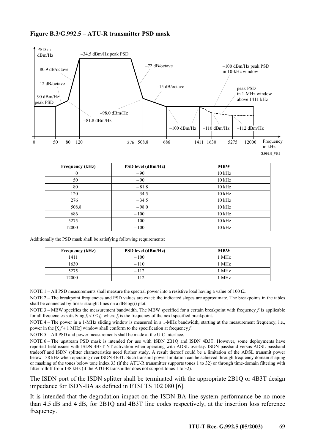#### **Figure B.3/G.992.5 – ATU-R transmitter PSD mask**



| <b>Frequency (kHz)</b> | <b>PSD</b> level (dBm/Hz) | <b>MBW</b> |
|------------------------|---------------------------|------------|
| 0                      | $-90$                     | $10$ kHz   |
| 50                     | $-90$                     | $10$ kHz   |
| 80                     | $-81.8$                   | $10$ kHz   |
| 120                    | $-34.5$                   | $10$ kHz   |
| 276                    | $-34.5$                   | $10$ kHz   |
| 508.8                  | $-98.0$                   | $10$ kHz   |
| 686                    | $-100$                    | $10$ kHz   |
| 5275                   | $-100$                    | $10$ kHz   |
| 12000                  | $-100$                    | $10$ kHz   |

Additionally the PSD mask shall be satisfying following requirements:

| <b>Frequency (kHz)</b> | <b>PSD level (dBm/Hz)</b> | <b>MBW</b> |
|------------------------|---------------------------|------------|
| 1411                   | $-100$                    | 1 MHz      |
| 1630                   | $-110$                    | 1 MHz      |
| 5275                   | $-112$                    | 1 MHz      |
| 12000                  | $-112$                    | 1 MHz      |

NOTE 1 – All PSD measurements shall measure the spectral power into a resistive load having a value of 100  $\Omega$ .

NOTE 2 – The breakpoint frequencies and PSD values are exact; the indicated slopes are approximate. The breakpoints in the tables shall be connected by linear straight lines on a dB/log(*f*) plot.

NOTE 3 – MBW specifies the measurement bandwidth. The MBW specified for a certain breakpoint with frequency *fi* is applicable for all frequencies satisfying  $f_i < f \leq f_i$ , where  $f_i$  is the frequency of the next specified breakpoint.

NOTE 4 – The power in a 1-MHz sliding window is measured in a 1-MHz bandwidth, starting at the measurement frequency, i.e., power in the [*f*, *f* + 1 MHz] window shall conform to the specification at frequency *f*.

NOTE 5 – All PSD and power measurements shall be made at the U-C interface.

NOTE 6 – The upstream PSD mask is intended for use with ISDN 2B1O and ISDN 4B3T. However, some deployments have reported field issues with ISDN 4B3T NT activation when operating with ADSL overlay. ISDN passband versus ADSL passband tradeoff and ISDN splitter characteristics need further study. A result thereof could be a limitation of the ADSL transmit power below 138 kHz when operating over ISDN 4B3T. Such transmit power limitation can be achieved through frequency domain shaping or masking of the tones below tone index 33 (if the ATU-R transmitter supports tones 1 to 32) or through time-domain filtering with filter rolloff from 138 kHz (if the ATU-R transmitter does not support tones 1 to 32).

The ISDN port of the ISDN splitter shall be terminated with the appropriate 2B1Q or 4B3T design impedance for ISDN-BA as defined in ETSI TS 102 080 [6].

It is intended that the degradation impact on the ISDN-BA line system performance be no more than 4.5 dB and 4 dB, for 2B1Q and 4B3T line codes respectively, at the insertion loss reference frequency.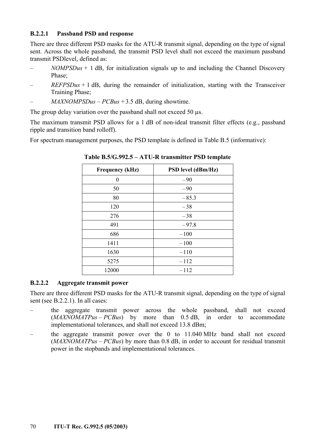#### **B.2.2.1 Passband PSD and response**

There are three different PSD masks for the ATU-R transmit signal, depending on the type of signal sent. Across the whole passband, the transmit PSD level shall not exceed the maximum passband transmit PSDlevel, defined as:

- *NOMPSDus* + 1 dB, for initialization signals up to and including the Channel Discovery Phase;
- *, during the remainder of initialization, starting with the Transceiver* Training Phase;
- *MAXNOMPSDus PCBus* +3.5 dB, during showtime.

The group delay variation over the passband shall not exceed 50  $\mu$ s.

The maximum transmit PSD allows for a 1 dB of non-ideal transmit filter effects (e.g., passband ripple and transition band rolloff).

For spectrum management purposes, the PSD template is defined in Table B.5 (informative):

| <b>Frequency (kHz)</b> | PSD level (dBm/Hz) |
|------------------------|--------------------|
| $\Omega$               | $-90$              |
| 50                     | $-90$              |
| 80                     | $-85.3$            |
| 120                    | $-38$              |
| 276                    | $-38$              |
| 491                    | $-97.8$            |
| 686                    | $-100$             |
| 1411                   | $-100$             |
| 1630                   | $-110$             |
| 5275                   | $-112$             |
| 12000                  | $-112$             |

**Table B.5/G.992.5 – ATU-R transmitter PSD template** 

#### **B.2.2.2 Aggregate transmit power**

There are three different PSD masks for the ATU-R transmit signal, depending on the type of signal sent (see B.2.2.1). In all cases:

- the aggregate transmit power across the whole passband, shall not exceed (*MAXNOMATPus* – *PCBus*) by more than 0.5 dB, in order to accommodate implementational tolerances, and shall not exceed 13.8 dBm;
- the aggregate transmit power over the 0 to 11.040 MHz band shall not exceed (*MAXNOMATPus* – *PCBus*) by more than 0.8 dB, in order to account for residual transmit power in the stopbands and implementational tolerances.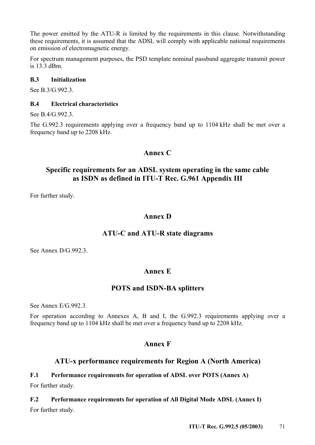The power emitted by the ATU-R is limited by the requirements in this clause. Notwithstanding these requirements, it is assumed that the ADSL will comply with applicable national requirements on emission of electromagnetic energy.

For spectrum management purposes, the PSD template nominal passband aggregate transmit power is 13.3 dBm.

#### **B.3 Initialization**

See B.3/G.992.3.

#### **B.4 Electrical characteristics**

See B.4/G.992.3.

The G.992.3 requirements applying over a frequency band up to 1104 kHz shall be met over a frequency band up to 2208 kHz.

### **Annex C**

# **Specific requirements for an ADSL system operating in the same cable as ISDN as defined in ITU-T Rec. G.961 Appendix III**

For further study.

# **Annex D**

# **ATU-C and ATU-R state diagrams**

See Annex D/G.992.3.

# **Annex E**

# **POTS and ISDN-BA splitters**

See Annex E/G.992.3.

For operation according to Annexes A, B and I, the G.992.3 requirements applying over a frequency band up to 1104 kHz shall be met over a frequency band up to 2208 kHz.

# **Annex F**

# **ATU-x performance requirements for Region A (North America)**

**F.1 Performance requirements for operation of ADSL over POTS (Annex A)** 

For further study.

**F.2 Performance requirements for operation of All Digital Mode ADSL (Annex I)**  For further study.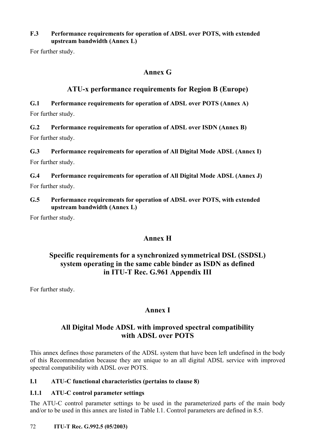#### **F.3 Performance requirements for operation of ADSL over POTS, with extended upstream bandwidth (Annex L)**

For further study.

# **Annex G**

# **ATU-x performance requirements for Region B (Europe)**

# **G.1 Performance requirements for operation of ADSL over POTS (Annex A)**  For further study.

# **G.2 Performance requirements for operation of ADSL over ISDN (Annex B)**  For further study.

**G.3 Performance requirements for operation of All Digital Mode ADSL (Annex I)**  For further study.

**G.4 Performance requirements for operation of All Digital Mode ADSL (Annex J)**  For further study.

# **G.5 Performance requirements for operation of ADSL over POTS, with extended upstream bandwidth (Annex L)**

For further study.

# **Annex H**

# **Specific requirements for a synchronized symmetrical DSL (SSDSL) system operating in the same cable binder as ISDN as defined in ITU-T Rec. G.961 Appendix III**

For further study.

# **Annex I**

# **All Digital Mode ADSL with improved spectral compatibility with ADSL over POTS**

This annex defines those parameters of the ADSL system that have been left undefined in the body of this Recommendation because they are unique to an all digital ADSL service with improved spectral compatibility with ADSL over POTS.

# **I.1 ATU-C functional characteristics (pertains to clause 8)**

# **I.1.1 ATU-C control parameter settings**

The ATU-C control parameter settings to be used in the parameterized parts of the main body and/or to be used in this annex are listed in Table I.1. Control parameters are defined in 8.5.

# 72 **ITU-T Rec. G.992.5 (05/2003)**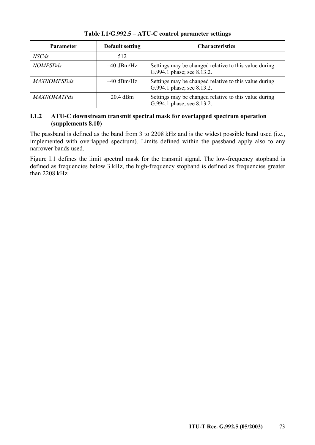| <b>Parameter</b>   | Default setting | <b>Characteristics</b>                                                              |
|--------------------|-----------------|-------------------------------------------------------------------------------------|
| <i>NSCds</i>       | 512             |                                                                                     |
| <i>NOMPSDds</i>    | $-40$ dBm/Hz    | Settings may be changed relative to this value during<br>G.994.1 phase; see 8.13.2. |
| <b>MAXNOMPSDds</b> | $-40$ dBm/Hz    | Settings may be changed relative to this value during<br>G.994.1 phase; see 8.13.2. |
| <b>MAXNOMATPds</b> | $20.4$ dBm      | Settings may be changed relative to this value during<br>G.994.1 phase; see 8.13.2. |

**Table I.1/G.992.5 – ATU-C control parameter settings** 

#### **I.1.2 ATU-C downstream transmit spectral mask for overlapped spectrum operation (supplements 8.10)**

The passband is defined as the band from 3 to 2208 kHz and is the widest possible band used (i.e., implemented with overlapped spectrum). Limits defined within the passband apply also to any narrower bands used.

Figure I.1 defines the limit spectral mask for the transmit signal. The low-frequency stopband is defined as frequencies below 3 kHz, the high-frequency stopband is defined as frequencies greater than 2208 kHz.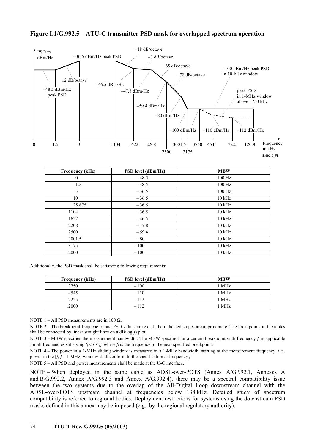#### **Figure I.1/G.992.5 – ATU-C transmitter PSD mask for overlapped spectrum operation**



| <b>Frequency (kHz)</b> | PSD level (dBm/Hz) | <b>MBW</b> |
|------------------------|--------------------|------------|
| $\mathbf{0}$           | $-48.5$            | $100$ Hz   |
| 1.5                    | $-48.5$            | $100$ Hz   |
| 3                      | $-36.5$            | $100$ Hz   |
| 10                     | $-36.5$            | $10$ kHz   |
| 25.875                 | $-36.5$            | $10$ kHz   |
| 1104                   | $-36.5$            | $10$ kHz   |
| 1622                   | $-46.5$            | $10$ kHz   |
| 2208                   | $-47.8$            | $10$ kHz   |
| 2500                   | $-59.4$            | $10$ kHz   |
| 3001.5                 | $-80$              | $10$ kHz   |
| 3175                   | $-100$             | $10$ kHz   |
| 12000                  | $-100$             | $10$ kHz   |

Additionally, the PSD mask shall be satisfying following requirements:

| <b>Frequency (kHz)</b> | <b>PSD</b> level (dBm/Hz) | <b>MBW</b> |
|------------------------|---------------------------|------------|
| 3750                   | $-100$                    | 1 MHz      |
| 4545                   | $-110$                    | 1 MHz      |
| 7225                   | $-112$                    | 1 MHz      |
| 2000                   | $-112$                    | 1 MHz      |

NOTE 1 – All PSD measurements are in 100 Ω.

NOTE 2 – The breakpoint frequencies and PSD values are exact; the indicated slopes are approximate. The breakpoints in the tables shall be connected by linear straight lines on a dB/log(*f*) plot.

NOTE 3 – MBW specifies the measurement bandwidth. The MBW specified for a certain breakpoint with frequency *fi* is applicable for all frequencies satisfying  $f_i < f \leq f_i$ , where  $f_i$  is the frequency of the next specified breakpoint.

NOTE 4 – The power in a 1-MHz sliding window is measured in a 1-MHz bandwidth, starting at the measurement frequency, i.e., power in the  $[f, f+1 \text{ MHz}]$  window shall conform to the specification at frequency *f*.

NOTE 5 – All PSD and power measurements shall be made at the U-C interface.

NOTE – When deployed in the same cable as ADSL-over-POTS (Annex A/G.992.1, Annexes A and B/G.992.2, Annex A/G.992.3 and Annex A/G.992.4), there may be a spectral compatibility issue between the two systems due to the overlap of the All-Digital Loop downstream channel with the ADSL-over-POTS upstream channel at frequencies below 138 kHz. Detailed study of spectrum compatibility is referred to regional bodies. Deployment restrictions for systems using the downstream PSD masks defined in this annex may be imposed (e.g., by the regional regulatory authority).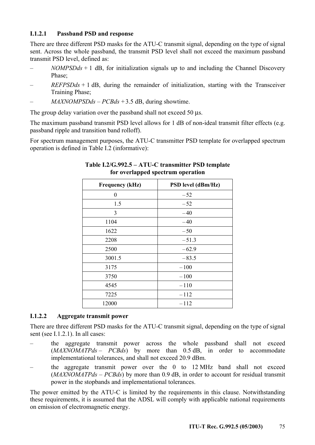#### **I.1.2.1 Passband PSD and response**

There are three different PSD masks for the ATU-C transmit signal, depending on the type of signal sent. Across the whole passband, the transmit PSD level shall not exceed the maximum passband transmit PSD level, defined as:

- *NOMPSDds* + 1 dB, for initialization signals up to and including the Channel Discovery Phase;
- *REFPSDds* + 1 dB, during the remainder of initialization, starting with the Transceiver Training Phase;
- *MAXNOMPSDds PCBds* +3.5 dB, during showtime.

The group delay variation over the passband shall not exceed 50 µs.

The maximum passband transmit PSD level allows for 1 dB of non-ideal transmit filter effects (e.g. passband ripple and transition band rolloff).

For spectrum management purposes, the ATU-C transmitter PSD template for overlapped spectrum operation is defined in Table I.2 (informative):

| <b>Frequency (kHz)</b> | PSD level (dBm/Hz) |
|------------------------|--------------------|
| 0                      | $-52$              |
| 1.5                    | $-52$              |
| 3                      | $-40$              |
| 1104                   | $-40$              |
| 1622                   | $-50$              |
| 2208                   | $-51.3$            |
| 2500                   | $-62.9$            |
| 3001.5                 | $-83.5$            |
| 3175                   | $-100$             |
| 3750                   | $-100$             |
| 4545                   | $-110$             |
| 7225                   | $-112$             |
| 12000                  | $-112$             |

### **Table I.2/G.992.5 – ATU-C transmitter PSD template for overlapped spectrum operation**

#### **I.1.2.2 Aggregate transmit power**

There are three different PSD masks for the ATU-C transmit signal, depending on the type of signal sent (see I.1.2.1). In all cases:

- the aggregate transmit power across the whole passband shall not exceed (*MAXNOMATPds* – *PCBds*) by more than 0.5 dB, in order to accommodate implementational tolerances, and shall not exceed 20.9 dBm.
- the aggregate transmit power over the 0 to 12 MHz band shall not exceed (*MAXNOMATPds* – *PCBds*) by more than 0.9 dB, in order to account for residual transmit power in the stopbands and implementational tolerances.

The power emitted by the ATU-C is limited by the requirements in this clause. Notwithstanding these requirements, it is assumed that the ADSL will comply with applicable national requirements on emission of electromagnetic energy.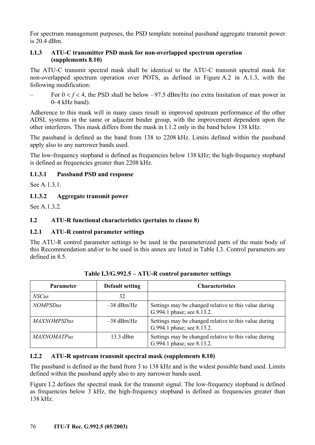For spectrum management purposes, the PSD template nominal passband aggregate transmit power is 20.4 dBm.

### **I.1.3 ATU-C transmitter PSD mask for non-overlapped spectrum operation (supplements 8.10)**

The ATU-C transmit spectral mask shall be identical to the ATU-C transmit spectral mask for non-overlapped spectrum operation over POTS, as defined in Figure A.2 in A.1.3, with the following modification:

For  $0 < f < 4$ , the PSD shall be below  $-97.5$  dBm/Hz (no extra limitation of max power in  $0-4$  kHz band).

Adherence to this mask will in many cases result in improved upstream performance of the other ADSL systems in the same or adjacent binder group, with the improvement dependent upon the other interferers. This mask differs from the mask in I.1.2 only in the band below 138 kHz.

The passband is defined as the band from 138 to 2208 kHz. Limits defined within the passband apply also to any narrower bands used.

The low-frequency stopband is defined as frequencies below 138 kHz; the high-frequency stopband is defined as frequencies greater than 2208 kHz.

# **I.1.3.1 Passband PSD and response**

See A.1.3.1.

# **I.1.3.2 Aggregate transmit power**

See A.1.3.2.

# **I.2 ATU-R functional characteristics (pertains to clause 8)**

# **I.2.1 ATU-R control parameter settings**

The ATU-R control parameter settings to be used in the parameterized parts of the main body of this Recommendation and/or to be used in this annex are listed in Table I.3. Control parameters are defined in 8.5.

| <b>Parameter</b>   | Default setting | <b>Characteristics</b>                                                              |
|--------------------|-----------------|-------------------------------------------------------------------------------------|
| <b>NSCus</b>       | 32              |                                                                                     |
| <b>NOMPSDus</b>    | $-38$ dBm/Hz    | Settings may be changed relative to this value during<br>G.994.1 phase; see 8.13.2. |
| <b>MAXNOMPSDus</b> | $-38$ dBm/Hz    | Settings may be changed relative to this value during<br>G.994.1 phase; see 8.13.2. |
| <i>MAXNOMATPus</i> | $13.3$ dBm      | Settings may be changed relative to this value during<br>G.994.1 phase; see 8.13.2. |

**Table I.3/G.992.5 – ATU-R control parameter settings** 

# **I.2.2 ATU-R upstream transmit spectral mask (supplements 8.10)**

The passband is defined as the band from 3 to 138 kHz and is the widest possible band used. Limits defined within the passband apply also to any narrower bands used.

Figure I.2 defines the spectral mask for the transmit signal. The low-frequency stopband is defined as frequencies below 3 kHz, the high-frequency stopband is defined as frequencies greater than 138 kHz.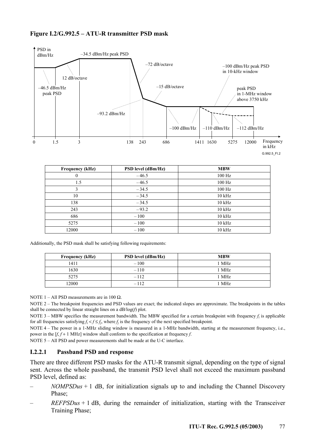#### **Figure I.2/G.992.5 – ATU-R transmitter PSD mask**



| <b>Frequency (kHz)</b> | PSD level (dBm/Hz) | <b>MBW</b> |
|------------------------|--------------------|------------|
| $\theta$               | $-46.5$            | $100$ Hz   |
| 1.5                    | $-46.5$            | $100$ Hz   |
| 3                      | $-34.5$            | $100$ Hz   |
| 10                     | $-34.5$            | $10$ kHz   |
| 138                    | $-34.5$            | $10$ kHz   |
| 243                    | $-93.2$            | $10$ kHz   |
| 686                    | $-100$             | $10$ kHz   |
| 5275                   | $-100$             | $10$ kHz   |
| 12000                  | $-100$             | $10$ kHz   |

Additionally, the PSD mask shall be satisfying following requirements:

| <b>Frequency (kHz)</b> | <b>PSD</b> level (dBm/Hz) | <b>MBW</b> |
|------------------------|---------------------------|------------|
| 1411                   | $-100$                    | 1 MHz      |
| 1630                   | $-110$                    | 1 MHz      |
| 5275                   | $-112$                    | 1 MHz      |
| 12000                  | $-112$                    | 1 MHz      |

NOTE 1 – All PSD measurements are in 100 Ω.

NOTE 2 – The breakpoint frequencies and PSD values are exact; the indicated slopes are approximate. The breakpoints in the tables shall be connected by linear straight lines on a dB/log(*f*) plot.

NOTE 3 – MBW specifies the measurement bandwidth. The MBW specified for a certain breakpoint with frequency *f*; is applicable for all frequencies satisfying  $f_i < f \leq f_i$ , where  $f_i$  is the frequency of the next specified breakpoint.

NOTE 4 – The power in a 1-MHz sliding window is measured in a 1-MHz bandwidth, starting at the measurement frequency, i.e., power in the  $[f, f+1]$  MHz] window shall conform to the specification at frequency *f*.

NOTE 5 – All PSD and power measurements shall be made at the U-C interface.

#### **I.2.2.1 Passband PSD and response**

There are three different PSD masks for the ATU-R transmit signal, depending on the type of signal sent. Across the whole passband, the transmit PSD level shall not exceed the maximum passband PSD level, defined as:

- *NOMPSDus* + 1 dB, for initialization signals up to and including the Channel Discovery Phase;
- *REFPSDus* + 1 dB, during the remainder of initialization, starting with the Transceiver Training Phase;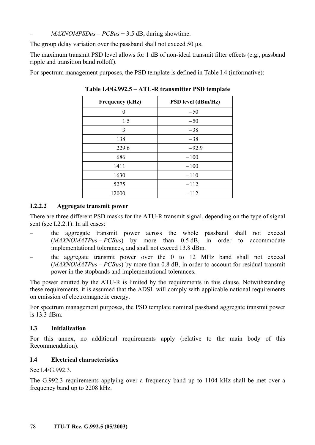– *MAXNOMPSDus* – *PCBus* + 3.5 dB, during showtime.

The group delay variation over the passband shall not exceed 50 us.

The maximum transmit PSD level allows for 1 dB of non-ideal transmit filter effects (e.g., passband ripple and transition band rolloff).

For spectrum management purposes, the PSD template is defined in Table I.4 (informative):

| <b>Frequency (kHz)</b> | <b>PSD</b> level (dBm/Hz) |
|------------------------|---------------------------|
| 0                      | $-50$                     |
| 1.5                    | $-50$                     |
| 3                      | $-38$                     |
| 138                    | $-38$                     |
| 229.6                  | $-92.9$                   |
| 686                    | $-100$                    |
| 1411                   | $-100$                    |
| 1630                   | $-110$                    |
| 5275                   | $-112$                    |
| 12000                  | $-112$                    |

**Table I.4/G.992.5 – ATU-R transmitter PSD template** 

# **I.2.2.2 Aggregate transmit power**

There are three different PSD masks for the ATU-R transmit signal, depending on the type of signal sent (see I.2.2.1). In all cases:

- the aggregate transmit power across the whole passband shall not exceed (*MAXNOMATPus* – *PCBus*) by more than 0.5 dB, in order to accommodate implementational tolerances, and shall not exceed 13.8 dBm.
- the aggregate transmit power over the 0 to 12 MHz band shall not exceed (*MAXNOMATPus* – *PCBus*) by more than 0.8 dB, in order to account for residual transmit power in the stopbands and implementational tolerances.

The power emitted by the ATU-R is limited by the requirements in this clause. Notwithstanding these requirements, it is assumed that the ADSL will comply with applicable national requirements on emission of electromagnetic energy.

For spectrum management purposes, the PSD template nominal passband aggregate transmit power is 13.3 dBm.

# **I.3 Initialization**

For this annex, no additional requirements apply (relative to the main body of this Recommendation).

# **I.4 Electrical characteristics**

See I.4/G.992.3.

The G.992.3 requirements applying over a frequency band up to 1104 kHz shall be met over a frequency band up to 2208 kHz.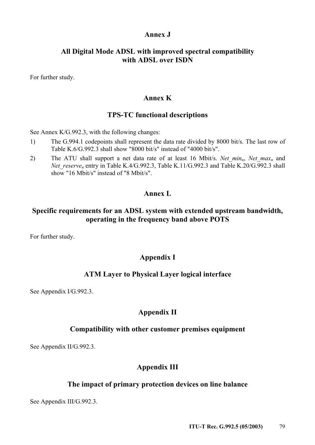# **Annex J**

# **All Digital Mode ADSL with improved spectral compatibility with ADSL over ISDN**

For further study.

### **Annex K**

### **TPS-TC functional descriptions**

See Annex K/G.992.3, with the following changes:

- 1) The G.994.1 codepoints shall represent the data rate divided by 8000 bit/s. The last row of Table K.6/G.992.3 shall show "8000 bit/s" instead of "4000 bit/s".
- 2) The ATU shall support a net data rate of at least 16 Mbit/s. *Net min<sub>n</sub>*, *Net max<sub>n</sub>* and *Net\_reserve<sub>n</sub>* entry in Table K.4/G.992.3, Table K.11/G.992.3 and Table K.20/G.992.3 shall show "16 Mbit/s" instead of "8 Mbit/s".

### **Annex L**

# **Specific requirements for an ADSL system with extended upstream bandwidth, operating in the frequency band above POTS**

For further study.

# **Appendix I**

#### **ATM Layer to Physical Layer logical interface**

See Appendix I/G.992.3.

# **Appendix II**

#### **Compatibility with other customer premises equipment**

See Appendix II/G.992.3.

# **Appendix III**

#### **The impact of primary protection devices on line balance**

See Appendix III/G.992.3.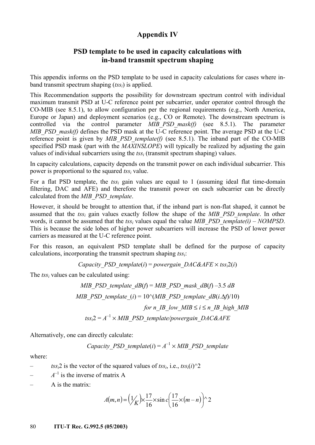# **Appendix IV**

# **PSD template to be used in capacity calculations with in-band transmit spectrum shaping**

This appendix informs on the PSD template to be used in capacity calculations for cases where inband transmit spectrum shaping (*tssi*) is applied.

This Recommendation supports the possibility for downstream spectrum control with individual maximum transmit PSD at U-C reference point per subcarrier, under operator control through the CO-MIB (see 8.5.1), to allow configuration per the regional requirements (e.g., North America, Europe or Japan) and deployment scenarios (e.g., CO or Remote). The downstream spectrum is controlled via the control parameter *MIB\_PSD\_mask(f)* (see 8.5.1). The parameter *MIB\_PSD\_mask(f)* defines the PSD\_mask at the U-C reference point. The average PSD at the U-C reference point is given by *MIB\_PSD\_template(f)* (see 8.5.1). The inband part of the CO-MIB specified PSD mask (part with the *MAXINSLOPE*) will typically be realized by adjusting the gain values of individual subcarriers using the *tssi* (transmit spectrum shaping) values.

In capacity calculations, capacity depends on the transmit power on each individual subcarrier. This power is proportional to the squared *tssi* value.

For a flat PSD template, the *tssi* gain values are equal to 1 (assuming ideal flat time-domain filtering, DAC and AFE) and therefore the transmit power on each subcarrier can be directly calculated from the *MIB\_PSD\_template*.

However, it should be brought to attention that, if the inband part is non-flat shaped, it cannot be assumed that the *tss<sub>i</sub>* gain values exactly follow the shape of the *MIB\_PSD\_template*. In other words, it cannot be assumed that the  $tss_i$  values equal the value *MIB\_PSD\_template(i)* – *NOMPSD*. This is because the side lobes of higher power subcarriers will increase the PSD of lower power carriers as measured at the U-C reference point.

For this reason, an equivalent PSD template shall be defined for the purpose of capacity calculations, incorporating the transmit spectrum shaping *tssi*:

*Capacity PSD template*(*i*) = *powergain DAC&AFE*  $\times$  *tss<sub>i</sub>*2(*i*)

The *tss<sub>i</sub>* values can be calculated using:

*MIB PSD* template  $dB(f) = MIB$  *PSD* mask  $dB(f) - 3.5$  *dB MIB PSD* template  $(i) = 10^{\circ}$ (*MIB PSD template dB*( $i.\Delta f$ )/10) *for n\_IB\_low\_MIB*  $\leq$  *i*  $\leq$  *n\_IB\_high\_MIB*  $t$ ss<sub>i</sub>2 =  $A^{-1}$  × *MIB\_PSD\_template/powergain\_DAC&AFE* 

Alternatively, one can directly calculate:

*Capacity PSD\_ template*(*i*) = 
$$
A^{-1}
$$
 × *MIB PSD\_ template*

where:

 $\sim$  *tss<sub>i</sub>*2 is the vector of the squared values of *tss<sub>i</sub>*, i.e., *tss<sub>i</sub>*(*i*)<sup> $\land$ </sup>2

 $A^{-1}$  is the inverse of matrix A

A is the matrix:

$$
A(m,n) = \left(\frac{1}{K}\right) \times \frac{17}{16} \times \sin c \left(\frac{17}{16} \times (m-n)\right) \approx 2
$$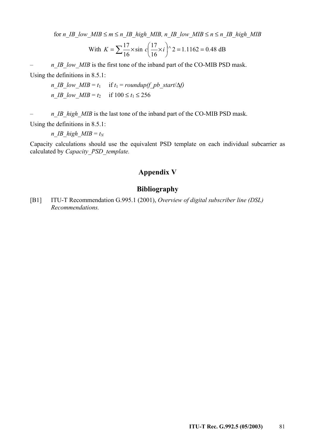for *n\_IB\_low\_MIB*  $\leq$  *m*  $\leq$  *n\_IB\_high\_MIB, n\_IB\_low\_MIB*  $\leq$  *n*  $\leq$  *n\_IB\_high\_MIB* With  $K = \sum_{1} \frac{17}{16} \times \sin \left( \frac{17}{16} \times i \right)$  ^ 2 = 1.1162 =  $\setminus$  $=\sum_{i=1}^{17} \times \sin c \left( \frac{17}{16} \times i \right)$  ^ 2 = 1.1162 = 0.48 dB 16  $\sin c \left( \frac{17}{16} \right)$ 16  $K = \sum_{i=1}^{17} \frac{\times \sin (i \cdot \pi)}{i} \times i \times i \times 2 = 1.1162 = 0.$ 

*– n\_IB\_low\_MIB* is the first tone of the inband part of the CO-MIB PSD mask. Using the definitions in 8.5.1:

*n IB* low  $MIB = t_1$  if  $t_1 = roundup(f$  *pb* start/ $\Delta f$ ) *n\_IB\_low\_MIB* =  $t_2$  if  $100 \le t_1 \le 256$ 

*n IB* high *MIB* is the last tone of the inband part of the CO-MIB PSD mask. Using the definitions in 8.5.1:

 $n$ *\_IB\_high\_MIB = t<sub>N</sub>* 

Capacity calculations should use the equivalent PSD template on each individual subcarrier as calculated by *Capacity\_PSD\_template.*

### **Appendix V**

#### **Bibliography**

[B1] ITU-T Recommendation G.995.1 (2001), *Overview of digital subscriber line (DSL) Recommendations.*